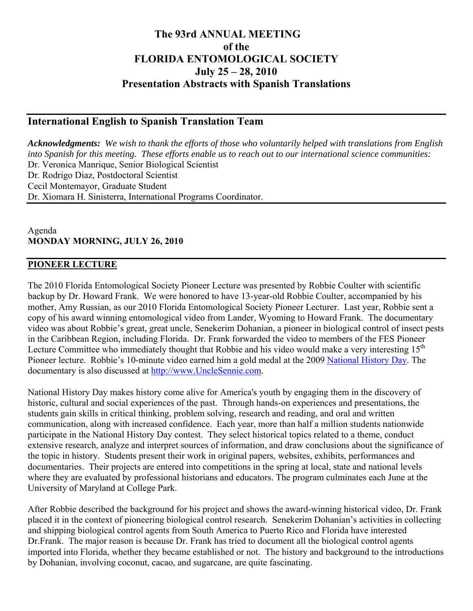## **The 93rd ANNUAL MEETING of the FLORIDA ENTOMOLOGICAL SOCIETY July 25 – 28, 2010 Presentation Abstracts with Spanish Translations**

## **International English to Spanish Translation Team**

*Acknowledgments: We wish to thank the efforts of those who voluntarily helped with translations from English into Spanish for this meeting. These efforts enable us to reach out to our international science communities:*  Dr. Veronica Manrique, Senior Biological Scientist Dr. Rodrigo Diaz, Postdoctoral Scientist Cecil Montemayor, Graduate Student Dr. Xiomara H. Sinisterra, International Programs Coordinator.

Agenda **MONDAY MORNING, JULY 26, 2010** 

#### **PIONEER LECTURE**

The 2010 Florida Entomological Society Pioneer Lecture was presented by Robbie Coulter with scientific backup by Dr. Howard Frank. We were honored to have 13-year-old Robbie Coulter, accompanied by his mother, Amy Russian, as our 2010 Florida Entomological Society Pioneer Lecturer. Last year, Robbie sent a copy of his award winning entomological video from Lander, Wyoming to Howard Frank. The documentary video was about Robbie's great, great uncle, Senekerim Dohanian, a pioneer in biological control of insect pests in the Caribbean Region, including Florida. Dr. Frank forwarded the video to members of the FES Pioneer Lecture Committee who immediately thought that Robbie and his video would make a very interesting  $15<sup>th</sup>$ Pioneer lecture. Robbie's 10-minute video earned him a gold medal at the 2009 [National History Day.](http://nhd.org/CategoryDocumentary.htm) The documentary is also discussed at [http://www.UncleSennie.com](http://www.unclesennie.com/).

National History Day makes history come alive for America's youth by engaging them in the discovery of historic, cultural and social experiences of the past. Through hands-on experiences and presentations, the students gain skills in critical thinking, problem solving, research and reading, and oral and written communication, along with increased confidence. Each year, more than half a million students nationwide participate in the National History Day contest. They select historical topics related to a theme, conduct extensive research, analyze and interpret sources of information, and draw conclusions about the significance of the topic in history. Students present their work in original papers, websites, exhibits, performances and documentaries. Their projects are entered into competitions in the spring at local, state and national levels where they are evaluated by professional historians and educators. The program culminates each June at the University of Maryland at College Park.

After Robbie described the background for his project and shows the award-winning historical video, Dr. Frank placed it in the context of pioneering biological control research. Senekerim Dohanian's activities in collecting and shipping biological control agents from South America to Puerto Rico and Florida have interested Dr.Frank. The major reason is because Dr. Frank has tried to document all the biological control agents imported into Florida, whether they became established or not. The history and background to the introductions by Dohanian, involving coconut, cacao, and sugarcane, are quite fascinating.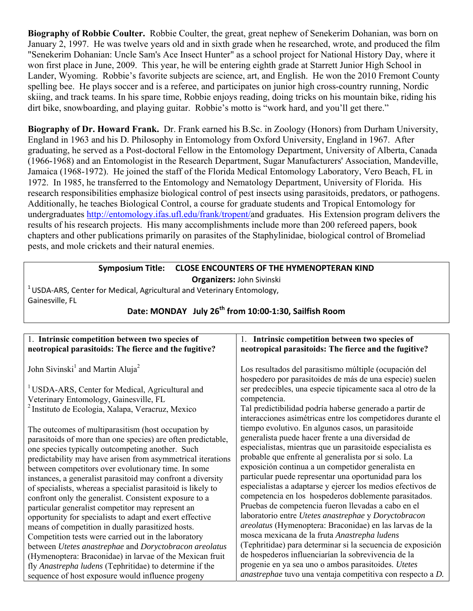**Biography of Robbie Coulter.** Robbie Coulter, the great, great nephew of Senekerim Dohanian, was born on January 2, 1997. He was twelve years old and in sixth grade when he researched, wrote, and produced the film "Senekerim Dohanian: Uncle Sam's Ace Insect Hunter" as a school project for National History Day, where it won first place in June, 2009. This year, he will be entering eighth grade at Starrett Junior High School in Lander, Wyoming. Robbie's favorite subjects are science, art, and English. He won the 2010 Fremont County spelling bee. He plays soccer and is a referee, and participates on junior high cross-country running, Nordic skiing, and track teams. In his spare time, Robbie enjoys reading, doing tricks on his mountain bike, riding his dirt bike, snowboarding, and playing guitar. Robbie's motto is "work hard, and you'll get there."

**Biography of Dr. Howard Frank.** Dr. Frank earned his B.Sc. in Zoology (Honors) from Durham University, England in 1963 and his D. Philosophy in Entomology from Oxford University, England in 1967. After graduating, he served as a Post-doctoral Fellow in the Entomology Department, University of Alberta, Canada (1966-1968) and an Entomologist in the Research Department, Sugar Manufacturers' Association, Mandeville, Jamaica (1968-1972). He joined the staff of the Florida Medical Entomology Laboratory, Vero Beach, FL in 1972. In 1985, he transferred to the Entomology and Nematology Department, University of Florida. His research responsibilities emphasize biological control of pest insects using parasitoids, predators, or pathogens. Additionally, he teaches Biological Control, a course for graduate students and Tropical Entomology for undergraduates [http://entomology.ifas.ufl.edu/frank/tropent/a](http://entomology.ifas.ufl.edu/frank/tropent/)nd graduates. His Extension program delivers the results of his research projects. His many accomplishments include more than 200 refereed papers, book chapters and other publications primarily on parasites of the Staphylinidae, biological control of Bromeliad pests, and mole crickets and their natural enemies.

# **Symposium Title: CLOSE ENCOUNTERS OF THE HYMENOPTERAN KIND**

**Organizers:** John Sivinski

 $1$ USDA-ARS, Center for Medical, Agricultural and Veterinary Entomology, Gainesville, FL

| 1. Intrinsic competition between two species of                   |
|-------------------------------------------------------------------|
| neotropical parasitoids: The fierce and the fugitive?             |
|                                                                   |
| Los resultados del parasitismo múltiple (ocupación del            |
| hospedero por parasitoides de más de una especie) suelen          |
| ser predecibles, una especie típicamente saca al otro de la       |
| competencia.                                                      |
| Tal predictibilidad podría haberse generado a partir de           |
| interacciones asimétricas entre los competidores durante el       |
| tiempo evolutivo. En algunos casos, un parasitoide                |
| generalista puede hacer frente a una diversidad de                |
| especialistas, mientras que un parasitoide especialista es        |
| probable que enfrente al generalista por si solo. La              |
| exposición continua a un competidor generalista en                |
| particular puede representar una oportunidad para los             |
| especialistas a adaptarse y ejercer los medios efectivos de       |
| competencia en los hospederos doblemente parasitados.             |
| Pruebas de competencia fueron llevadas a cabo en el               |
| laboratorio entre Utetes anastrephae y Doryctobracon              |
| areolatus (Hymenoptera: Braconidae) en las larvas de la           |
| mosca mexicana de la fruta Anastrepha ludens                      |
| (Tephritidae) para determinar si la secuencia de exposición       |
| de hospederos influenciarían la sobrevivencia de la               |
| progenie en ya sea uno o ambos parasitoides. Utetes               |
| <i>anastrephae</i> tuvo una ventaja competitiva con respecto a D. |
|                                                                   |

## **Date: MONDAY July 26th from 10:00‐1:30, Sailfish Room**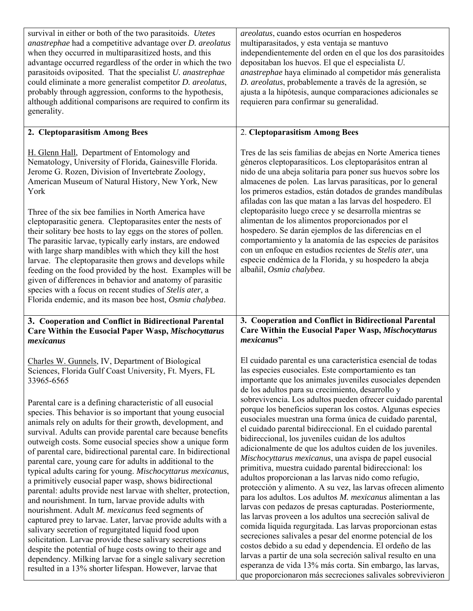| survival in either or both of the two parasitoids. <i>Utetes</i><br>anastrephae had a competitive advantage over D. areolatus<br>when they occurred in multiparasitized hosts, and this<br>advantage occurred regardless of the order in which the two<br>parasitoids oviposited. That the specialist U. anastrephae<br>could eliminate a more generalist competitor D. areolatus,<br>probably through aggression, conforms to the hypothesis,<br>although additional comparisons are required to confirm its<br>generality.                                                                                                                                                                                                                                                                                                                                                                                                                                                                                                                                                                                                                                                                                                                                | <i>areolatus</i> , cuando estos ocurrían en hospederos<br>multiparasitados, y esta ventaja se mantuvo<br>independientemente del orden en el que los dos parasitoides<br>depositaban los huevos. El que el especialista U.<br>anastrephae haya eliminado al competidor más generalista<br>D. areolatus, probablemente a través de la agresión, se<br>ajusta a la hipótesis, aunque comparaciones adicionales se<br>requieren para confirmar su generalidad.                                                                                                                                                                                                                                                                                                                                                                                                                                                                                                                                                                                                                                                                                                                                                                                                                                                                                                                                                                      |
|-------------------------------------------------------------------------------------------------------------------------------------------------------------------------------------------------------------------------------------------------------------------------------------------------------------------------------------------------------------------------------------------------------------------------------------------------------------------------------------------------------------------------------------------------------------------------------------------------------------------------------------------------------------------------------------------------------------------------------------------------------------------------------------------------------------------------------------------------------------------------------------------------------------------------------------------------------------------------------------------------------------------------------------------------------------------------------------------------------------------------------------------------------------------------------------------------------------------------------------------------------------|---------------------------------------------------------------------------------------------------------------------------------------------------------------------------------------------------------------------------------------------------------------------------------------------------------------------------------------------------------------------------------------------------------------------------------------------------------------------------------------------------------------------------------------------------------------------------------------------------------------------------------------------------------------------------------------------------------------------------------------------------------------------------------------------------------------------------------------------------------------------------------------------------------------------------------------------------------------------------------------------------------------------------------------------------------------------------------------------------------------------------------------------------------------------------------------------------------------------------------------------------------------------------------------------------------------------------------------------------------------------------------------------------------------------------------|
| 2. Cleptoparasitism Among Bees                                                                                                                                                                                                                                                                                                                                                                                                                                                                                                                                                                                                                                                                                                                                                                                                                                                                                                                                                                                                                                                                                                                                                                                                                              | 2. Cleptoparasitism Among Bees                                                                                                                                                                                                                                                                                                                                                                                                                                                                                                                                                                                                                                                                                                                                                                                                                                                                                                                                                                                                                                                                                                                                                                                                                                                                                                                                                                                                  |
| H. Glenn Hall, Department of Entomology and<br>Nematology, University of Florida, Gainesville Florida.<br>Jerome G. Rozen, Division of Invertebrate Zoology,<br>American Museum of Natural History, New York, New<br>York<br>Three of the six bee families in North America have<br>cleptoparasitic genera. Cleptoparasites enter the nests of<br>their solitary bee hosts to lay eggs on the stores of pollen.<br>The parasitic larvae, typically early instars, are endowed<br>with large sharp mandibles with which they kill the host<br>larvae. The cleptoparasite then grows and develops while<br>feeding on the food provided by the host. Examples will be<br>given of differences in behavior and anatomy of parasitic<br>species with a focus on recent studies of Stelis ater, a<br>Florida endemic, and its mason bee host, Osmia chalybea.                                                                                                                                                                                                                                                                                                                                                                                                    | Tres de las seis familias de abejas en Norte America tienes<br>géneros cleptoparasíticos. Los cleptoparásitos entran al<br>nido de una abeja solitaria para poner sus huevos sobre los<br>almacenes de polen. Las larvas parasíticas, por lo general<br>los primeros estadios, están dotados de grandes mandíbulas<br>afiladas con las que matan a las larvas del hospedero. El<br>cleptoparásito luego crece y se desarrolla mientras se<br>alimentan de los alimentos proporcionados por el<br>hospedero. Se darán ejemplos de las diferencias en el<br>comportamiento y la anatomía de las especies de parásitos<br>con un enfoque en estudios recientes de Stelis ater, una<br>especie endémica de la Florida, y su hospedero la abeja<br>albañil, Osmia chalybea.                                                                                                                                                                                                                                                                                                                                                                                                                                                                                                                                                                                                                                                          |
| 3. Cooperation and Conflict in Bidirectional Parental<br>Care Within the Eusocial Paper Wasp, Mischocyttarus<br>mexicanus                                                                                                                                                                                                                                                                                                                                                                                                                                                                                                                                                                                                                                                                                                                                                                                                                                                                                                                                                                                                                                                                                                                                   | 3. Cooperation and Conflict in Bidirectional Parental<br>Care Within the Eusocial Paper Wasp, Mischocyttarus<br>mexicanus"                                                                                                                                                                                                                                                                                                                                                                                                                                                                                                                                                                                                                                                                                                                                                                                                                                                                                                                                                                                                                                                                                                                                                                                                                                                                                                      |
| Charles W. Gunnels, IV, Department of Biological<br>Sciences, Florida Gulf Coast University, Ft. Myers, FL<br>33965-6565<br>Parental care is a defining characteristic of all eusocial<br>species. This behavior is so important that young eusocial<br>animals rely on adults for their growth, development, and<br>survival. Adults can provide parental care because benefits<br>outweigh costs. Some eusocial species show a unique form<br>of parental care, bidirectional parental care. In bidirectional<br>parental care, young care for adults in additional to the<br>typical adults caring for young. Mischocyttarus mexicanus,<br>a primitively eusocial paper wasp, shows bidirectional<br>parental: adults provide nest larvae with shelter, protection,<br>and nourishment. In turn, larvae provide adults with<br>nourishment. Adult M. mexicanus feed segments of<br>captured prey to larvae. Later, larvae provide adults with a<br>salivary secretion of regurgitated liquid food upon<br>solicitation. Larvae provide these salivary secretions<br>despite the potential of huge costs owing to their age and<br>dependency. Milking larvae for a single salivary secretion<br>resulted in a 13% shorter lifespan. However, larvae that | El cuidado parental es una característica esencial de todas<br>las especies eusociales. Este comportamiento es tan<br>importante que los animales juveniles eusociales dependen<br>de los adultos para su crecimiento, desarrollo y<br>sobrevivencia. Los adultos pueden ofrecer cuidado parental<br>porque los beneficios superan los costos. Algunas especies<br>eusociales muestran una forma única de cuidado parental,<br>el cuidado parental bidireccional. En el cuidado parental<br>bidireccional, los juveniles cuidan de los adultos<br>adicionalmente de que los adultos cuiden de los juveniles.<br>Mischocyttarus mexicanus, una avispa de papel eusocial<br>primitiva, muestra cuidado parental bidireccional: los<br>adultos proporcionan a las larvas nido como refugio,<br>protección y alimento. A su vez, las larvas ofrecen alimento<br>para los adultos. Los adultos M. mexicanus alimentan a las<br>larvas con pedazos de presas capturadas. Posteriormente,<br>las larvas proveen a los adultos una secreción salival de<br>comida liquida regurgitada. Las larvas proporcionan estas<br>secreciones salivales a pesar del enorme potencial de los<br>costos debido a su edad y dependencia. El ordeño de las<br>larvas a partir de una sola secreción salival resulto en una<br>esperanza de vida 13% más corta. Sin embargo, las larvas,<br>que proporcionaron más secreciones salivales sobrevivieron |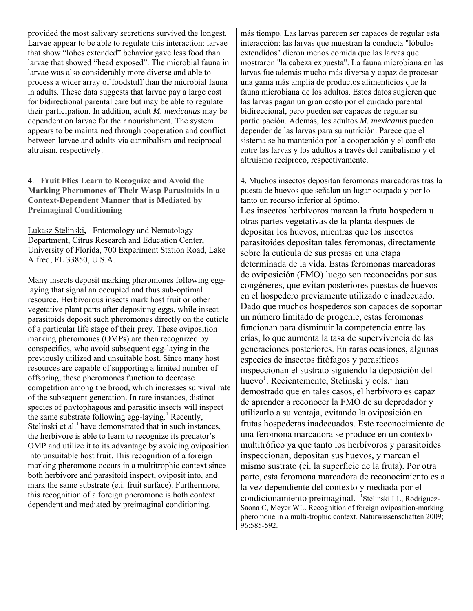| provided the most salivary secretions survived the longest.<br>Larvae appear to be able to regulate this interaction: larvae<br>that show "lobes extended" behavior gave less food than<br>larvae that showed "head exposed". The microbial fauna in<br>larvae was also considerably more diverse and able to<br>process a wider array of foodstuff than the microbial fauna<br>in adults. These data suggests that larvae pay a large cost<br>for bidirectional parental care but may be able to regulate<br>their participation. In addition, adult M. mexicanus may be<br>dependent on larvae for their nourishment. The system<br>appears to be maintained through cooperation and conflict<br>between larvae and adults via cannibalism and reciprocal<br>altruism, respectively.                                                                                                                                                                                                                                                                                                                                                                                                                                                                                                                                                                                                                                                                                                                                                                                                                                                                                                                                                                                                                                                                                                                    | más tiempo. Las larvas parecen ser capaces de regular esta<br>interacción: las larvas que muestran la conducta "lóbulos<br>extendidos" dieron menos comida que las larvas que<br>mostraron "la cabeza expuesta". La fauna microbiana en las<br>larvas fue además mucho más diversa y capaz de procesar<br>una gama más amplia de productos alimenticios que la<br>fauna microbiana de los adultos. Estos datos sugieren que<br>las larvas pagan un gran costo por el cuidado parental<br>bidireccional, pero pueden ser capaces de regular su<br>participación. Además, los adultos M. mexicanus pueden<br>depender de las larvas para su nutrición. Parece que el<br>sistema se ha mantenido por la cooperación y el conflicto<br>entre las larvas y los adultos a través del canibalismo y el<br>altruismo recíproco, respectivamente.                                                                                                                                                                                                                                                                                                                                                                                                                                                                                                                                                                                                                                                                                                                                                                                                                                                                                                                                                                                                                                                                                         |
|-----------------------------------------------------------------------------------------------------------------------------------------------------------------------------------------------------------------------------------------------------------------------------------------------------------------------------------------------------------------------------------------------------------------------------------------------------------------------------------------------------------------------------------------------------------------------------------------------------------------------------------------------------------------------------------------------------------------------------------------------------------------------------------------------------------------------------------------------------------------------------------------------------------------------------------------------------------------------------------------------------------------------------------------------------------------------------------------------------------------------------------------------------------------------------------------------------------------------------------------------------------------------------------------------------------------------------------------------------------------------------------------------------------------------------------------------------------------------------------------------------------------------------------------------------------------------------------------------------------------------------------------------------------------------------------------------------------------------------------------------------------------------------------------------------------------------------------------------------------------------------------------------------------|----------------------------------------------------------------------------------------------------------------------------------------------------------------------------------------------------------------------------------------------------------------------------------------------------------------------------------------------------------------------------------------------------------------------------------------------------------------------------------------------------------------------------------------------------------------------------------------------------------------------------------------------------------------------------------------------------------------------------------------------------------------------------------------------------------------------------------------------------------------------------------------------------------------------------------------------------------------------------------------------------------------------------------------------------------------------------------------------------------------------------------------------------------------------------------------------------------------------------------------------------------------------------------------------------------------------------------------------------------------------------------------------------------------------------------------------------------------------------------------------------------------------------------------------------------------------------------------------------------------------------------------------------------------------------------------------------------------------------------------------------------------------------------------------------------------------------------------------------------------------------------------------------------------------------------|
| 4. Fruit Flies Learn to Recognize and Avoid the<br><b>Marking Pheromones of Their Wasp Parasitoids in a</b><br><b>Context-Dependent Manner that is Mediated by</b><br><b>Preimaginal Conditioning</b><br>Lukasz Stelinski, Entomology and Nematology<br>Department, Citrus Research and Education Center,<br>University of Florida, 700 Experiment Station Road, Lake<br>Alfred, FL 33850, U.S.A.<br>Many insects deposit marking pheromones following egg-<br>laying that signal an occupied and thus sub-optimal<br>resource. Herbivorous insects mark host fruit or other<br>vegetative plant parts after depositing eggs, while insect<br>parasitoids deposit such pheromones directly on the cuticle<br>of a particular life stage of their prey. These oviposition<br>marking pheromones (OMPs) are then recognized by<br>conspecifics, who avoid subsequent egg-laying in the<br>previously utilized and unsuitable host. Since many host<br>resources are capable of supporting a limited number of<br>offspring, these pheromones function to decrease<br>competition among the brood, which increases survival rate<br>of the subsequent generation. In rare instances, distinct<br>species of phytophagous and parasitic insects will inspect<br>the same substrate following egg-laying. <sup>1</sup> Recently,<br>Stelinski et al. <sup>1</sup> have demonstrated that in such instances,<br>the herbivore is able to learn to recognize its predator's<br>OMP and utilize it to its advantage by avoiding oviposition<br>into unsuitable host fruit. This recognition of a foreign<br>marking pheromone occurs in a multitrophic context since<br>both herbivore and parasitoid inspect, oviposit into, and<br>mark the same substrate (e.i. fruit surface). Furthermore,<br>this recognition of a foreign pheromone is both context<br>dependent and mediated by preimaginal conditioning. | 4. Muchos insectos depositan feromonas marcadoras tras la<br>puesta de huevos que señalan un lugar ocupado y por lo<br>tanto un recurso inferior al óptimo.<br>Los insectos herbívoros marcan la fruta hospedera u<br>otras partes vegetativas de la planta después de<br>depositar los huevos, mientras que los insectos<br>parasitoides depositan tales feromonas, directamente<br>sobre la cutícula de sus presas en una etapa<br>determinada de la vida. Estas feromonas marcadoras<br>de oviposición (FMO) luego son reconocidas por sus<br>congéneres, que evitan posteriores puestas de huevos<br>en el hospedero previamente utilizado e inadecuado.<br>Dado que muchos hospederos son capaces de soportar<br>un número limitado de progenie, estas feromonas<br>funcionan para disminuir la competencia entre las<br>crías, lo que aumenta la tasa de supervivencia de las<br>generaciones posteriores. En raras ocasiones, algunas<br>especies de insectos fitófagos y parasíticos<br>inspeccionan el sustrato siguiendo la deposición del<br>huevo <sup>1</sup> . Recientemente, Stelinski y cols. <sup>1</sup> han<br>demostrado que en tales casos, el herbívoro es capaz<br>de aprender a reconocer la FMO de su depredador y<br>utilizarlo a su ventaja, evitando la oviposición en<br>frutas hospederas inadecuados. Este reconocimiento de<br>una feromona marcadora se produce en un contexto<br>multitrófico ya que tanto los herbívoros y parasitoides<br>inspeccionan, depositan sus huevos, y marcan el<br>mismo sustrato (ei. la superficie de la fruta). Por otra<br>parte, esta feromona marcadora de reconocimiento es a<br>la vez dependiente del contexto y mediada por el<br>condicionamiento preimaginal. <sup>1</sup> Stelinski LL, Rodriguez-<br>Saona C, Meyer WL. Recognition of foreign oviposition-marking<br>pheromone in a multi-trophic context. Naturwissenschaften 2009;<br>96:585-592. |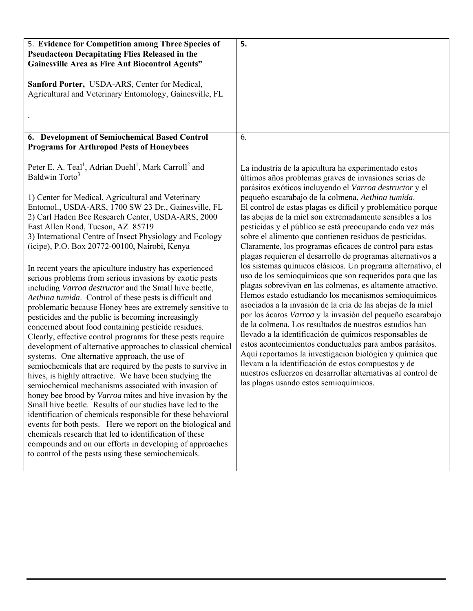| 5. Evidence for Competition among Three Species of<br><b>Pseudacteon Decapitating Flies Released in the</b><br><b>Gainesville Area as Fire Ant Biocontrol Agents"</b><br>Sanford Porter, USDA-ARS, Center for Medical,<br>Agricultural and Veterinary Entomology, Gainesville, FL                                                                                                                                                                                                                                                                                                                                                                                                                                                                                                                                                                                                                                                                                                                                                                                                                                                                                                                                                                                                                                                                                                                                                                                                                                                                                                                                                                                            | 5.                                                                                                                                                                                                                                                                                                                                                                                                                                                                                                                                                                                                                                                                                                                                                                                                                                                                                                                                                                                                                                                                                                                                                                                                                                                                                                                                                                                                     |
|------------------------------------------------------------------------------------------------------------------------------------------------------------------------------------------------------------------------------------------------------------------------------------------------------------------------------------------------------------------------------------------------------------------------------------------------------------------------------------------------------------------------------------------------------------------------------------------------------------------------------------------------------------------------------------------------------------------------------------------------------------------------------------------------------------------------------------------------------------------------------------------------------------------------------------------------------------------------------------------------------------------------------------------------------------------------------------------------------------------------------------------------------------------------------------------------------------------------------------------------------------------------------------------------------------------------------------------------------------------------------------------------------------------------------------------------------------------------------------------------------------------------------------------------------------------------------------------------------------------------------------------------------------------------------|--------------------------------------------------------------------------------------------------------------------------------------------------------------------------------------------------------------------------------------------------------------------------------------------------------------------------------------------------------------------------------------------------------------------------------------------------------------------------------------------------------------------------------------------------------------------------------------------------------------------------------------------------------------------------------------------------------------------------------------------------------------------------------------------------------------------------------------------------------------------------------------------------------------------------------------------------------------------------------------------------------------------------------------------------------------------------------------------------------------------------------------------------------------------------------------------------------------------------------------------------------------------------------------------------------------------------------------------------------------------------------------------------------|
|                                                                                                                                                                                                                                                                                                                                                                                                                                                                                                                                                                                                                                                                                                                                                                                                                                                                                                                                                                                                                                                                                                                                                                                                                                                                                                                                                                                                                                                                                                                                                                                                                                                                              |                                                                                                                                                                                                                                                                                                                                                                                                                                                                                                                                                                                                                                                                                                                                                                                                                                                                                                                                                                                                                                                                                                                                                                                                                                                                                                                                                                                                        |
| 6. Development of Semiochemical Based Control<br><b>Programs for Arthropod Pests of Honeybees</b>                                                                                                                                                                                                                                                                                                                                                                                                                                                                                                                                                                                                                                                                                                                                                                                                                                                                                                                                                                                                                                                                                                                                                                                                                                                                                                                                                                                                                                                                                                                                                                            | 6.                                                                                                                                                                                                                                                                                                                                                                                                                                                                                                                                                                                                                                                                                                                                                                                                                                                                                                                                                                                                                                                                                                                                                                                                                                                                                                                                                                                                     |
| Peter E. A. Teal <sup>1</sup> , Adrian Duehl <sup>1</sup> , Mark Carroll <sup>2</sup> and<br>Baldwin Torto <sup>3</sup><br>1) Center for Medical, Agricultural and Veterinary<br>Entomol., USDA-ARS, 1700 SW 23 Dr., Gainesville, FL<br>2) Carl Haden Bee Research Center, USDA-ARS, 2000<br>East Allen Road, Tucson, AZ 85719<br>3) International Centre of Insect Physiology and Ecology<br>(icipe), P.O. Box 20772-00100, Nairobi, Kenya<br>In recent years the apiculture industry has experienced<br>serious problems from serious invasions by exotic pests<br>including Varroa destructor and the Small hive beetle,<br>Aethina tumida. Control of these pests is difficult and<br>problematic because Honey bees are extremely sensitive to<br>pesticides and the public is becoming increasingly<br>concerned about food containing pesticide residues.<br>Clearly, effective control programs for these pests require<br>development of alternative approaches to classical chemical<br>systems. One alternative approach, the use of<br>semiochemicals that are required by the pests to survive in<br>hives, is highly attractive. We have been studying the<br>semiochemical mechanisms associated with invasion of<br>honey bee brood by <i>Varroa</i> mites and hive invasion by the<br>Small hive beetle. Results of our studies have led to the<br>identification of chemicals responsible for these behavioral<br>events for both pests. Here we report on the biological and<br>chemicals research that led to identification of these<br>compounds and on our efforts in developing of approaches<br>to control of the pests using these semiochemicals. | La industria de la apicultura ha experimentado estos<br>últimos años problemas graves de invasiones serias de<br>parásitos exóticos incluyendo el Varroa destructor y el<br>pequeño escarabajo de la colmena, Aethina tumida.<br>El control de estas plagas es difícil y problemático porque<br>las abejas de la miel son extremadamente sensibles a los<br>pesticidas y el público se está preocupando cada vez más<br>sobre el alimento que contienen residuos de pesticidas.<br>Claramente, los programas eficaces de control para estas<br>plagas requieren el desarrollo de programas alternativos a<br>los sistemas químicos clásicos. Un programa alternativo, el<br>uso de los semioquímicos que son requeridos para que las<br>plagas sobrevivan en las colmenas, es altamente atractivo.<br>Hemos estado estudiando los mecanismos semioquímicos<br>asociados a la invasión de la cría de las abejas de la miel<br>por los ácaros Varroa y la invasión del pequeño escarabajo<br>de la colmena. Los resultados de nuestros estudios han<br>llevado a la identificación de químicos responsables de<br>estos acontecimientos conductuales para ambos parásitos.<br>Aquí reportamos la investigacion biológica y química que<br>llevara a la identificación de estos compuestos y de<br>nuestros esfuerzos en desarrollar alternativas al control de<br>las plagas usando estos semioquímicos. |
|                                                                                                                                                                                                                                                                                                                                                                                                                                                                                                                                                                                                                                                                                                                                                                                                                                                                                                                                                                                                                                                                                                                                                                                                                                                                                                                                                                                                                                                                                                                                                                                                                                                                              |                                                                                                                                                                                                                                                                                                                                                                                                                                                                                                                                                                                                                                                                                                                                                                                                                                                                                                                                                                                                                                                                                                                                                                                                                                                                                                                                                                                                        |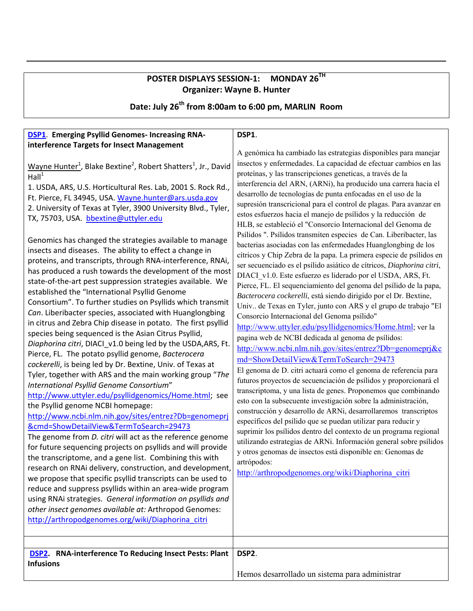## **POSTER DISPLAYS SESSION‐1: MONDAY 26TH Organizer: Wayne B. Hunter**

**Date: July 26th from 8:00am to 6:00 pm, MARLIN Room**

| <b>DSP1</b> Emerging Psyllid Genomes- Increasing RNA-<br>interference Targets for Insect Management<br>Wayne Hunter <sup>1</sup> , Blake Bextine <sup>2</sup> , Robert Shatters <sup>1</sup> , Jr., David<br>Hall <sup>1</sup><br>1. USDA, ARS, U.S. Horticultural Res. Lab, 2001 S. Rock Rd.,<br>Ft. Pierce, FL 34945, USA. Wayne.hunter@ars.usda.gov<br>2. University of Texas at Tyler, 3900 University Blvd., Tyler,<br>TX, 75703, USA. bbextine@uttyler.edu<br>Genomics has changed the strategies available to manage<br>insects and diseases. The ability to effect a change in<br>proteins, and transcripts, through RNA-interference, RNAi,<br>has produced a rush towards the development of the most<br>state-of-the-art pest suppression strategies available. We<br>established the "International Psyllid Genome<br>Consortium". To further studies on Psyllids which transmit<br>Can. Liberibacter species, associated with Huanglongbing<br>in citrus and Zebra Chip disease in potato. The first psyllid<br>species being sequenced is the Asian Citrus Psyllid,<br>Diaphorina citri, DIACI_v1.0 being led by the USDA, ARS, Ft.<br>Pierce, FL. The potato psyllid genome, Bacterocera<br>cockerelli, is being led by Dr. Bextine, Univ. of Texas at<br>Tyler, together with ARS and the main working group "The<br>International Psyllid Genome Consortium"<br>http://www.uttyler.edu/psyllidgenomics/Home.html; see<br>the Psyllid genome NCBI homepage:<br>http://www.ncbi.nlm.nih.gov/sites/entrez?Db=genomeprj<br>&cmd=ShowDetailView&TermToSearch=29473<br>The genome from <i>D. citri</i> will act as the reference genome<br>for future sequencing projects on psyllids and will provide<br>the transcriptome, and a gene list. Combining this with<br>research on RNAi delivery, construction, and development,<br>we propose that specific psyllid transcripts can be used to<br>reduce and suppress psyllids within an area-wide program<br>using RNAi strategies. General information on psyllids and<br>other insect genomes available at: Arthropod Genomes:<br>http://arthropodgenomes.org/wiki/Diaphorina citri | DSP1.<br>A genómica ha cambiado las estrategias disponibles para manejar<br>insectos y enfermedades. La capacidad de efectuar cambios en las<br>proteínas, y las transcripciones geneticas, a través de la<br>interferencia del ARN, (ARNi), ha producido una carrera hacia el<br>desarrollo de tecnologías de punta enfocadas en el uso de la<br>supresión transcricional para el control de plagas. Para avanzar en<br>estos esfuerzos hacia el manejo de psílidos y la reducción de<br>HLB, se estableció el "Consorcio Internacional del Genoma de<br>Psílidos ". Psílidos transmiten especies de Can. Liberibacter, las<br>bacterias asociadas con las enfermedades Huanglongbing de los<br>cítricos y Chip Zebra de la papa. La primera especie de psílidos en<br>ser secuenciado es el psílido asiático de cítricos, Diaphorina citri,<br>DIACI_v1.0. Este esfuerzo es liderado por el USDA, ARS, Ft.<br>Pierce, FL. El sequenciamiento del genoma del psílido de la papa,<br>Bacterocera cockerelli, está siendo dirigido por el Dr. Bextine,<br>Univ de Texas en Tyler, junto con ARS y el grupo de trabajo "El<br>Consorcio Internacional del Genoma psílido"<br>http://www.uttyler.edu/psyllidgenomics/Home.html; ver la<br>pagina web de NCBI dedicada al genoma de psílidos:<br>http://www.ncbi.nlm.nih.gov/sites/entrez?Db=genomeprj&c<br>md=ShowDetailView&TermToSearch=29473<br>El genoma de D. citri actuará como el genoma de referencia para<br>futuros proyectos de secuenciación de psílidos y proporcionará el<br>transcriptoma, y una lista de genes. Proponemos que combinando<br>esto con la subsecuente investigación sobre la administración,<br>construcción y desarrollo de ARNi, desarrollaremos transcriptos<br>específicos del psílido que se puedan utilizar para reducir y<br>suprimir los psílidos dentro del contexto de un programa regional<br>utilizando estrategias de ARNi. Información general sobre psílidos<br>y otros genomas de insectos está disponible en: Genomas de<br>artrópodos:<br>http://arthropodgenomes.org/wiki/Diaphorina_citri |
|--------------------------------------------------------------------------------------------------------------------------------------------------------------------------------------------------------------------------------------------------------------------------------------------------------------------------------------------------------------------------------------------------------------------------------------------------------------------------------------------------------------------------------------------------------------------------------------------------------------------------------------------------------------------------------------------------------------------------------------------------------------------------------------------------------------------------------------------------------------------------------------------------------------------------------------------------------------------------------------------------------------------------------------------------------------------------------------------------------------------------------------------------------------------------------------------------------------------------------------------------------------------------------------------------------------------------------------------------------------------------------------------------------------------------------------------------------------------------------------------------------------------------------------------------------------------------------------------------------------------------------------------------------------------------------------------------------------------------------------------------------------------------------------------------------------------------------------------------------------------------------------------------------------------------------------------------------------------------------------------------------------------------------------------------------------------------------------------------------------------------------------------------|-------------------------------------------------------------------------------------------------------------------------------------------------------------------------------------------------------------------------------------------------------------------------------------------------------------------------------------------------------------------------------------------------------------------------------------------------------------------------------------------------------------------------------------------------------------------------------------------------------------------------------------------------------------------------------------------------------------------------------------------------------------------------------------------------------------------------------------------------------------------------------------------------------------------------------------------------------------------------------------------------------------------------------------------------------------------------------------------------------------------------------------------------------------------------------------------------------------------------------------------------------------------------------------------------------------------------------------------------------------------------------------------------------------------------------------------------------------------------------------------------------------------------------------------------------------------------------------------------------------------------------------------------------------------------------------------------------------------------------------------------------------------------------------------------------------------------------------------------------------------------------------------------------------------------------------------------------------------------------------------------------------------------------------------------------------------------------------------|
| <b>DSP2.</b> RNA-interference To Reducing Insect Pests: Plant                                                                                                                                                                                                                                                                                                                                                                                                                                                                                                                                                                                                                                                                                                                                                                                                                                                                                                                                                                                                                                                                                                                                                                                                                                                                                                                                                                                                                                                                                                                                                                                                                                                                                                                                                                                                                                                                                                                                                                                                                                                                                    | DSP2.                                                                                                                                                                                                                                                                                                                                                                                                                                                                                                                                                                                                                                                                                                                                                                                                                                                                                                                                                                                                                                                                                                                                                                                                                                                                                                                                                                                                                                                                                                                                                                                                                                                                                                                                                                                                                                                                                                                                                                                                                                                                                     |
|                                                                                                                                                                                                                                                                                                                                                                                                                                                                                                                                                                                                                                                                                                                                                                                                                                                                                                                                                                                                                                                                                                                                                                                                                                                                                                                                                                                                                                                                                                                                                                                                                                                                                                                                                                                                                                                                                                                                                                                                                                                                                                                                                  |                                                                                                                                                                                                                                                                                                                                                                                                                                                                                                                                                                                                                                                                                                                                                                                                                                                                                                                                                                                                                                                                                                                                                                                                                                                                                                                                                                                                                                                                                                                                                                                                                                                                                                                                                                                                                                                                                                                                                                                                                                                                                           |
| <b>Infusions</b>                                                                                                                                                                                                                                                                                                                                                                                                                                                                                                                                                                                                                                                                                                                                                                                                                                                                                                                                                                                                                                                                                                                                                                                                                                                                                                                                                                                                                                                                                                                                                                                                                                                                                                                                                                                                                                                                                                                                                                                                                                                                                                                                 |                                                                                                                                                                                                                                                                                                                                                                                                                                                                                                                                                                                                                                                                                                                                                                                                                                                                                                                                                                                                                                                                                                                                                                                                                                                                                                                                                                                                                                                                                                                                                                                                                                                                                                                                                                                                                                                                                                                                                                                                                                                                                           |
|                                                                                                                                                                                                                                                                                                                                                                                                                                                                                                                                                                                                                                                                                                                                                                                                                                                                                                                                                                                                                                                                                                                                                                                                                                                                                                                                                                                                                                                                                                                                                                                                                                                                                                                                                                                                                                                                                                                                                                                                                                                                                                                                                  | Hemos desarrollado un sistema para administrar                                                                                                                                                                                                                                                                                                                                                                                                                                                                                                                                                                                                                                                                                                                                                                                                                                                                                                                                                                                                                                                                                                                                                                                                                                                                                                                                                                                                                                                                                                                                                                                                                                                                                                                                                                                                                                                                                                                                                                                                                                            |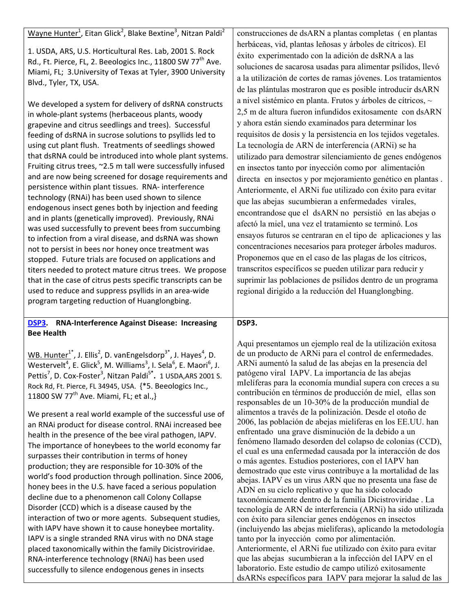| persistence within plant tissues. RNA- interference<br>technology (RNAi) has been used shown to silence<br>endogenous insect genes both by injection and feeding<br>and in plants (genetically improved). Previously, RNAi<br>was used successfully to prevent bees from succumbing<br>to infection from a viral disease, and dsRNA was shown<br>not to persist in bees nor honey once treatment was<br>stopped. Future trials are focused on applications and<br>titers needed to protect mature citrus trees. We propose<br>that in the case of citrus pests specific transcripts can be<br>used to reduce and suppress psyllids in an area-wide<br>program targeting reduction of Huanglongbing.<br><b>RNA-Interference Against Disease: Increasing</b><br>DSP3.<br><b>Bee Health</b><br>WB. Hunter <sup>1</sup> <sup>*</sup> , J. Ellis <sup>2</sup> , D. vanEngelsdorp <sup>3*</sup> , J. Hayes <sup>4</sup> , D.<br>Westervelt <sup>4</sup> , E. Glick <sup>5</sup> , M. Williams <sup>3</sup> , I. Sela <sup>6</sup> , E. Maori <sup>6</sup> , J.<br>Pettis <sup>7</sup> , D. Cox-Foster <sup>3</sup> , Nitzan Paldi <sup>5*</sup> . 1 USDA, ARS 2001 S. | Anteriormente, el ARNi fue utilizado con éxito para evitar<br>que las abejas sucumbieran a enfermedades virales,<br>encontrandose que el dsARN no persistió en las abejas o<br>afectó la miel, una vez el tratamiento se terminó. Los<br>ensayos futuros se centraran en el tipo de aplicaciones y las<br>concentraciones necesarios para proteger árboles maduros.<br>Proponemos que en el caso de las plagas de los cítricos,<br>transcritos específicos se pueden utilizar para reducir y<br>suprimir las poblaciones de psílidos dentro de un programa<br>regional dirigido a la reducción del Huanglongbing.<br>DSP3.<br>Aqui presentamos un ejemplo real de la utilización exitosa<br>de un producto de ARNi para el control de enfermedades.<br>ARNi aumentó la salud de las abejas en la presencia del<br>patógeno viral IAPV. La importancia de las abejas         |
|-----------------------------------------------------------------------------------------------------------------------------------------------------------------------------------------------------------------------------------------------------------------------------------------------------------------------------------------------------------------------------------------------------------------------------------------------------------------------------------------------------------------------------------------------------------------------------------------------------------------------------------------------------------------------------------------------------------------------------------------------------------------------------------------------------------------------------------------------------------------------------------------------------------------------------------------------------------------------------------------------------------------------------------------------------------------------------------------------------------------------------------------------------------------|-----------------------------------------------------------------------------------------------------------------------------------------------------------------------------------------------------------------------------------------------------------------------------------------------------------------------------------------------------------------------------------------------------------------------------------------------------------------------------------------------------------------------------------------------------------------------------------------------------------------------------------------------------------------------------------------------------------------------------------------------------------------------------------------------------------------------------------------------------------------------------|
| Wayne Hunter <sup>1</sup> , Eitan Glick <sup>2</sup> , Blake Bextine <sup>3</sup> , Nitzan Paldi <sup>2</sup><br>1. USDA, ARS, U.S. Horticultural Res. Lab, 2001 S. Rock<br>Rd., Ft. Pierce, FL, 2. Beeologics Inc., 11800 SW 77 <sup>th</sup> Ave.<br>Miami, FL; 3. University of Texas at Tyler, 3900 University<br>Blvd., Tyler, TX, USA.<br>We developed a system for delivery of dsRNA constructs<br>in whole-plant systems (herbaceous plants, woody<br>grapevine and citrus seedlings and trees). Successful<br>feeding of dsRNA in sucrose solutions to psyllids led to<br>using cut plant flush. Treatments of seedlings showed<br>that dsRNA could be introduced into whole plant systems.<br>Fruiting citrus trees, ~2.5 m tall were successfully infused<br>and are now being screened for dosage requirements and                                                                                                                                                                                                                                                                                                                                  | construcciones de dsARN a plantas completas (en plantas<br>herbáceas, vid, plantas leñosas y árboles de cítricos). El<br>éxito experimentado con la adición de dsRNA a las<br>soluciones de sacarosa usadas para alimentar psílidos, llevó<br>a la utilización de cortes de ramas jóvenes. Los tratamientos<br>de las plántulas mostraron que es posible introducir dsARN<br>a nivel sistémico en planta. Frutos y árboles de cítricos, ~<br>2,5 m de altura fueron infundidos exitosamente con dsARN<br>y ahora están siendo examinados para determinar los<br>requisitos de dosis y la persistencia en los tejidos vegetales.<br>La tecnología de ARN de interferencia (ARNi) se ha<br>utilizado para demostrar silenciamiento de genes endógenos<br>en insectos tanto por inyección como por alimentación<br>directa en insectos y por mejoramiento genético en plantas. |

We present a real world example of the successful use of an RNAi product for disease control. RNAi increased bee health in the presence of the bee viral pathogen, IAPV. The importance of honeybees to the world economy far surpasses their contribution in terms of honey production; they are responsible for 10‐30% of the world's food production through pollination. Since 2006, honey bees in the U.S. have faced a serious population decline due to a phenomenon call Colony Collapse Disorder (CCD) which is a disease caused by the interaction of two or more agents. Subsequent studies, with IAPV have shown it to cause honeybee mortality. IAPV is a single stranded RNA virus with no DNA stage placed taxonomically within the family Dicistroviridae. RNA‐interference technology (RNAi) has been used successfully to silence endogenous genes in insects

Rock Rd, Ft. Pierce, FL 34945, USA. {\*5. Beeologics Inc.,

11800 SW 77<sup>th</sup> Ave. Miami, FL; et al., }

#### patógeno viral IAPV. La importancia de las abejas mIelíferas para la economía mundial supera con creces a su contribución en términos de producción de miel, ellas son responsables de un 10-30% de la producción mundial de alimentos a través de la polinización. Desde el otoño de 2006, las población de abejas mieliferas en los EE.UU. han enfrentado una grave disminución de la debido a un fenómeno llamado desorden del colapso de colonias (CCD), el cual es una enfermedad causada por la interacción de dos o más agentes. Estudios posteriores, con el IAPV han demostrado que este virus contribuye a la mortalidad de las abejas. IAPV es un virus ARN que no presenta una fase de ADN en su ciclo replicativo y que ha sido colocado taxonómicamente dentro de la familia Dicistroviridae . La tecnología de ARN de interferencia (ARNi) ha sido utilizada con éxito para silenciar genes endógenos en insectos (incluiyendo las abejas mieliferas), aplicando la metodología tanto por la inyección como por alimentación. Anteriormente, el ARNi fue utilizado con éxito para evitar que las abejas sucumbieran a la infección del IAPV en el laboratorio. Este estudio de campo utilizó exitosamente dsARNs específicos para IAPV para mejorar la salud de las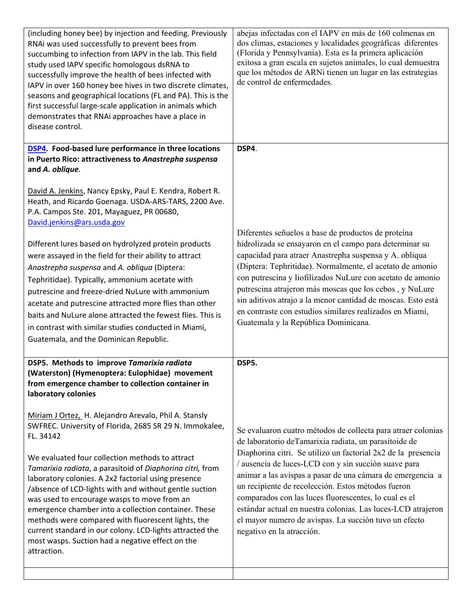| (including honey bee) by injection and feeding. Previously<br>RNAi was used successfully to prevent bees from<br>succumbing to infection from IAPV in the lab. This field<br>study used IAPV specific homologous dsRNA to<br>successfully improve the health of bees infected with<br>IAPV in over 160 honey bee hives in two discrete climates,<br>seasons and geographical locations (FL and PA). This is the<br>first successful large-scale application in animals which<br>demonstrates that RNAi approaches have a place in<br>disease control.                                                                                                                                         | abejas infectadas con el IAPV en más de 160 colmenas en<br>dos climas, estaciones y localidades geográficas diferentes<br>(Florida y Pennsylvania). Esta es la primera aplicación<br>exitosa a gran escala en sujetos animales, lo cual demuestra<br>que los métodos de ARNi tienen un lugar en las estrategias<br>de control de enfermedades.                                                                                                                                                                                                                                     |
|-----------------------------------------------------------------------------------------------------------------------------------------------------------------------------------------------------------------------------------------------------------------------------------------------------------------------------------------------------------------------------------------------------------------------------------------------------------------------------------------------------------------------------------------------------------------------------------------------------------------------------------------------------------------------------------------------|------------------------------------------------------------------------------------------------------------------------------------------------------------------------------------------------------------------------------------------------------------------------------------------------------------------------------------------------------------------------------------------------------------------------------------------------------------------------------------------------------------------------------------------------------------------------------------|
| <b>DSP4.</b> Food-based lure performance in three locations<br>in Puerto Rico: attractiveness to Anastrepha suspensa                                                                                                                                                                                                                                                                                                                                                                                                                                                                                                                                                                          | DSP4.                                                                                                                                                                                                                                                                                                                                                                                                                                                                                                                                                                              |
| and A. oblique.                                                                                                                                                                                                                                                                                                                                                                                                                                                                                                                                                                                                                                                                               |                                                                                                                                                                                                                                                                                                                                                                                                                                                                                                                                                                                    |
| David A. Jenkins, Nancy Epsky, Paul E. Kendra, Robert R.<br>Heath, and Ricardo Goenaga. USDA-ARS-TARS, 2200 Ave.<br>P.A. Campos Ste. 201, Mayaguez, PR 00680,<br>David.jenkins@ars.usda.gov<br>Different lures based on hydrolyzed protein products<br>were assayed in the field for their ability to attract<br>Anastrepha suspensa and A. obliqua (Diptera:<br>Tephritidae). Typically, ammonium acetate with<br>putrescine and freeze-dried NuLure with ammonium<br>acetate and putrescine attracted more flies than other<br>baits and NuLure alone attracted the fewest flies. This is<br>in contrast with similar studies conducted in Miami,<br>Guatemala, and the Dominican Republic. | Diferentes señuelos a base de productos de proteína<br>hidrolizada se ensayaron en el campo para determinar su<br>capacidad para atraer Anastrepha suspensa y A. obliqua<br>(Diptera: Tephritidae). Normalmente, el acetato de amonio<br>con putrescina y liofilizados NuLure con acetato de amonio<br>putrescina atrajeron más moscas que los cebos, y NuLure<br>sin aditivos atrajo a la menor cantidad de moscas. Esto está<br>en contraste con estudios similares realizados en Miami,<br>Guatemala y la República Dominicana.                                                 |
| DSP5. Methods to improve Tamarixia radiata<br>(Waterston) (Hymenoptera: Eulophidae) movement<br>from emergence chamber to collection container in<br>laboratory colonies                                                                                                                                                                                                                                                                                                                                                                                                                                                                                                                      | DSP5.                                                                                                                                                                                                                                                                                                                                                                                                                                                                                                                                                                              |
| Miriam J Ortez, H. Alejandro Arevalo, Phil A. Stansly<br>SWFREC. University of Florida, 2685 SR 29 N. Immokalee,<br>FL. 34142<br>We evaluated four collection methods to attract<br>Tamarixia radiata, a parasitoid of Diaphorina citri, from<br>laboratory colonies. A 2x2 factorial using presence<br>/absence of LCD-lights with and without gentle suction<br>was used to encourage wasps to move from an<br>emergence chamber into a collection container. These<br>methods were compared with fluorescent lights, the<br>current standard in our colony. LCD-lights attracted the<br>most wasps. Suction had a negative effect on the<br>attraction.                                    | Se evaluaron cuatro métodos de collecta para atraer colonias<br>de laboratorio de Tamarixia radiata, un parasitoide de<br>Diaphorina citri. Se utilizo un factorial 2x2 de la presencia<br>/ ausencia de luces-LCD con y sin succión suave para<br>animar a las avispas a pasar de una cámara de emergencia a<br>un recipiente de recolección. Estos métodos fueron<br>comparados con las luces fluorescentes, lo cual es el<br>estándar actual en nuestra colonias. Las luces-LCD atrajeron<br>el mayor numero de avispas. La succión tuvo un efecto<br>negativo en la atracción. |
|                                                                                                                                                                                                                                                                                                                                                                                                                                                                                                                                                                                                                                                                                               |                                                                                                                                                                                                                                                                                                                                                                                                                                                                                                                                                                                    |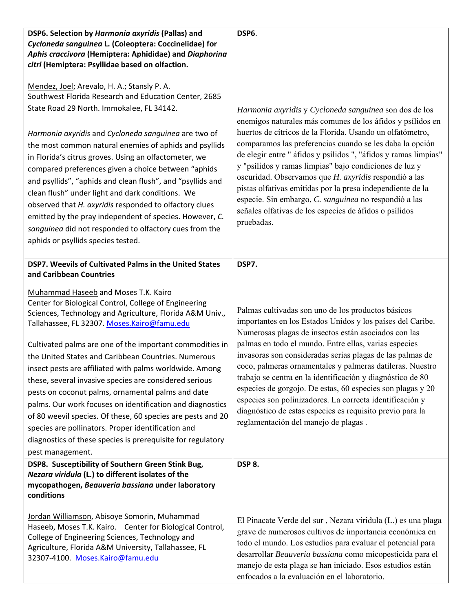| DSP6. Selection by Harmonia axyridis (Pallas) and                                                                                                                                                                                                                                                                                                                                                                                                                                                                                                                                                                                                                                                                                                                                                     | DSP6.                                                                                                                                                                                                                                                                                                                                                                                                                                                                                                                                                                                                                                                    |
|-------------------------------------------------------------------------------------------------------------------------------------------------------------------------------------------------------------------------------------------------------------------------------------------------------------------------------------------------------------------------------------------------------------------------------------------------------------------------------------------------------------------------------------------------------------------------------------------------------------------------------------------------------------------------------------------------------------------------------------------------------------------------------------------------------|----------------------------------------------------------------------------------------------------------------------------------------------------------------------------------------------------------------------------------------------------------------------------------------------------------------------------------------------------------------------------------------------------------------------------------------------------------------------------------------------------------------------------------------------------------------------------------------------------------------------------------------------------------|
| Cycloneda sanguinea L. (Coleoptera: Coccinelidae) for<br>Aphis craccivora (Hemiptera: Aphididae) and Diaphorina<br>citri (Hemiptera: Psyllidae based on olfaction.                                                                                                                                                                                                                                                                                                                                                                                                                                                                                                                                                                                                                                    |                                                                                                                                                                                                                                                                                                                                                                                                                                                                                                                                                                                                                                                          |
| Mendez, Joel; Arevalo, H. A.; Stansly P. A.<br>Southwest Florida Research and Education Center, 2685<br>State Road 29 North. Immokalee, FL 34142.<br>Harmonia axyridis and Cycloneda sanguinea are two of<br>the most common natural enemies of aphids and psyllids<br>in Florida's citrus groves. Using an olfactometer, we<br>compared preferences given a choice between "aphids<br>and psyllids", "aphids and clean flush", and "psyllids and<br>clean flush" under light and dark conditions. We<br>observed that H. axyridis responded to olfactory clues<br>emitted by the pray independent of species. However, C.<br>sanguinea did not responded to olfactory cues from the<br>aphids or psyllids species tested.                                                                            | Harmonia axyridis y Cycloneda sanguinea son dos de los<br>enemigos naturales más comunes de los áfidos y psílidos en<br>huertos de cítricos de la Florida. Usando un olfatómetro,<br>comparamos las preferencias cuando se les daba la opción<br>de elegir entre "áfidos y psílidos ", "áfidos y ramas limpias"<br>y "psílidos y ramas limpias" bajo condiciones de luz y<br>oscuridad. Observamos que H. axyridis respondió a las<br>pistas olfativas emitidas por la presa independiente de la<br>especie. Sin embargo, C. sanguinea no respondió a las<br>señales olfativas de los especies de áfidos o psílidos<br>pruebadas.                        |
| DSP7. Weevils of Cultivated Palms in the United States                                                                                                                                                                                                                                                                                                                                                                                                                                                                                                                                                                                                                                                                                                                                                | DSP7.                                                                                                                                                                                                                                                                                                                                                                                                                                                                                                                                                                                                                                                    |
| and Caribbean Countries<br>Muhammad Haseeb and Moses T.K. Kairo<br>Center for Biological Control, College of Engineering<br>Sciences, Technology and Agriculture, Florida A&M Univ.,<br>Tallahassee, FL 32307. Moses.Kairo@famu.edu<br>Cultivated palms are one of the important commodities in<br>the United States and Caribbean Countries. Numerous<br>insect pests are affiliated with palms worldwide. Among<br>these, several invasive species are considered serious<br>pests on coconut palms, ornamental palms and date<br>palms. Our work focuses on identification and diagnostics<br>of 80 weevil species. Of these, 60 species are pests and 20<br>species are pollinators. Proper identification and<br>diagnostics of these species is prerequisite for regulatory<br>pest management. | Palmas cultivadas son uno de los productos básicos<br>importantes en los Estados Unidos y los países del Caribe.<br>Numerosas plagas de insectos están asociados con las<br>palmas en todo el mundo. Entre ellas, varias especies<br>invasoras son consideradas serias plagas de las palmas de<br>coco, palmeras ornamentales y palmeras datileras. Nuestro<br>trabajo se centra en la identificación y diagnóstico de 80<br>especies de gorgojo. De estas, 60 especies son plagas y 20<br>especies son polinizadores. La correcta identificación y<br>diagnóstico de estas especies es requisito previo para la<br>reglamentación del manejo de plagas. |
| DSP8. Susceptibility of Southern Green Stink Bug,                                                                                                                                                                                                                                                                                                                                                                                                                                                                                                                                                                                                                                                                                                                                                     | DSP 8.                                                                                                                                                                                                                                                                                                                                                                                                                                                                                                                                                                                                                                                   |
| Nezara viridula (L.) to different isolates of the<br>mycopathogen, Beauveria bassiana under laboratory<br>conditions                                                                                                                                                                                                                                                                                                                                                                                                                                                                                                                                                                                                                                                                                  |                                                                                                                                                                                                                                                                                                                                                                                                                                                                                                                                                                                                                                                          |
| Jordan Williamson, Abisoye Somorin, Muhammad<br>Haseeb, Moses T.K. Kairo. Center for Biological Control,<br>College of Engineering Sciences, Technology and<br>Agriculture, Florida A&M University, Tallahassee, FL<br>32307-4100. Moses.Kairo@famu.edu                                                                                                                                                                                                                                                                                                                                                                                                                                                                                                                                               | El Pinacate Verde del sur, Nezara viridula (L.) es una plaga<br>grave de numerosos cultivos de importancia económica en<br>todo el mundo. Los estudios para evaluar el potencial para<br>desarrollar Beauveria bassiana como micopesticida para el<br>manejo de esta plaga se han iniciado. Esos estudios están<br>enfocados a la evaluación en el laboratorio.                                                                                                                                                                                                                                                                                          |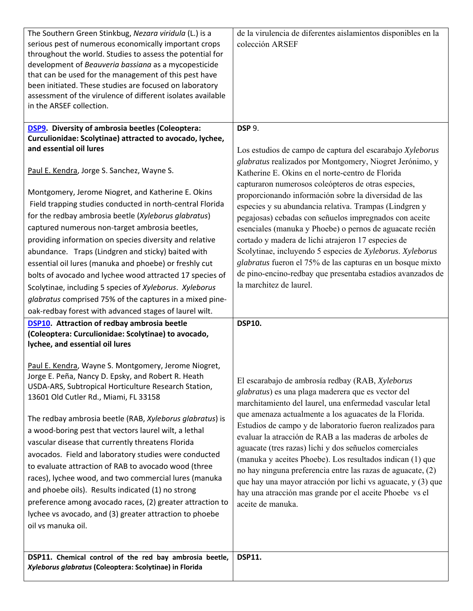| DSP11. Chemical control of the red bay ambrosia beetle,                                                                                                                                                                                                                                                                                                                                                                                                                                                                                                                                                                                                                                                                                                                                               | <b>DSP11.</b>                                                                                                                                                                                                                                                                                                                                                                                                                                                                                                                                                                                                                                                                              |
|-------------------------------------------------------------------------------------------------------------------------------------------------------------------------------------------------------------------------------------------------------------------------------------------------------------------------------------------------------------------------------------------------------------------------------------------------------------------------------------------------------------------------------------------------------------------------------------------------------------------------------------------------------------------------------------------------------------------------------------------------------------------------------------------------------|--------------------------------------------------------------------------------------------------------------------------------------------------------------------------------------------------------------------------------------------------------------------------------------------------------------------------------------------------------------------------------------------------------------------------------------------------------------------------------------------------------------------------------------------------------------------------------------------------------------------------------------------------------------------------------------------|
| lychee, and essential oil lures<br>Paul E. Kendra, Wayne S. Montgomery, Jerome Niogret,<br>Jorge E. Peña, Nancy D. Epsky, and Robert R. Heath<br>USDA-ARS, Subtropical Horticulture Research Station,<br>13601 Old Cutler Rd., Miami, FL 33158<br>The redbay ambrosia beetle (RAB, Xyleborus glabratus) is<br>a wood-boring pest that vectors laurel wilt, a lethal<br>vascular disease that currently threatens Florida<br>avocados. Field and laboratory studies were conducted<br>to evaluate attraction of RAB to avocado wood (three<br>races), lychee wood, and two commercial lures (manuka<br>and phoebe oils). Results indicated (1) no strong<br>preference among avocado races, (2) greater attraction to<br>lychee vs avocado, and (3) greater attraction to phoebe<br>oil vs manuka oil. | El escarabajo de ambrosía redbay (RAB, Xyleborus<br>glabratus) es una plaga maderera que es vector del<br>marchitamiento del laurel, una enfermedad vascular letal<br>que amenaza actualmente a los aguacates de la Florida.<br>Estudios de campo y de laboratorio fueron realizados para<br>evaluar la atracción de RAB a las maderas de arboles de<br>aguacate (tres razas) lichi y dos señuelos comerciales<br>(manuka y aceites Phoebe). Los resultados indican (1) que<br>no hay ninguna preferencia entre las razas de aguacate, (2)<br>que hay una mayor atracción por lichi vs aguacate, y (3) que<br>hay una atracción mas grande por el aceite Phoebe vs el<br>aceite de manuka. |
| <b>DSP10.</b> Attraction of redbay ambrosia beetle<br>(Coleoptera: Curculionidae: Scolytinae) to avocado,                                                                                                                                                                                                                                                                                                                                                                                                                                                                                                                                                                                                                                                                                             | <b>DSP10.</b>                                                                                                                                                                                                                                                                                                                                                                                                                                                                                                                                                                                                                                                                              |
| glabratus comprised 75% of the captures in a mixed pine-<br>oak-redbay forest with advanced stages of laurel wilt.                                                                                                                                                                                                                                                                                                                                                                                                                                                                                                                                                                                                                                                                                    |                                                                                                                                                                                                                                                                                                                                                                                                                                                                                                                                                                                                                                                                                            |
| bolts of avocado and lychee wood attracted 17 species of<br>Scolytinae, including 5 species of Xyleborus. Xyleborus                                                                                                                                                                                                                                                                                                                                                                                                                                                                                                                                                                                                                                                                                   | de pino-encino-redbay que presentaba estadios avanzados de<br>la marchitez de laurel.                                                                                                                                                                                                                                                                                                                                                                                                                                                                                                                                                                                                      |
| essential oil lures (manuka and phoebe) or freshly cut                                                                                                                                                                                                                                                                                                                                                                                                                                                                                                                                                                                                                                                                                                                                                | glabratus fueron el 75% de las capturas en un bosque mixto                                                                                                                                                                                                                                                                                                                                                                                                                                                                                                                                                                                                                                 |
| abundance. Traps (Lindgren and sticky) baited with                                                                                                                                                                                                                                                                                                                                                                                                                                                                                                                                                                                                                                                                                                                                                    | Scolytinae, incluyendo 5 especies de Xyleborus. Xyleborus                                                                                                                                                                                                                                                                                                                                                                                                                                                                                                                                                                                                                                  |
| providing information on species diversity and relative                                                                                                                                                                                                                                                                                                                                                                                                                                                                                                                                                                                                                                                                                                                                               | cortado y madera de lichi atrajeron 17 especies de                                                                                                                                                                                                                                                                                                                                                                                                                                                                                                                                                                                                                                         |
| captured numerous non-target ambrosia beetles,                                                                                                                                                                                                                                                                                                                                                                                                                                                                                                                                                                                                                                                                                                                                                        | esenciales (manuka y Phoebe) o pernos de aguacate recién                                                                                                                                                                                                                                                                                                                                                                                                                                                                                                                                                                                                                                   |
| for the redbay ambrosia beetle (Xyleborus glabratus)                                                                                                                                                                                                                                                                                                                                                                                                                                                                                                                                                                                                                                                                                                                                                  | pegajosas) cebadas con señuelos impregnados con aceite                                                                                                                                                                                                                                                                                                                                                                                                                                                                                                                                                                                                                                     |
| Field trapping studies conducted in north-central Florida                                                                                                                                                                                                                                                                                                                                                                                                                                                                                                                                                                                                                                                                                                                                             | especies y su abundancia relativa. Trampas (Lindgren y                                                                                                                                                                                                                                                                                                                                                                                                                                                                                                                                                                                                                                     |
| Montgomery, Jerome Niogret, and Katherine E. Okins                                                                                                                                                                                                                                                                                                                                                                                                                                                                                                                                                                                                                                                                                                                                                    | capturaron numerosos coleópteros de otras especies,<br>proporcionando información sobre la diversidad de las                                                                                                                                                                                                                                                                                                                                                                                                                                                                                                                                                                               |
| Paul E. Kendra, Jorge S. Sanchez, Wayne S.                                                                                                                                                                                                                                                                                                                                                                                                                                                                                                                                                                                                                                                                                                                                                            | glabratus realizados por Montgomery, Niogret Jerónimo, y<br>Katherine E. Okins en el norte-centro de Florida                                                                                                                                                                                                                                                                                                                                                                                                                                                                                                                                                                               |
| Curculionidae: Scolytinae) attracted to avocado, lychee,<br>and essential oil lures                                                                                                                                                                                                                                                                                                                                                                                                                                                                                                                                                                                                                                                                                                                   | Los estudios de campo de captura del escarabajo Xyleborus                                                                                                                                                                                                                                                                                                                                                                                                                                                                                                                                                                                                                                  |
| <b>DSP9.</b> Diversity of ambrosia beetles (Coleoptera:                                                                                                                                                                                                                                                                                                                                                                                                                                                                                                                                                                                                                                                                                                                                               | <b>DSP 9.</b>                                                                                                                                                                                                                                                                                                                                                                                                                                                                                                                                                                                                                                                                              |
| throughout the world. Studies to assess the potential for<br>development of Beauveria bassiana as a mycopesticide<br>that can be used for the management of this pest have<br>been initiated. These studies are focused on laboratory<br>assessment of the virulence of different isolates available<br>in the ARSEF collection.                                                                                                                                                                                                                                                                                                                                                                                                                                                                      |                                                                                                                                                                                                                                                                                                                                                                                                                                                                                                                                                                                                                                                                                            |
| The Southern Green Stinkbug, Nezara viridula (L.) is a<br>serious pest of numerous economically important crops                                                                                                                                                                                                                                                                                                                                                                                                                                                                                                                                                                                                                                                                                       | de la virulencia de diferentes aislamientos disponibles en la<br>colección ARSEF                                                                                                                                                                                                                                                                                                                                                                                                                                                                                                                                                                                                           |
|                                                                                                                                                                                                                                                                                                                                                                                                                                                                                                                                                                                                                                                                                                                                                                                                       |                                                                                                                                                                                                                                                                                                                                                                                                                                                                                                                                                                                                                                                                                            |

*Xyleborus glabratus* **(Coleoptera: Scolytinae) in Florida**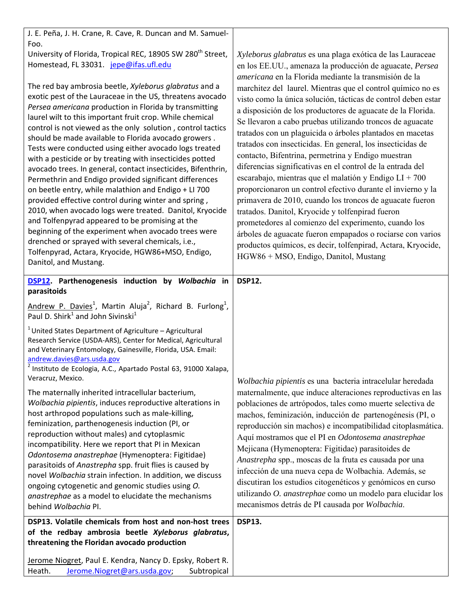| J. E. Peña, J. H. Crane, R. Cave, R. Duncan and M. Samuel-                                                                                                                                                                                                                                                                                                                                                                                                                                                                                                                                                                                                                                                                                                                                                                                                                                                                                                                                                                               |                                                                                                                                                                                                                                                                                                                                                                                                                                                                                                                                                                                                                                                                                                                                                                                                                                                                                                                                                                                   |
|------------------------------------------------------------------------------------------------------------------------------------------------------------------------------------------------------------------------------------------------------------------------------------------------------------------------------------------------------------------------------------------------------------------------------------------------------------------------------------------------------------------------------------------------------------------------------------------------------------------------------------------------------------------------------------------------------------------------------------------------------------------------------------------------------------------------------------------------------------------------------------------------------------------------------------------------------------------------------------------------------------------------------------------|-----------------------------------------------------------------------------------------------------------------------------------------------------------------------------------------------------------------------------------------------------------------------------------------------------------------------------------------------------------------------------------------------------------------------------------------------------------------------------------------------------------------------------------------------------------------------------------------------------------------------------------------------------------------------------------------------------------------------------------------------------------------------------------------------------------------------------------------------------------------------------------------------------------------------------------------------------------------------------------|
| Foo.<br>University of Florida, Tropical REC, 18905 SW 280 <sup>th</sup> Street,<br>Homestead, FL 33031. jepe@ifas.ufl.edu                                                                                                                                                                                                                                                                                                                                                                                                                                                                                                                                                                                                                                                                                                                                                                                                                                                                                                                | Xyleborus glabratus es una plaga exótica de las Lauraceae<br>en los EE.UU., amenaza la producción de aguacate, Persea<br>americana en la Florida mediante la transmisión de la                                                                                                                                                                                                                                                                                                                                                                                                                                                                                                                                                                                                                                                                                                                                                                                                    |
| The red bay ambrosia beetle, Xyleborus glabratus and a<br>exotic pest of the Lauraceae in the US, threatens avocado<br>Persea americana production in Florida by transmitting<br>laurel wilt to this important fruit crop. While chemical<br>control is not viewed as the only solution, control tactics<br>should be made available to Florida avocado growers.<br>Tests were conducted using either avocado logs treated<br>with a pesticide or by treating with insecticides potted<br>avocado trees. In general, contact insecticides, Bifenthrin,<br>Permethrin and Endigo provided significant differences<br>on beetle entry, while malathion and Endigo + LI 700<br>provided effective control during winter and spring,<br>2010, when avocado logs were treated. Danitol, Kryocide<br>and Tolfenpyrad appeared to be promising at the<br>beginning of the experiment when avocado trees were<br>drenched or sprayed with several chemicals, i.e.,<br>Tolfenpyrad, Actara, Kryocide, HGW86+MSO, Endigo,<br>Danitol, and Mustang. | marchitez del laurel. Mientras que el control químico no es<br>visto como la única solución, tácticas de control deben estar<br>a disposición de los productores de aguacate de la Florida.<br>Se llevaron a cabo pruebas utilizando troncos de aguacate<br>tratados con un plaguicida o árboles plantados en macetas<br>tratados con insecticidas. En general, los insecticidas de<br>contacto, Bifentrina, permetrina y Endigo muestran<br>diferencias significativas en el control de la entrada del<br>escarabajo, mientras que el malatión y Endigo $LI + 700$<br>proporcionaron un control efectivo durante el invierno y la<br>primavera de 2010, cuando los troncos de aguacate fueron<br>tratados. Danitol, Kryocide y tolfenpirad fueron<br>prometedores al comienzo del experimento, cuando los<br>árboles de aguacate fueron empapados o rociarse con varios<br>productos químicos, es decir, tolfenpirad, Actara, Kryocide,<br>HGW86 + MSO, Endigo, Danitol, Mustang |
| DSP12. Parthenogenesis induction by Wolbachia in<br>parasitoids                                                                                                                                                                                                                                                                                                                                                                                                                                                                                                                                                                                                                                                                                                                                                                                                                                                                                                                                                                          | <b>DSP12.</b>                                                                                                                                                                                                                                                                                                                                                                                                                                                                                                                                                                                                                                                                                                                                                                                                                                                                                                                                                                     |
| Andrew P. Davies <sup>1</sup> , Martin Aluja <sup>2</sup> , Richard B. Furlong <sup>1</sup> ,<br>Paul D. Shirk <sup>1</sup> and John Sivinski <sup>1</sup>                                                                                                                                                                                                                                                                                                                                                                                                                                                                                                                                                                                                                                                                                                                                                                                                                                                                               |                                                                                                                                                                                                                                                                                                                                                                                                                                                                                                                                                                                                                                                                                                                                                                                                                                                                                                                                                                                   |
| <sup>1</sup> United States Department of Agriculture - Agricultural<br>Research Service (USDA-ARS), Center for Medical, Agricultural<br>and Veterinary Entomology, Gainesville, Florida, USA. Email:<br>andrew.davies@ars.usda.gov<br><sup>2</sup> Instituto de Ecologia, A.C., Apartado Postal 63, 91000 Xalapa,<br>Veracruz, Mexico.                                                                                                                                                                                                                                                                                                                                                                                                                                                                                                                                                                                                                                                                                                   | Wolbachia pipientis es una bacteria intracelular heredada                                                                                                                                                                                                                                                                                                                                                                                                                                                                                                                                                                                                                                                                                                                                                                                                                                                                                                                         |
| The maternally inherited intracellular bacterium,<br>Wolbachia pipientis, induces reproductive alterations in<br>host arthropod populations such as male-killing,<br>feminization, parthenogenesis induction (PI, or<br>reproduction without males) and cytoplasmic<br>incompatibility. Here we report that PI in Mexican<br>Odontosema anastrephae (Hymenoptera: Figitidae)<br>parasitoids of Anastrepha spp. fruit flies is caused by<br>novel Wolbachia strain infection. In addition, we discuss<br>ongoing cytogenetic and genomic studies using O.<br>anastrephae as a model to elucidate the mechanisms<br>behind Wolbachia PI.                                                                                                                                                                                                                                                                                                                                                                                                   | maternalmente, que induce alteraciones reproductivas en las<br>poblaciones de artrópodos, tales como muerte selectiva de<br>machos, feminización, inducción de partenogénesis (PI, o<br>reproducción sin machos) e incompatibilidad citoplasmática.<br>Aquí mostramos que el PI en Odontosema anastrephae<br>Mejicana (Hymenoptera: Figitidae) parasitoides de<br>Anastrepha spp., moscas de la fruta es causada por una<br>infección de una nueva cepa de Wolbachia. Además, se<br>discutiran los estudios citogenéticos y genómicos en curso<br>utilizando O. anastrephae como un modelo para elucidar los<br>mecanismos detrás de PI causada por Wolbachia.                                                                                                                                                                                                                                                                                                                    |
| DSP13. Volatile chemicals from host and non-host trees<br>of the redbay ambrosia beetle Xyleborus glabratus,                                                                                                                                                                                                                                                                                                                                                                                                                                                                                                                                                                                                                                                                                                                                                                                                                                                                                                                             | <b>DSP13.</b>                                                                                                                                                                                                                                                                                                                                                                                                                                                                                                                                                                                                                                                                                                                                                                                                                                                                                                                                                                     |
| threatening the Floridan avocado production                                                                                                                                                                                                                                                                                                                                                                                                                                                                                                                                                                                                                                                                                                                                                                                                                                                                                                                                                                                              |                                                                                                                                                                                                                                                                                                                                                                                                                                                                                                                                                                                                                                                                                                                                                                                                                                                                                                                                                                                   |
| Jerome Niogret, Paul E. Kendra, Nancy D. Epsky, Robert R.<br>Heath.<br>Jerome.Niogret@ars.usda.gov;<br>Subtropical                                                                                                                                                                                                                                                                                                                                                                                                                                                                                                                                                                                                                                                                                                                                                                                                                                                                                                                       |                                                                                                                                                                                                                                                                                                                                                                                                                                                                                                                                                                                                                                                                                                                                                                                                                                                                                                                                                                                   |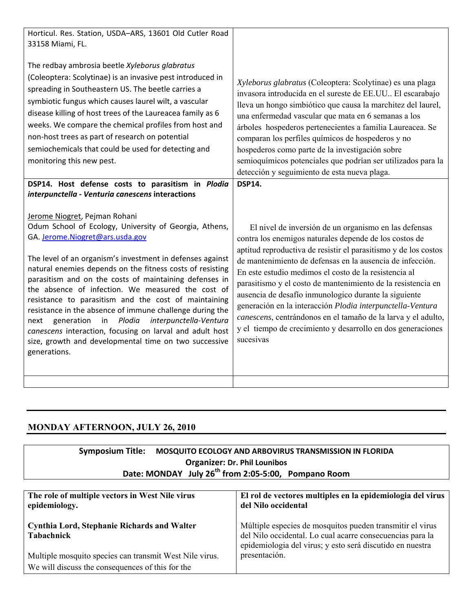| Horticul. Res. Station, USDA-ARS, 13601 Old Cutler Road<br>33158 Miami, FL.<br>The redbay ambrosia beetle Xyleborus glabratus<br>(Coleoptera: Scolytinae) is an invasive pest introduced in<br>spreading in Southeastern US. The beetle carries a<br>symbiotic fungus which causes laurel wilt, a vascular<br>disease killing of host trees of the Laureacea family as 6<br>weeks. We compare the chemical profiles from host and<br>non-host trees as part of research on potential<br>semiochemicals that could be used for detecting and<br>monitoring this new pest. | Xyleborus glabratus (Coleoptera: Scolytinae) es una plaga<br>invasora introducida en el sureste de EE.UU El escarabajo<br>lleva un hongo simbiótico que causa la marchitez del laurel,<br>una enfermedad vascular que mata en 6 semanas a los<br>árboles hospederos pertenecientes a familia Laureacea. Se<br>comparan los perfiles químicos de hospederos y no<br>hospederos como parte de la investigación sobre<br>semioquímicos potenciales que podrían ser utilizados para la<br>detección y seguimiento de esta nueva plaga. |
|--------------------------------------------------------------------------------------------------------------------------------------------------------------------------------------------------------------------------------------------------------------------------------------------------------------------------------------------------------------------------------------------------------------------------------------------------------------------------------------------------------------------------------------------------------------------------|------------------------------------------------------------------------------------------------------------------------------------------------------------------------------------------------------------------------------------------------------------------------------------------------------------------------------------------------------------------------------------------------------------------------------------------------------------------------------------------------------------------------------------|
| DSP14. Host defense costs to parasitism in Plodia<br>interpunctella - Venturia canescens interactions<br>Jerome Niogret, Pejman Rohani<br>Odum School of Ecology, University of Georgia, Athens,<br>GA. Jerome.Niogret@ars.usda.gov<br>The level of an organism's investment in defenses against<br>natural enemies depends on the fitness costs of resisting<br>parasitism and on the costs of maintaining defenses in<br>the absence of infection. We measured the cost of<br>resistance to parasitism and the cost of maintaining                                     | <b>DSP14.</b><br>El nivel de inversión de un organismo en las defensas<br>contra los enemigos naturales depende de los costos de<br>aptitud reproductiva de resistir el parasitismo y de los costos<br>de mantenimiento de defensas en la ausencia de infección.<br>En este estudio medimos el costo de la resistencia al<br>parasitismo y el costo de mantenimiento de la resistencia en<br>ausencia de desafío inmunologico durante la siguiente<br>generación en la interacción Plodia interpunctella-Ventura                   |
| resistance in the absence of immune challenge during the<br>Plodia<br>interpunctella-Ventura<br>next<br>generation<br>in<br>canescens interaction, focusing on larval and adult host<br>size, growth and developmental time on two successive<br>generations.                                                                                                                                                                                                                                                                                                            | canescens, centrándonos en el tamaño de la larva y el adulto,<br>y el tiempo de crecimiento y desarrollo en dos generaciones<br>sucesivas                                                                                                                                                                                                                                                                                                                                                                                          |

## **MONDAY AFTERNOON, JULY 26, 2010**

| Symposium Title: MOSQUITO ECOLOGY AND ARBOVIRUS TRANSMISSION IN FLORIDA |
|-------------------------------------------------------------------------|
| <b>Organizer: Dr. Phil Lounibos</b>                                     |
| Date: MONDAY July 26 <sup>th</sup> from 2:05-5:00, Pompano Room         |

| The role of multiple vectors in West Nile virus<br>epidemiology.                                            | El rol de vectores multiples en la epidemiologia del virus<br>del Nilo occidental                                                                                                   |
|-------------------------------------------------------------------------------------------------------------|-------------------------------------------------------------------------------------------------------------------------------------------------------------------------------------|
| <b>Cynthia Lord, Stephanie Richards and Walter</b><br>Tabachnick                                            | Múltiple especies de mosquitos pueden transmitir el virus<br>del Nilo occidental. Lo cual acarre consecuencias para la<br>epidemiologia del virus; y esto será discutido en nuestra |
| Multiple mosquito species can transmit West Nile virus.<br>We will discuss the consequences of this for the | presentación.                                                                                                                                                                       |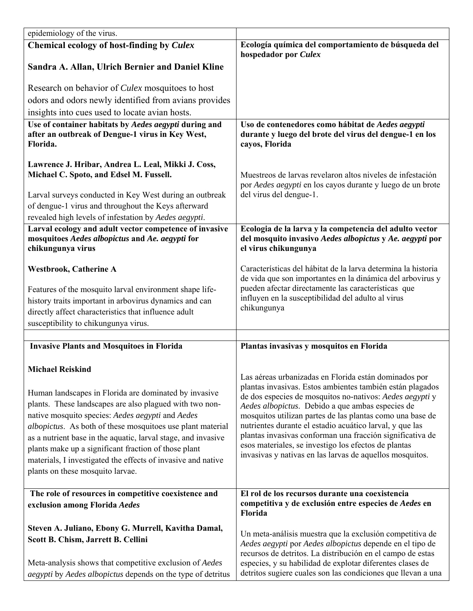| epidemiology of the virus.                                                                                                                                                                                                                                                                                                                                                                                                                                                                         |                                                                                                                                                                                                                                                                                                                                                                                                                                                                                                                                              |
|----------------------------------------------------------------------------------------------------------------------------------------------------------------------------------------------------------------------------------------------------------------------------------------------------------------------------------------------------------------------------------------------------------------------------------------------------------------------------------------------------|----------------------------------------------------------------------------------------------------------------------------------------------------------------------------------------------------------------------------------------------------------------------------------------------------------------------------------------------------------------------------------------------------------------------------------------------------------------------------------------------------------------------------------------------|
| Chemical ecology of host-finding by Culex                                                                                                                                                                                                                                                                                                                                                                                                                                                          | Ecología química del comportamiento de búsqueda del<br>hospedador por Culex                                                                                                                                                                                                                                                                                                                                                                                                                                                                  |
| Sandra A. Allan, Ulrich Bernier and Daniel Kline                                                                                                                                                                                                                                                                                                                                                                                                                                                   |                                                                                                                                                                                                                                                                                                                                                                                                                                                                                                                                              |
| Research on behavior of <i>Culex</i> mosquitoes to host                                                                                                                                                                                                                                                                                                                                                                                                                                            |                                                                                                                                                                                                                                                                                                                                                                                                                                                                                                                                              |
| odors and odors newly identified from avians provides                                                                                                                                                                                                                                                                                                                                                                                                                                              |                                                                                                                                                                                                                                                                                                                                                                                                                                                                                                                                              |
| insights into cues used to locate avian hosts.                                                                                                                                                                                                                                                                                                                                                                                                                                                     |                                                                                                                                                                                                                                                                                                                                                                                                                                                                                                                                              |
| Use of container habitats by Aedes aegypti during and<br>after an outbreak of Dengue-1 virus in Key West,<br>Florida.                                                                                                                                                                                                                                                                                                                                                                              | Uso de contenedores como hábitat de Aedes aegypti<br>durante y luego del brote del virus del dengue-1 en los<br>cayos, Florida                                                                                                                                                                                                                                                                                                                                                                                                               |
| Lawrence J. Hribar, Andrea L. Leal, Mikki J. Coss,<br>Michael C. Spoto, and Edsel M. Fussell.<br>Larval surveys conducted in Key West during an outbreak<br>of dengue-1 virus and throughout the Keys afterward<br>revealed high levels of infestation by Aedes aegypti.                                                                                                                                                                                                                           | Muestreos de larvas revelaron altos niveles de infestación<br>por Aedes aegypti en los cayos durante y luego de un brote<br>del virus del dengue-1.                                                                                                                                                                                                                                                                                                                                                                                          |
| Larval ecology and adult vector competence of invasive<br>mosquitoes Aedes albopictus and Ae. aegypti for<br>chikungunya virus                                                                                                                                                                                                                                                                                                                                                                     | Ecologia de la larva y la competencia del adulto vector<br>del mosquito invasivo Aedes albopictus y Ae. aegypti por<br>el virus chikungunya                                                                                                                                                                                                                                                                                                                                                                                                  |
| <b>Westbrook, Catherine A</b>                                                                                                                                                                                                                                                                                                                                                                                                                                                                      | Características del hábitat de la larva determina la historia<br>de vida que son importantes en la dinámica del arbovirus y                                                                                                                                                                                                                                                                                                                                                                                                                  |
| Features of the mosquito larval environment shape life-<br>history traits important in arbovirus dynamics and can<br>directly affect characteristics that influence adult<br>susceptibility to chikungunya virus.                                                                                                                                                                                                                                                                                  | pueden afectar directamente las características que<br>influyen en la susceptibilidad del adulto al virus<br>chikungunya                                                                                                                                                                                                                                                                                                                                                                                                                     |
|                                                                                                                                                                                                                                                                                                                                                                                                                                                                                                    |                                                                                                                                                                                                                                                                                                                                                                                                                                                                                                                                              |
| <b>Invasive Plants and Mosquitoes in Florida</b>                                                                                                                                                                                                                                                                                                                                                                                                                                                   | Plantas invasivas y mosquitos en Florida                                                                                                                                                                                                                                                                                                                                                                                                                                                                                                     |
| <b>Michael Reiskind</b><br>Human landscapes in Florida are dominated by invasive<br>plants. These landscapes are also plagued with two non-<br>native mosquito species: Aedes aegypti and Aedes<br><i>albopictus</i> . As both of these mosquitoes use plant material<br>as a nutrient base in the aquatic, larval stage, and invasive<br>plants make up a significant fraction of those plant<br>materials, I investigated the effects of invasive and native<br>plants on these mosquito larvae. | Las aéreas urbanizadas en Florida están dominados por<br>plantas invasivas. Estos ambientes también están plagados<br>de dos especies de mosquitos no-nativos: Aedes aegypti y<br>Aedes albopictus. Debido a que ambas especies de<br>mosquitos utilizan partes de las plantas como una base de<br>nutrientes durante el estadio acuático larval, y que las<br>plantas invasivas conforman una fracción significativa de<br>esos materiales, se investigo los efectos de plantas<br>invasivas y nativas en las larvas de aquellos mosquitos. |
| The role of resources in competitive coexistence and<br>exclusion among Florida Aedes                                                                                                                                                                                                                                                                                                                                                                                                              | El rol de los recursos durante una coexistencia<br>competitiva y de exclusión entre especies de Aedes en<br>Florida                                                                                                                                                                                                                                                                                                                                                                                                                          |
| Steven A. Juliano, Ebony G. Murrell, Kavitha Damal,<br>Scott B. Chism, Jarrett B. Cellini<br>Meta-analysis shows that competitive exclusion of Aedes                                                                                                                                                                                                                                                                                                                                               | Un meta-análisis muestra que la exclusión competitiva de<br>Aedes aegypti por Aedes albopictus depende en el tipo de<br>recursos de detritos. La distribución en el campo de estas<br>especies, y su habilidad de explotar diferentes clases de                                                                                                                                                                                                                                                                                              |
| <i>aegypti</i> by <i>Aedes albopictus</i> depends on the type of detritus                                                                                                                                                                                                                                                                                                                                                                                                                          | detritos sugiere cuales son las condiciones que llevan a una                                                                                                                                                                                                                                                                                                                                                                                                                                                                                 |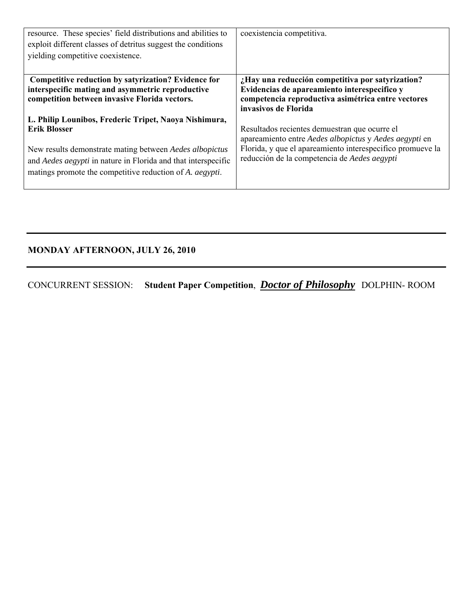| resource. These species' field distributions and abilities to<br>exploit different classes of detritus suggest the conditions<br>yielding competitive coexistence.                                                                                                           | coexistencia competitiva.                                                                                                                                                                                             |
|------------------------------------------------------------------------------------------------------------------------------------------------------------------------------------------------------------------------------------------------------------------------------|-----------------------------------------------------------------------------------------------------------------------------------------------------------------------------------------------------------------------|
| Competitive reduction by satyrization? Evidence for<br>interspecific mating and asymmetric reproductive<br>competition between invasive Florida vectors.                                                                                                                     | ¿Hay una reducción competitiva por satyrization?<br>Evidencias de apareamiento interespecifico y<br>competencia reproductiva asimétrica entre vectores<br>invasivos de Florida                                        |
| L. Philip Lounibos, Frederic Tripet, Naoya Nishimura,<br><b>Erik Blosser</b><br>New results demonstrate mating between Aedes albopictus<br>and Aedes aegypti in nature in Florida and that interspecific<br>matings promote the competitive reduction of A. <i>aegypti</i> . | Resultados recientes demuestran que ocurre el<br>apareamiento entre Aedes albopictus y Aedes aegypti en<br>Florida, y que el apareamiento interespecifico promueve la<br>reducción de la competencia de Aedes aegypti |

## **MONDAY AFTERNOON, JULY 26, 2010**

CONCURRENT SESSION: **Student Paper Competition**, *Doctor of Philosophy* DOLPHIN- ROOM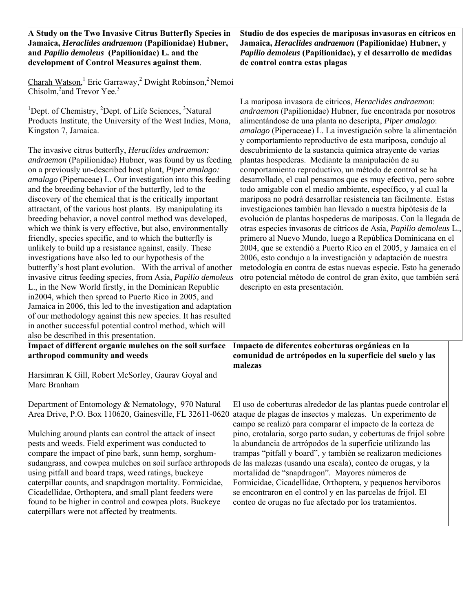| A Study on the Two Invasive Citrus Butterfly Species in<br>Jamaica, <i>Heraclides andraemon</i> (Papilionidae) Hubner,<br>and Papilio demoleus (Papilionidae) L. and the<br>development of Control Measures against them.                                                                                                                                                                                                                                                                                                                                                                                                                                                                                                                                                                                                                                                                                                                                                  | Studio de dos especies de mariposas invasoras en cítricos en<br>Jamaica, <i>Heraclides andraemon</i> (Papilionidae) Hubner, y<br>Papilio demoleus (Papilionidae), y el desarrollo de medidas<br>de control contra estas plagas                                                                                                                                                                                                                                                                                                                                                                                                                                                                                                                                                                                                                                                                                                                                                          |
|----------------------------------------------------------------------------------------------------------------------------------------------------------------------------------------------------------------------------------------------------------------------------------------------------------------------------------------------------------------------------------------------------------------------------------------------------------------------------------------------------------------------------------------------------------------------------------------------------------------------------------------------------------------------------------------------------------------------------------------------------------------------------------------------------------------------------------------------------------------------------------------------------------------------------------------------------------------------------|-----------------------------------------------------------------------------------------------------------------------------------------------------------------------------------------------------------------------------------------------------------------------------------------------------------------------------------------------------------------------------------------------------------------------------------------------------------------------------------------------------------------------------------------------------------------------------------------------------------------------------------------------------------------------------------------------------------------------------------------------------------------------------------------------------------------------------------------------------------------------------------------------------------------------------------------------------------------------------------------|
| Charah Watson, <sup>1</sup> Eric Garraway, <sup>2</sup> Dwight Robinson, <sup>2</sup> Nemoi<br>Chisolm, $2$ and Trevor Yee. <sup>3</sup><br><sup>1</sup> Dept. of Chemistry, <sup>2</sup> Dept. of Life Sciences, <sup>3</sup> Natural<br>Products Institute, the University of the West Indies, Mona,<br>Kingston 7, Jamaica.<br>The invasive citrus butterfly, <i>Heraclides andraemon</i> :<br>andraemon (Papilionidae) Hubner, was found by us feeding<br>on a previously un-described host plant, Piper amalago:<br><i>amalago</i> (Piperaceae) L. Our investigation into this feeding<br>and the breeding behavior of the butterfly, led to the<br>discovery of the chemical that is the critically important<br>attractant, of the various host plants. By manipulating its<br>breeding behavior, a novel control method was developed,<br>which we think is very effective, but also, environmentally<br>friendly, species specific, and to which the butterfly is | La mariposa invasora de cítricos, Heraclides andraemon:<br>andraemon (Papilionidae) Hubner, fue encontrada por nosotros<br>alimentándose de una planta no descripta, Piper amalago:<br><i>amalago</i> (Piperaceae) L. La investigación sobre la alimentación<br>y comportamiento reproductivo de esta mariposa, condujo al<br>descubrimiento de la sustancia química atrayente de varias<br>plantas hospederas. Mediante la manipulación de su<br>comportamiento reproductivo, un método de control se ha<br>desarrollado, el cual pensamos que es muy efectivo, pero sobre<br>todo amigable con el medio ambiente, específico, y al cual la<br>mariposa no podrá desarrollar resistencia tan fácilmente. Estas<br>investigaciones también han llevado a nuestra hipótesis de la<br>evolución de plantas hospederas de mariposas. Con la llegada de<br>otras especies invasoras de cítricos de Asia, Papilio demoleus L.,<br>primero al Nuevo Mundo, luego a República Dominicana en el |
| unlikely to build up a resistance against, easily. These<br>investigations have also led to our hypothesis of the<br>butterfly's host plant evolution. With the arrival of another<br>invasive citrus feeding species, from Asia, Papilio demoleus<br>L., in the New World firstly, in the Dominican Republic<br>in 2004, which then spread to Puerto Rico in 2005, and<br>Jamaica in 2006, this led to the investigation and adaptation<br>of our methodology against this new species. It has resulted<br>in another successful potential control method, which will<br>also be described in this presentation.                                                                                                                                                                                                                                                                                                                                                          | 2004, que se extendió a Puerto Rico en el 2005, y Jamaica en el<br>2006, esto condujo a la investigación y adaptación de nuestra<br>metodología en contra de estas nuevas especie. Esto ha generado<br>otro potencial método de control de gran éxito, que también será<br>descripto en esta presentación.                                                                                                                                                                                                                                                                                                                                                                                                                                                                                                                                                                                                                                                                              |
| Impact of different organic mulches on the soil surface<br>arthropod community and weeds                                                                                                                                                                                                                                                                                                                                                                                                                                                                                                                                                                                                                                                                                                                                                                                                                                                                                   | Impacto de diferentes coberturas orgánicas en la<br>comunidad de artrópodos en la superficie del suelo y las                                                                                                                                                                                                                                                                                                                                                                                                                                                                                                                                                                                                                                                                                                                                                                                                                                                                            |
|                                                                                                                                                                                                                                                                                                                                                                                                                                                                                                                                                                                                                                                                                                                                                                                                                                                                                                                                                                            | malezas                                                                                                                                                                                                                                                                                                                                                                                                                                                                                                                                                                                                                                                                                                                                                                                                                                                                                                                                                                                 |
| Harsimran K Gill, Robert McSorley, Gaurav Goyal and<br>Marc Branham                                                                                                                                                                                                                                                                                                                                                                                                                                                                                                                                                                                                                                                                                                                                                                                                                                                                                                        |                                                                                                                                                                                                                                                                                                                                                                                                                                                                                                                                                                                                                                                                                                                                                                                                                                                                                                                                                                                         |
| Department of Entomology & Nematology, 970 Natural<br>Area Drive, P.O. Box 110620, Gainesville, FL 32611-0620                                                                                                                                                                                                                                                                                                                                                                                                                                                                                                                                                                                                                                                                                                                                                                                                                                                              | El uso de coberturas alrededor de las plantas puede controlar el<br>ataque de plagas de insectos y malezas. Un experimento de<br>campo se realizó para comparar el impacto de la corteza de                                                                                                                                                                                                                                                                                                                                                                                                                                                                                                                                                                                                                                                                                                                                                                                             |
| Mulching around plants can control the attack of insect<br>pests and weeds. Field experiment was conducted to<br>compare the impact of pine bark, sunn hemp, sorghum-<br>sudangrass, and cowpea mulches on soil surface arthropods de las malezas (usando una escala), conteo de orugas, y la<br>using pitfall and board traps, weed ratings, buckeye<br>caterpillar counts, and snapdragon mortality. Formicidae,<br>Cicadellidae, Orthoptera, and small plant feeders were<br>found to be higher in control and cowpea plots. Buckeye<br>caterpillars were not affected by treatments.                                                                                                                                                                                                                                                                                                                                                                                   | pino, crotalaria, sorgo parto sudan, y coberturas de frijol sobre<br>la abundancia de artrópodos de la superficie utilizando las<br>trampas "pitfall y board", y también se realizaron mediciones<br>mortalidad de "snapdragon". Mayores números de<br>Formicidae, Cicadellidae, Orthoptera, y pequenos herviboros<br>se encontraron en el control y en las parcelas de frijol. El<br>conteo de orugas no fue afectado por los tratamientos.                                                                                                                                                                                                                                                                                                                                                                                                                                                                                                                                            |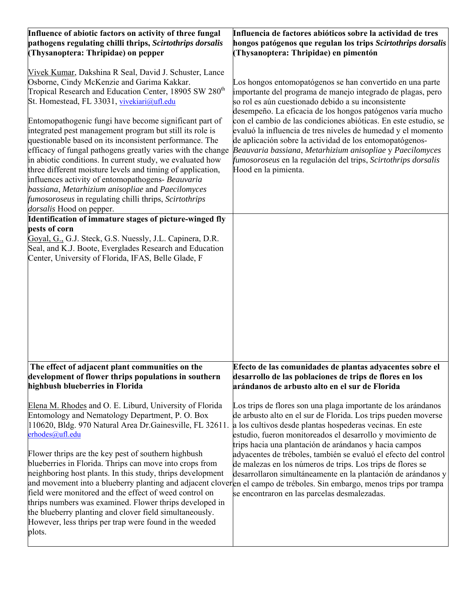| Influence of abiotic factors on activity of three fungal<br>pathogens regulating chilli thrips, Scirtothrips dorsalis<br>(Thysanoptera: Thripidae) on pepper                                                                                                                                                                                                                                                                                                                                                                                                                                                                                                                                                                                                                                               | Influencia de factores abióticos sobre la actividad de tres<br>hongos patógenos que regulan los trips Scirtothrips dorsalis<br>(Thysanoptera: Thripidae) en pimentón                                                                                                                                                                                                                                                                                                                                                                                                                                |
|------------------------------------------------------------------------------------------------------------------------------------------------------------------------------------------------------------------------------------------------------------------------------------------------------------------------------------------------------------------------------------------------------------------------------------------------------------------------------------------------------------------------------------------------------------------------------------------------------------------------------------------------------------------------------------------------------------------------------------------------------------------------------------------------------------|-----------------------------------------------------------------------------------------------------------------------------------------------------------------------------------------------------------------------------------------------------------------------------------------------------------------------------------------------------------------------------------------------------------------------------------------------------------------------------------------------------------------------------------------------------------------------------------------------------|
| Vivek Kumar, Dakshina R Seal, David J. Schuster, Lance<br>Osborne, Cindy McKenzie and Garima Kakkar.<br>Tropical Research and Education Center, 18905 SW 280 <sup>th</sup><br>St. Homestead, FL 33031, vivekiari@ufl.edu<br>Entomopathogenic fungi have become significant part of<br>integrated pest management program but still its role is<br>questionable based on its inconsistent performance. The<br>efficacy of fungal pathogens greatly varies with the change<br>in abiotic conditions. In current study, we evaluated how<br>three different moisture levels and timing of application,<br>influences activity of entomopathogens- Beauvaria<br>bassiana, Metarhizium anisopliae and Paecilomyces<br><i>fumosoroseus</i> in regulating chilli thrips, Scirtothrips<br>dorsalis Hood on pepper. | Los hongos entomopatógenos se han convertido en una parte<br>importante del programa de manejo integrado de plagas, pero<br>so rol es aún cuestionado debido a su inconsistente<br>desempeño. La eficacia de los hongos patógenos varía mucho<br>con el cambio de las condiciones abióticas. En este estudio, se<br>evaluó la influencia de tres niveles de humedad y el momento<br>de aplicación sobre la actividad de los entomopatógenos-<br>Beauvaria bassiana, Metarhizium anisopliae y Paecilomyces<br>fumosoroseus en la regulación del trips, Scirtothrips dorsalis<br>Hood en la pimienta. |
| Identification of immature stages of picture-winged fly                                                                                                                                                                                                                                                                                                                                                                                                                                                                                                                                                                                                                                                                                                                                                    |                                                                                                                                                                                                                                                                                                                                                                                                                                                                                                                                                                                                     |
| pests of corn<br>Goyal, G., G.J. Steck, G.S. Nuessly, J.L. Capinera, D.R.                                                                                                                                                                                                                                                                                                                                                                                                                                                                                                                                                                                                                                                                                                                                  |                                                                                                                                                                                                                                                                                                                                                                                                                                                                                                                                                                                                     |
| Seal, and K.J. Boote, Everglades Research and Education<br>Center, University of Florida, IFAS, Belle Glade, F                                                                                                                                                                                                                                                                                                                                                                                                                                                                                                                                                                                                                                                                                             |                                                                                                                                                                                                                                                                                                                                                                                                                                                                                                                                                                                                     |
|                                                                                                                                                                                                                                                                                                                                                                                                                                                                                                                                                                                                                                                                                                                                                                                                            |                                                                                                                                                                                                                                                                                                                                                                                                                                                                                                                                                                                                     |
| The effect of adjacent plant communities on the<br>development of flower thrips populations in southern<br>highbush blueberries in Florida                                                                                                                                                                                                                                                                                                                                                                                                                                                                                                                                                                                                                                                                 | Efecto de las comunidades de plantas adyacentes sobre el<br>desarrollo de las poblaciones de trips de flores en los<br>arándanos de arbusto alto en el sur de Florida                                                                                                                                                                                                                                                                                                                                                                                                                               |
| Elena M. Rhodes and O. E. Liburd, University of Florida<br>Entomology and Nematology Department, P. O. Box<br>110620, Bldg. 970 Natural Area Dr. Gainesville, FL 32611.<br>erhodes@ufl.edu                                                                                                                                                                                                                                                                                                                                                                                                                                                                                                                                                                                                                 | Los trips de flores son una plaga importante de los arándanos<br>de arbusto alto en el sur de Florida. Los trips pueden moverse<br>a los cultivos desde plantas hospederas vecinas. En este<br>estudio, fueron monitoreados el desarrollo y movimiento de<br>trips hacia una plantación de arándanos y hacia campos                                                                                                                                                                                                                                                                                 |
| Flower thrips are the key pest of southern highbush<br>blueberries in Florida. Thrips can move into crops from<br>neighboring host plants. In this study, thrips development<br>field were monitored and the effect of weed control on<br>thrips numbers was examined. Flower thrips developed in<br>the blueberry planting and clover field simultaneously.<br>However, less thrips per trap were found in the weeded<br>plots.                                                                                                                                                                                                                                                                                                                                                                           | adyacentes de tréboles, también se evaluó el efecto del control<br>de malezas en los números de trips. Los trips de flores se<br>desarrollaron simultáneamente en la plantación de arándanos y<br>and movement into a blueberry planting and adjacent cloveren el campo de tréboles. Sin embargo, menos trips por trampa<br>se encontraron en las parcelas desmalezadas.                                                                                                                                                                                                                            |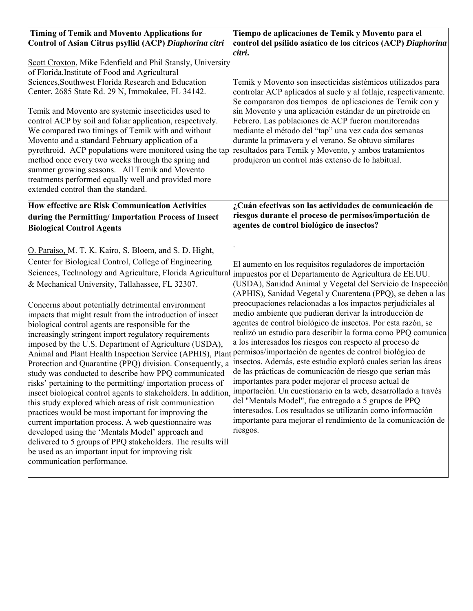| <b>Timing of Temik and Movento Applications for</b><br>Control of Asian Citrus psyllid (ACP) Diaphorina citri<br>Scott Croxton, Mike Edenfield and Phil Stansly, University<br>of Florida, Institute of Food and Agricultural<br>Sciences, Southwest Florida Research and Education<br>Center, 2685 State Rd. 29 N, Immokalee, FL 34142.<br>Temik and Movento are systemic insecticides used to<br>control ACP by soil and foliar application, respectively.<br>We compared two timings of Temik with and without<br>Movento and a standard February application of a<br>pyrethroid. ACP populations were monitored using the tap<br>method once every two weeks through the spring and<br>summer growing seasons. All Temik and Movento<br>treatments performed equally well and provided more<br>extended control than the standard.                                                                                                                                                                                                                                                                                                                                                                                                                                                                                                                                                                                                                           | Tiempo de aplicaciones de Temik y Movento para el<br>control del psílido asíatico de los cítricos (ACP) Diaphorina<br>citri.<br>Temik y Movento son insecticidas sistémicos utilizados para<br>controlar ACP aplicados al suelo y al follaje, respectivamente.<br>Se compararon dos tiempos de aplicaciones de Temik con y<br>sin Movento y una aplicación estándar de un piretroide en<br>Febrero. Las poblaciones de ACP fueron monitoreadas<br>mediante el método del "tap" una vez cada dos semanas<br>durante la primavera y el verano. Se obtuvo similares<br>resultados para Temik y Movento, y ambos tratamientos<br>produjeron un control más extenso de lo habitual.                                                                                                                                                                                                                                                                                                                                                                                                                                                      |
|------------------------------------------------------------------------------------------------------------------------------------------------------------------------------------------------------------------------------------------------------------------------------------------------------------------------------------------------------------------------------------------------------------------------------------------------------------------------------------------------------------------------------------------------------------------------------------------------------------------------------------------------------------------------------------------------------------------------------------------------------------------------------------------------------------------------------------------------------------------------------------------------------------------------------------------------------------------------------------------------------------------------------------------------------------------------------------------------------------------------------------------------------------------------------------------------------------------------------------------------------------------------------------------------------------------------------------------------------------------------------------------------------------------------------------------------------------------|-------------------------------------------------------------------------------------------------------------------------------------------------------------------------------------------------------------------------------------------------------------------------------------------------------------------------------------------------------------------------------------------------------------------------------------------------------------------------------------------------------------------------------------------------------------------------------------------------------------------------------------------------------------------------------------------------------------------------------------------------------------------------------------------------------------------------------------------------------------------------------------------------------------------------------------------------------------------------------------------------------------------------------------------------------------------------------------------------------------------------------------|
| <b>How effective are Risk Communication Activities</b><br>during the Permitting/ Importation Process of Insect<br><b>Biological Control Agents</b><br>O. Paraiso, M. T. K. Kairo, S. Bloem, and S. D. Hight,<br>Center for Biological Control, College of Engineering<br>Sciences, Technology and Agriculture, Florida Agricultural impuestos por el Departamento de Agricultura de EE.UU.<br>& Mechanical University, Tallahassee, FL 32307.<br>Concerns about potentially detrimental environment<br>impacts that might result from the introduction of insect<br>biological control agents are responsible for the<br>increasingly stringent import regulatory requirements<br>imposed by the U.S. Department of Agriculture (USDA),<br>Animal and Plant Health Inspection Service (APHIS), Plant permisos/importación de agentes de control biológico de<br>Protection and Quarantine (PPQ) division. Consequently, a<br>study was conducted to describe how PPQ communicated<br>risks' pertaining to the permitting/importation process of<br>insect biological control agents to stakeholders. In addition,<br>this study explored which areas of risk communication<br>practices would be most important for improving the<br>current importation process. A web questionnaire was<br>developed using the 'Mentals Model' approach and<br>delivered to 5 groups of PPQ stakeholders. The results will<br>be used as an important input for improving risk | ¿Cuán efectivas son las actividades de comunicación de<br>riesgos durante el proceso de permisos/importación de<br>agentes de control biológico de insectos?<br>El aumento en los requisitos reguladores de importación<br>(USDA), Sanidad Animal y Vegetal del Servicio de Inspección<br>(APHIS), Sanidad Vegetal y Cuarentena (PPQ), se deben a las<br>preocupaciones relacionadas a los impactos perjudiciales al<br>medio ambiente que pudieran derivar la introducción de<br>agentes de control biológico de insectos. Por esta razón, se<br>realizó un estudio para describir la forma como PPQ comunica<br>a los interesados los riesgos con respecto al proceso de<br>insectos. Además, este estudio exploró cuales serian las áreas<br>de las prácticas de comunicación de riesgo que serían más<br>importantes para poder mejorar el proceso actual de<br>importación. Un cuestionario en la web, desarrollado a través<br>del "Mentals Model", fue entregado a 5 grupos de PPQ<br>interesados. Los resultados se utilizarán como información<br>importante para mejorar el rendimiento de la comunicación de<br>riesgos. |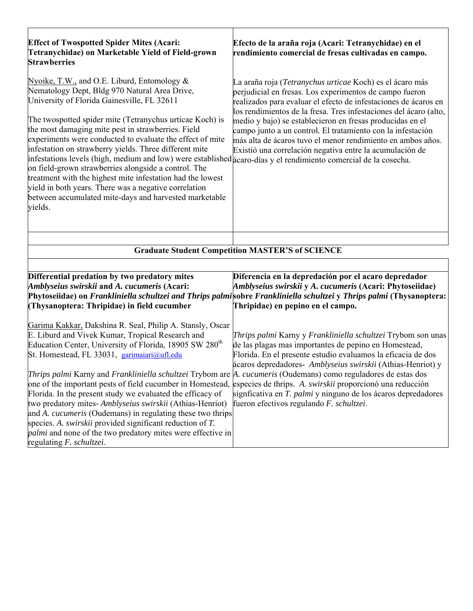| <b>Effect of Twospotted Spider Mites (Acari:</b><br>Tetranychidae) on Marketable Yield of Field-grown<br><b>Strawberries</b>                                                                                                                                                                                                                                                                                                                                                                                                                                                                                                                                                                                                                                    | Efecto de la araña roja (Acari: Tetranychidae) en el<br>rendimiento comercial de fresas cultivadas en campo.                                                                                                                                                                                                                                                                                                                                                                                                       |
|-----------------------------------------------------------------------------------------------------------------------------------------------------------------------------------------------------------------------------------------------------------------------------------------------------------------------------------------------------------------------------------------------------------------------------------------------------------------------------------------------------------------------------------------------------------------------------------------------------------------------------------------------------------------------------------------------------------------------------------------------------------------|--------------------------------------------------------------------------------------------------------------------------------------------------------------------------------------------------------------------------------------------------------------------------------------------------------------------------------------------------------------------------------------------------------------------------------------------------------------------------------------------------------------------|
| Nyoike, T.W., and O.E. Liburd, Entomology $\&$<br>Nematology Dept, Bldg 970 Natural Area Drive,<br>University of Florida Gainesville, FL 32611<br>The twospotted spider mite (Tetranychus urticae Koch) is<br>the most damaging mite pest in strawberries. Field<br>experiments were conducted to evaluate the effect of mite<br>infestation on strawberry yields. Three different mite<br>infestations levels (high, medium and low) were established acaro-días y el rendimiento comercial de la cosecha.<br>on field-grown strawberries alongside a control. The<br>treatment with the highest mite infestation had the lowest<br>yield in both years. There was a negative correlation<br>between accumulated mite-days and harvested marketable<br>yields. | La araña roja (Tetranychus urticae Koch) es el ácaro más<br>perjudicial en fresas. Los experimentos de campo fueron<br>realizados para evaluar el efecto de infestaciones de ácaros en<br>los rendimientos de la fresa. Tres infestaciones del ácaro (alto,<br>medio y bajo) se establecieron en fresas producidas en el<br>campo junto a un control. El tratamiento con la infestación<br>más alta de ácaros tuvo el menor rendimiento en ambos años.<br>Existió una correlación negativa entre la acumulación de |
|                                                                                                                                                                                                                                                                                                                                                                                                                                                                                                                                                                                                                                                                                                                                                                 |                                                                                                                                                                                                                                                                                                                                                                                                                                                                                                                    |
|                                                                                                                                                                                                                                                                                                                                                                                                                                                                                                                                                                                                                                                                                                                                                                 | <b>Graduate Student Competition MASTER'S of SCIENCE</b>                                                                                                                                                                                                                                                                                                                                                                                                                                                            |
| Differential predation by two predatory mites<br>Amblyseius swirskii and A. cucumeris (Acari:<br>(Thysanoptera: Thripidae) in field cucumber                                                                                                                                                                                                                                                                                                                                                                                                                                                                                                                                                                                                                    | Diferencia en la depredación por el acaro depredador<br>Amblyseius swirskii y A. cucumeris (Acari: Phytoseiidae)<br>Phytoseiidae) on Frankliniella schultzei and Thrips palmisobre Frankliniella schultzei y Thrips palmi (Thysanoptera:<br>Thripidae) en pepino en el campo.                                                                                                                                                                                                                                      |
| Garima Kakkar, Dakshina R. Seal, Philip A. Stansly, Oscar<br>E. Liburd and Vivek Kumar, Tropical Research and<br>Education Center, University of Florida, 18905 SW 280 <sup>th</sup><br>St. Homestead, FL 33031, garimaiari@ufl.edu<br>Thrips palmi Karny and Frankliniella schultzei Trybom are A. cucumeris (Oudemans) como reguladores de estas dos<br>one of the important pests of field cucumber in Homestead, especies de thrips. A. <i>swirskii</i> proporcionó una reducción<br>Florida. In the present study we evaluated the efficacy of<br>two predatory mites- Amblyseius swirskii (Athias-Henriot)<br>and A. cucumeris (Oudemans) in regulating these two thrips                                                                                  | Thrips palmi Karny y Frankliniella schultzei Trybom son unas<br>de las plagas mas importantes de pepino en Homestead,<br>Florida. En el presente estudio evaluamos la eficacia de dos<br>ácaros depredadores- Amblyseius swirskii (Athias-Henriot) y<br>signficativa en T. palmi y ninguno de los ácaros depredadores<br>fueron efectivos regulando F. schultzei.                                                                                                                                                  |
| species. A. <i>swirskii</i> provided significant reduction of T.<br><i>palmi</i> and none of the two predatory mites were effective in<br>regulating F. schultzei.                                                                                                                                                                                                                                                                                                                                                                                                                                                                                                                                                                                              |                                                                                                                                                                                                                                                                                                                                                                                                                                                                                                                    |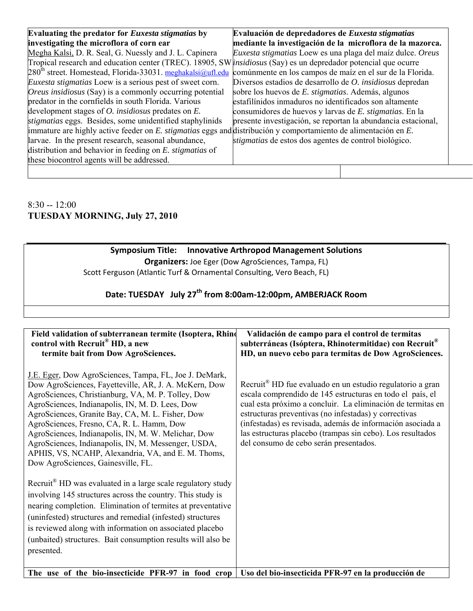| Evaluating the predator for Euxesta stigmatias by                                                                      | Evaluación de depredadores de Euxesta stigmatias              |
|------------------------------------------------------------------------------------------------------------------------|---------------------------------------------------------------|
| investigating the microflora of corn ear                                                                               | mediante la investigación de la microflora de la mazorca.     |
| Megha Kalsi, D. R. Seal, G. Nuessly and J. L. Capinera                                                                 | Euxesta stigmatias Loew es una plaga del maíz dulce. Oreus    |
| Tropical research and education center (TREC). 18905, SW <i>insidiosus</i> (Say) es un depredador potencial que ocurre |                                                               |
| $280th$ street. Homestead, Florida-33031. meghakalsi@ufl.edu comúnmente en los campos de maíz en el sur de la Florida. |                                                               |
| <i>Euxesta stigmatias</i> Loew is a serious pest of sweet corn.                                                        | Diversos estadios de desarrollo de O. insidiosus depredan     |
| <i>Oreus insidiosus</i> (Say) is a commonly occurring potential                                                        | sobre los huevos de E. stigmatias. Además, algunos            |
| predator in the cornfields in south Florida. Various                                                                   | estafilínidos inmaduros no identificados son altamente        |
| development stages of $O$ . <i>insidiosus</i> predates on $E$ .                                                        | consumidores de huevos y larvas de E. stigmatias. En la       |
| stigmatias eggs. Besides, some unidentified staphylinids                                                               | presente investigación, se reportan la abundancia estacional, |
| immature are highly active feeder on E. <i>stigmatias</i> eggs and distribución y comportamiento de alimentación en E. |                                                               |
| larvae. In the present research, seasonal abundance,                                                                   | stigmatias de estos dos agentes de control biológico.         |
| distribution and behavior in feeding on E. stigmatias of                                                               |                                                               |
| these biocontrol agents will be addressed.                                                                             |                                                               |

#### 8:30 -- 12:00 **TUESDAY MORNING, July 27, 2010**

#### **Symposium Title: Innovative Arthropod Management Solutions Organizers:** Joe Eger (Dow AgroSciences, Tampa, FL) Scott Ferguson (Atlantic Turf & Ornamental Consulting, Vero Beach, FL)

## **Date: TUESDAY July 27th from 8:00am‐12:00pm, AMBERJACK Room**

| Field validation of subterranean termite (Isoptera, Rhind<br>control with Recruit <sup>®</sup> HD, a new<br>termite bait from Dow AgroSciences.                                                                                                                                                                                                                                                                                                                                                                                                                                                                                                                                                                                                                                                                                                                       | Validación de campo para el control de termitas<br>subterráneas (Isóptera, Rhinotermitidae) con Recruit®<br>HD, un nuevo cebo para termitas de Dow AgroSciences.                                                                                                                                                                                                                                                                 |
|-----------------------------------------------------------------------------------------------------------------------------------------------------------------------------------------------------------------------------------------------------------------------------------------------------------------------------------------------------------------------------------------------------------------------------------------------------------------------------------------------------------------------------------------------------------------------------------------------------------------------------------------------------------------------------------------------------------------------------------------------------------------------------------------------------------------------------------------------------------------------|----------------------------------------------------------------------------------------------------------------------------------------------------------------------------------------------------------------------------------------------------------------------------------------------------------------------------------------------------------------------------------------------------------------------------------|
| J.E. Eger, Dow AgroSciences, Tampa, FL, Joe J. DeMark,<br>Dow AgroSciences, Fayetteville, AR, J. A. McKern, Dow<br>AgroSciences, Christianburg, VA, M. P. Tolley, Dow<br>AgroSciences, Indianapolis, IN, M. D. Lees, Dow<br>AgroSciences, Granite Bay, CA, M. L. Fisher, Dow<br>AgroSciences, Fresno, CA, R. L. Hamm, Dow<br>AgroSciences, Indianapolis, IN, M. W. Melichar, Dow<br>AgroSciences, Indianapolis, IN, M. Messenger, USDA,<br>APHIS, VS, NCAHP, Alexandria, VA, and E. M. Thoms,<br>Dow AgroSciences, Gainesville, FL.<br>Recruit <sup>®</sup> HD was evaluated in a large scale regulatory study<br>involving 145 structures across the country. This study is<br>nearing completion. Elimination of termites at preventative<br>(uninfested) structures and remedial (infested) structures<br>is reviewed along with information on associated placebo | Recruit <sup>®</sup> HD fue evaluado en un estudio regulatorio a gran<br>escala comprendido de 145 estructuras en todo el país, el<br>cual esta próximo a concluir. La eliminación de termitas en<br>estructuras preventivas (no infestadas) y correctivas<br>(infestadas) es revisada, además de información asociada a<br>las estructuras placebo (trampas sin cebo). Los resultados<br>del consumo de cebo serán presentados. |
| (unbaited) structures. Bait consumption results will also be<br>presented.                                                                                                                                                                                                                                                                                                                                                                                                                                                                                                                                                                                                                                                                                                                                                                                            |                                                                                                                                                                                                                                                                                                                                                                                                                                  |
| The use of the bio-insecticide PFR-97 in food crop   Uso del bio-insecticida PFR-97 en la producción de                                                                                                                                                                                                                                                                                                                                                                                                                                                                                                                                                                                                                                                                                                                                                               |                                                                                                                                                                                                                                                                                                                                                                                                                                  |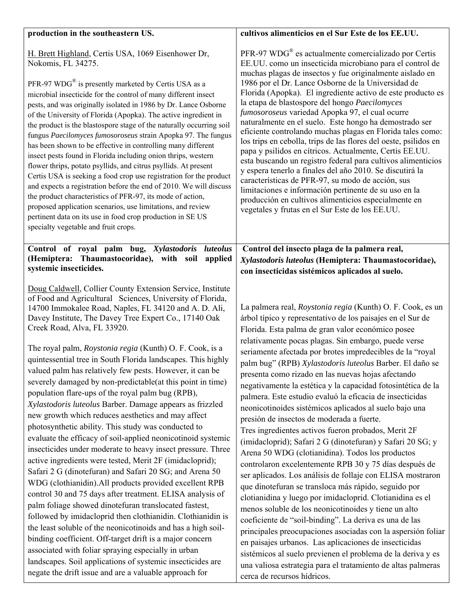| production in the southeastern US.                                                                                                                                                                                                                                                                                                                                                                                                                                                                                                                                                                                                                                                                                                                                                                                                                                                                                                                                                                                                                                                                                                                                                                                                                                                                                                                                                                                                                                                                                                                                            | cultivos alimenticios en el Sur Este de los EE.UU.                                                                                                                                                                                                                                                                                                                                                                                                                                                                                                                                                                                                                                                                                                                                                                                                                                                                                                                                                                                                                                                                                                                                                                                                                                                                                                                                                                                                                                     |
|-------------------------------------------------------------------------------------------------------------------------------------------------------------------------------------------------------------------------------------------------------------------------------------------------------------------------------------------------------------------------------------------------------------------------------------------------------------------------------------------------------------------------------------------------------------------------------------------------------------------------------------------------------------------------------------------------------------------------------------------------------------------------------------------------------------------------------------------------------------------------------------------------------------------------------------------------------------------------------------------------------------------------------------------------------------------------------------------------------------------------------------------------------------------------------------------------------------------------------------------------------------------------------------------------------------------------------------------------------------------------------------------------------------------------------------------------------------------------------------------------------------------------------------------------------------------------------|----------------------------------------------------------------------------------------------------------------------------------------------------------------------------------------------------------------------------------------------------------------------------------------------------------------------------------------------------------------------------------------------------------------------------------------------------------------------------------------------------------------------------------------------------------------------------------------------------------------------------------------------------------------------------------------------------------------------------------------------------------------------------------------------------------------------------------------------------------------------------------------------------------------------------------------------------------------------------------------------------------------------------------------------------------------------------------------------------------------------------------------------------------------------------------------------------------------------------------------------------------------------------------------------------------------------------------------------------------------------------------------------------------------------------------------------------------------------------------------|
| H. Brett Highland, Certis USA, 1069 Eisenhower Dr,<br>Nokomis, FL 34275.<br>PFR-97 $WDG^{\omega}$ is presently marketed by Certis USA as a<br>microbial insecticide for the control of many different insect<br>pests, and was originally isolated in 1986 by Dr. Lance Osborne<br>of the University of Florida (Apopka). The active ingredient in<br>the product is the blastospore stage of the naturally occurring soil<br>fungus Paecilomyces fumosoroseus strain Apopka 97. The fungus<br>has been shown to be effective in controlling many different<br>insect pests found in Florida including onion thrips, western<br>flower thrips, potato psyllids, and citrus psyllids. At present<br>Certis USA is seeking a food crop use registration for the product<br>and expects a registration before the end of 2010. We will discuss<br>the product characteristics of PFR-97, its mode of action,<br>proposed application scenarios, use limitations, and review<br>pertinent data on its use in food crop production in SE US<br>specialty vegetable and fruit crops.                                                                                                                                                                                                                                                                                                                                                                                                                                                                                                | $PFR-97 WDG^{\circledcirc}$ es actualmente comercializado por Certis<br>EE.UU. como un insecticida microbiano para el control de<br>muchas plagas de insectos y fue originalmente aislado en<br>1986 por el Dr. Lance Osborne de la Universidad de<br>Florida (Apopka). El ingrediente activo de este producto es<br>la etapa de blastospore del hongo Paecilomyces<br>fumosoroseus variedad Apopka 97, el cual ocurre<br>naturalmente en el suelo. Este hongo ha demostrado ser<br>eficiente controlando muchas plagas en Florida tales como:<br>los trips en cebolla, trips de las flores del oeste, psilidos en<br>papa y psilidos en cítricos. Actualmente, Certis EE.UU.<br>esta buscando un registro federal para cultivos alimenticios<br>y espera tenerlo a finales del año 2010. Se discutirá la<br>características de PFR-97, su modo de acción, sus<br>limitaciones e información pertinente de su uso en la<br>producción en cultivos alimenticios especialmente en<br>vegetales y frutas en el Sur Este de los EE.UU.                                                                                                                                                                                                                                                                                                                                                                                                                                                     |
| Control of royal palm bug, Xylastodoris<br>luteolus<br>(Hemiptera: Thaumastocoridae), with soil<br>applied<br>systemic insecticides.                                                                                                                                                                                                                                                                                                                                                                                                                                                                                                                                                                                                                                                                                                                                                                                                                                                                                                                                                                                                                                                                                                                                                                                                                                                                                                                                                                                                                                          | Control del insecto plaga de la palmera real,<br>Xylastodoris luteolus (Hemiptera: Thaumastocoridae),<br>con insecticidas sistémicos aplicados al suelo.                                                                                                                                                                                                                                                                                                                                                                                                                                                                                                                                                                                                                                                                                                                                                                                                                                                                                                                                                                                                                                                                                                                                                                                                                                                                                                                               |
| Doug Caldwell, Collier County Extension Service, Institute<br>of Food and Agricultural Sciences, University of Florida,<br>14700 Immokalee Road, Naples, FL 34120 and A. D. Ali,<br>Davey Institute, The Davey Tree Expert Co., 17140 Oak<br>Creek Road, Alva, FL 33920.<br>The royal palm, Roystonia regia (Kunth) O. F. Cook, is a<br>quintessential tree in South Florida landscapes. This highly<br>valued palm has relatively few pests. However, it can be<br>severely damaged by non-predictable(at this point in time)<br>population flare-ups of the royal palm bug (RPB),<br>Xylastodoris luteolus Barber. Damage appears as frizzled<br>new growth which reduces aesthetics and may affect<br>photosynthetic ability. This study was conducted to<br>evaluate the efficacy of soil-applied neonicotinoid systemic<br>insecticides under moderate to heavy insect pressure. Three<br>active ingredients were tested, Merit 2F (imidacloprid);<br>Safari 2 G (dinotefuran) and Safari 20 SG; and Arena 50<br>WDG (clothianidin). All products provided excellent RPB<br>control 30 and 75 days after treatment. ELISA analysis of<br>palm foliage showed dinotefuran translocated fastest,<br>followed by imidacloprid then clothianidin. Clothianidin is<br>the least soluble of the neonicotinoids and has a high soil-<br>binding coefficient. Off-target drift is a major concern<br>associated with foliar spraying especially in urban<br>landscapes. Soil applications of systemic insecticides are<br>negate the drift issue and are a valuable approach for | La palmera real, Roystonia regia (Kunth) O. F. Cook, es un<br>árbol típico y representativo de los paisajes en el Sur de<br>Florida. Esta palma de gran valor económico posee<br>relativamente pocas plagas. Sin embargo, puede verse<br>seriamente afectada por brotes impredecibles de la "royal<br>palm bug" (RPB) Xylastodoris luteolus Barber. El daño se<br>presenta como rizado en las nuevas hojas afectando<br>negativamente la estética y la capacidad fotosintética de la<br>palmera. Este estudio evaluó la eficacia de insecticidas<br>neonicotinoides sistémicos aplicados al suelo bajo una<br>presión de insectos de moderada a fuerte.<br>Tres ingredientes activos fueron probados, Merit 2F<br>(imidacloprid); Safari 2 G (dinotefuran) y Safari 20 SG; y<br>Arena 50 WDG (clotianidina). Todos los productos<br>controlaron excelentemente RPB 30 y 75 días después de<br>ser aplicados. Los análisis de follaje con ELISA mostraron<br>que dinotefuran se transloca más rápido, seguido por<br>clotianidina y luego por imidacloprid. Clotianidina es el<br>menos soluble de los neonicotinoides y tiene un alto<br>coeficiente de "soil-binding". La deriva es una de las<br>principales preocupaciones asociadas con la aspersión foliar<br>en paisajes urbanos. Las aplicaciones de insecticidas<br>sistémicos al suelo previenen el problema de la deriva y es<br>una valiosa estrategia para el tratamiento de altas palmeras<br>cerca de recursos hídricos. |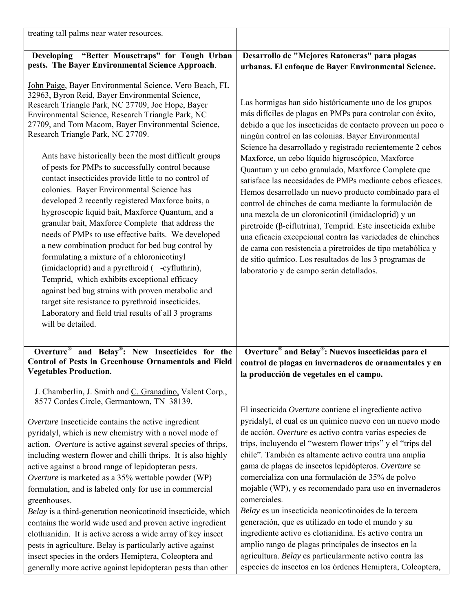| treating tall palms near water resources.                                                                                                                                                                                                                                                                                                                                                                                                                                                                                                                                                                                                                                                                                                                                                                                                                                                                                                                                                                                                                                                                                                           |                                                                                                                                                                                                                                                                                                                                                                                                                                                                                                                                                                                                                                                                                                                                                                                                                                                                                                                                                                     |
|-----------------------------------------------------------------------------------------------------------------------------------------------------------------------------------------------------------------------------------------------------------------------------------------------------------------------------------------------------------------------------------------------------------------------------------------------------------------------------------------------------------------------------------------------------------------------------------------------------------------------------------------------------------------------------------------------------------------------------------------------------------------------------------------------------------------------------------------------------------------------------------------------------------------------------------------------------------------------------------------------------------------------------------------------------------------------------------------------------------------------------------------------------|---------------------------------------------------------------------------------------------------------------------------------------------------------------------------------------------------------------------------------------------------------------------------------------------------------------------------------------------------------------------------------------------------------------------------------------------------------------------------------------------------------------------------------------------------------------------------------------------------------------------------------------------------------------------------------------------------------------------------------------------------------------------------------------------------------------------------------------------------------------------------------------------------------------------------------------------------------------------|
| "Better Mousetraps" for Tough Urban<br><b>Developing</b><br>pests. The Bayer Environmental Science Approach.                                                                                                                                                                                                                                                                                                                                                                                                                                                                                                                                                                                                                                                                                                                                                                                                                                                                                                                                                                                                                                        | Desarrollo de "Mejores Ratoneras" para plagas<br>urbanas. El enfoque de Bayer Environmental Science.                                                                                                                                                                                                                                                                                                                                                                                                                                                                                                                                                                                                                                                                                                                                                                                                                                                                |
| John Paige, Bayer Environmental Science, Vero Beach, FL<br>32963, Byron Reid, Bayer Environmental Science,<br>Research Triangle Park, NC 27709, Joe Hope, Bayer<br>Environmental Science, Research Triangle Park, NC<br>27709, and Tom Macom, Bayer Environmental Science,<br>Research Triangle Park, NC 27709.<br>Ants have historically been the most difficult groups<br>of pests for PMPs to successfully control because<br>contact insecticides provide little to no control of<br>colonies. Bayer Environmental Science has<br>developed 2 recently registered Maxforce baits, a<br>hygroscopic liquid bait, Maxforce Quantum, and a<br>granular bait, Maxforce Complete that address the<br>needs of PMPs to use effective baits. We developed<br>a new combination product for bed bug control by<br>formulating a mixture of a chloronicotinyl<br>(imidacloprid) and a pyrethroid ( -cyfluthrin),<br>Temprid, which exhibits exceptional efficacy<br>against bed bug strains with proven metabolic and<br>target site resistance to pyrethroid insecticides.<br>Laboratory and field trial results of all 3 programs<br>will be detailed. | Las hormigas han sido históricamente uno de los grupos<br>más difíciles de plagas en PMPs para controlar con éxito,<br>debido a que los insecticidas de contacto proveen un poco o<br>ningún control en las colonias. Bayer Environmental<br>Science ha desarrollado y registrado recientemente 2 cebos<br>Maxforce, un cebo líquido higroscópico, Maxforce<br>Quantum y un cebo granulado, Maxforce Complete que<br>satisface las necesidades de PMPs mediante cebos eficaces.<br>Hemos desarrollado un nuevo producto combinado para el<br>control de chinches de cama mediante la formulación de<br>una mezcla de un cloronicotinil (imidacloprid) y un<br>piretroide ( $\beta$ -ciflutrina), Temprid. Este insecticida exhibe<br>una eficacia excepcional contra las variedades de chinches<br>de cama con resistencia a piretroides de tipo metabólica y<br>de sitio químico. Los resultados de los 3 programas de<br>laboratorio y de campo serán detallados. |
| Overture <sup>®</sup> and Belay <sup>®</sup> : New Insecticides for the<br><b>Control of Pests in Greenhouse Ornamentals and Field</b><br><b>Vegetables Production.</b>                                                                                                                                                                                                                                                                                                                                                                                                                                                                                                                                                                                                                                                                                                                                                                                                                                                                                                                                                                             | Overture® and Belay®: Nuevos insecticidas para el<br>control de plagas en invernaderos de ornamentales y en<br>la producción de vegetales en el campo.                                                                                                                                                                                                                                                                                                                                                                                                                                                                                                                                                                                                                                                                                                                                                                                                              |
| J. Chamberlin, J. Smith and C. Granadino, Valent Corp.,<br>8577 Cordes Circle, Germantown, TN 38139.<br>Overture Insecticide contains the active ingredient<br>pyridalyl, which is new chemistry with a novel mode of<br>action. Overture is active against several species of thrips,<br>including western flower and chilli thrips. It is also highly<br>active against a broad range of lepidopteran pests.<br>Overture is marketed as a 35% wettable powder (WP)<br>formulation, and is labeled only for use in commercial<br>greenhouses.<br>Belay is a third-generation neonicotinoid insecticide, which<br>contains the world wide used and proven active ingredient<br>clothianidin. It is active across a wide array of key insect<br>pests in agriculture. Belay is particularly active against<br>insect species in the orders Hemiptera, Coleoptera and<br>generally more active against lepidopteran pests than other                                                                                                                                                                                                                  | El insecticida Overture contiene el ingrediente activo<br>pyridalyl, el cual es un químico nuevo con un nuevo modo<br>de acción. Overture es activo contra varias especies de<br>trips, incluyendo el "western flower trips" y el "trips del<br>chile". También es altamente activo contra una amplia<br>gama de plagas de insectos lepidópteros. Overture se<br>comercializa con una formulación de 35% de polvo<br>mojable (WP), y es recomendado para uso en invernaderos<br>comerciales.<br>Belay es un insecticida neonicotinoides de la tercera<br>generación, que es utilizado en todo el mundo y su<br>ingrediente activo es clotianidina. Es activo contra un<br>amplio rango de plagas principales de insectos en la<br>agricultura. Belay es particularmente activo contra las<br>especies de insectos en los órdenes Hemiptera, Coleoptera,                                                                                                             |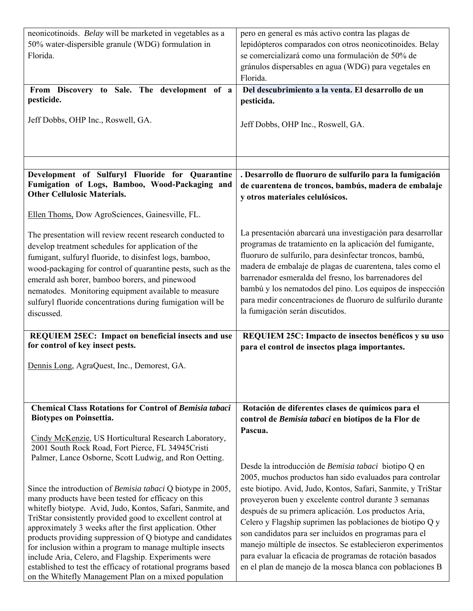| neonicotinoids. Belay will be marketed in vegetables as a<br>50% water-dispersible granule (WDG) formulation in<br>Florida.                                                                                                                                                                                                                                                                                                                                                                                                                                                                                                    | pero en general es más activo contra las plagas de<br>lepidópteros comparados con otros neonicotinoides. Belay<br>se comercializará como una formulación de 50% de<br>gránulos dispersables en agua (WDG) para vegetales en                                                                                                                                                                                                                                                                                                                                                                                       |
|--------------------------------------------------------------------------------------------------------------------------------------------------------------------------------------------------------------------------------------------------------------------------------------------------------------------------------------------------------------------------------------------------------------------------------------------------------------------------------------------------------------------------------------------------------------------------------------------------------------------------------|-------------------------------------------------------------------------------------------------------------------------------------------------------------------------------------------------------------------------------------------------------------------------------------------------------------------------------------------------------------------------------------------------------------------------------------------------------------------------------------------------------------------------------------------------------------------------------------------------------------------|
|                                                                                                                                                                                                                                                                                                                                                                                                                                                                                                                                                                                                                                | Florida.                                                                                                                                                                                                                                                                                                                                                                                                                                                                                                                                                                                                          |
| From Discovery to Sale. The development of a<br>pesticide.                                                                                                                                                                                                                                                                                                                                                                                                                                                                                                                                                                     | Del descubrimiento a la venta. El desarrollo de un<br>pesticida.                                                                                                                                                                                                                                                                                                                                                                                                                                                                                                                                                  |
|                                                                                                                                                                                                                                                                                                                                                                                                                                                                                                                                                                                                                                |                                                                                                                                                                                                                                                                                                                                                                                                                                                                                                                                                                                                                   |
| Jeff Dobbs, OHP Inc., Roswell, GA.                                                                                                                                                                                                                                                                                                                                                                                                                                                                                                                                                                                             | Jeff Dobbs, OHP Inc., Roswell, GA.                                                                                                                                                                                                                                                                                                                                                                                                                                                                                                                                                                                |
|                                                                                                                                                                                                                                                                                                                                                                                                                                                                                                                                                                                                                                |                                                                                                                                                                                                                                                                                                                                                                                                                                                                                                                                                                                                                   |
|                                                                                                                                                                                                                                                                                                                                                                                                                                                                                                                                                                                                                                |                                                                                                                                                                                                                                                                                                                                                                                                                                                                                                                                                                                                                   |
|                                                                                                                                                                                                                                                                                                                                                                                                                                                                                                                                                                                                                                |                                                                                                                                                                                                                                                                                                                                                                                                                                                                                                                                                                                                                   |
| Development of Sulfuryl Fluoride for Quarantine<br>Fumigation of Logs, Bamboo, Wood-Packaging and<br><b>Other Cellulosic Materials.</b>                                                                                                                                                                                                                                                                                                                                                                                                                                                                                        | . Desarrollo de fluoruro de sulfurilo para la fumigación<br>de cuarentena de troncos, bambús, madera de embalaje<br>y otros materiales celulósicos.                                                                                                                                                                                                                                                                                                                                                                                                                                                               |
| Ellen Thoms, Dow AgroSciences, Gainesville, FL.                                                                                                                                                                                                                                                                                                                                                                                                                                                                                                                                                                                |                                                                                                                                                                                                                                                                                                                                                                                                                                                                                                                                                                                                                   |
| The presentation will review recent research conducted to<br>develop treatment schedules for application of the<br>fumigant, sulfuryl fluoride, to disinfest logs, bamboo,<br>wood-packaging for control of quarantine pests, such as the<br>emerald ash borer, bamboo borers, and pinewood<br>nematodes. Monitoring equipment available to measure<br>sulfuryl fluoride concentrations during fumigation will be<br>discussed.                                                                                                                                                                                                | La presentación abarcará una investigación para desarrollar<br>programas de tratamiento en la aplicación del fumigante,<br>fluoruro de sulfurilo, para desinfectar troncos, bambú,<br>madera de embalaje de plagas de cuarentena, tales como el<br>barrenador esmeralda del fresno, los barrenadores del<br>bambú y los nematodos del pino. Los equipos de inspección<br>para medir concentraciones de fluoruro de sulfurilo durante<br>la fumigación serán discutidos.                                                                                                                                           |
| <b>REQUIEM 25EC: Impact on beneficial insects and use</b>                                                                                                                                                                                                                                                                                                                                                                                                                                                                                                                                                                      | REQUIEM 25C: Impacto de insectos benéficos y su uso                                                                                                                                                                                                                                                                                                                                                                                                                                                                                                                                                               |
| for control of key insect pests.                                                                                                                                                                                                                                                                                                                                                                                                                                                                                                                                                                                               | para el control de insectos plaga importantes.                                                                                                                                                                                                                                                                                                                                                                                                                                                                                                                                                                    |
| Dennis Long, AgraQuest, Inc., Demorest, GA.                                                                                                                                                                                                                                                                                                                                                                                                                                                                                                                                                                                    |                                                                                                                                                                                                                                                                                                                                                                                                                                                                                                                                                                                                                   |
|                                                                                                                                                                                                                                                                                                                                                                                                                                                                                                                                                                                                                                |                                                                                                                                                                                                                                                                                                                                                                                                                                                                                                                                                                                                                   |
|                                                                                                                                                                                                                                                                                                                                                                                                                                                                                                                                                                                                                                |                                                                                                                                                                                                                                                                                                                                                                                                                                                                                                                                                                                                                   |
| <b>Chemical Class Rotations for Control of Bemisia tabaci</b><br><b>Biotypes on Poinsettia.</b>                                                                                                                                                                                                                                                                                                                                                                                                                                                                                                                                | Rotación de diferentes clases de químicos para el<br>control de Bemisia tabaci en biotipos de la Flor de<br>Pascua.                                                                                                                                                                                                                                                                                                                                                                                                                                                                                               |
| Cindy McKenzie, US Horticultural Research Laboratory,<br>2001 South Rock Road, Fort Pierce, FL 34945Cristi<br>Palmer, Lance Osborne, Scott Ludwig, and Ron Oetting.                                                                                                                                                                                                                                                                                                                                                                                                                                                            |                                                                                                                                                                                                                                                                                                                                                                                                                                                                                                                                                                                                                   |
| Since the introduction of <i>Bemisia tabaci</i> Q biotype in 2005,<br>many products have been tested for efficacy on this<br>whitefly biotype. Avid, Judo, Kontos, Safari, Sanmite, and<br>TriStar consistently provided good to excellent control at<br>approximately 3 weeks after the first application. Other<br>products providing suppression of Q biotype and candidates<br>for inclusion within a program to manage multiple insects<br>include Aria, Celero, and Flagship. Experiments were<br>established to test the efficacy of rotational programs based<br>on the Whitefly Management Plan on a mixed population | Desde la introducción de Bemisia tabaci biotipo Q en<br>2005, muchos productos han sido evaluados para controlar<br>este biotipo. Avid, Judo, Kontos, Safari, Sanmite, y TriStar<br>proveyeron buen y excelente control durante 3 semanas<br>después de su primera aplicación. Los productos Aria,<br>Celero y Flagship suprimen las poblaciones de biotipo Q y<br>son candidatos para ser incluidos en programas para el<br>manejo múltiple de insectos. Se establecieron experimentos<br>para evaluar la eficacia de programas de rotación basados<br>en el plan de manejo de la mosca blanca con poblaciones B |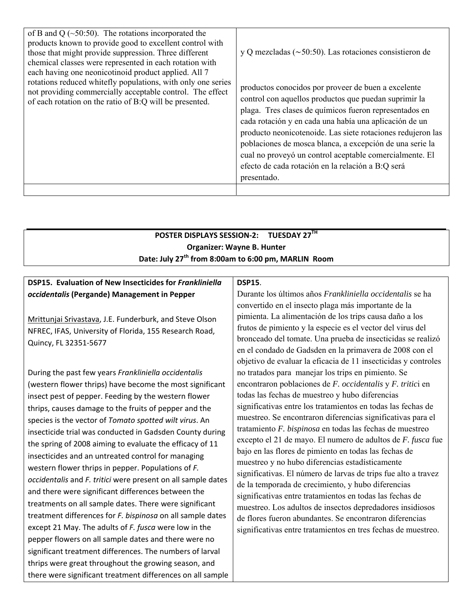| of B and Q $(\sim 50:50)$ . The rotations incorporated the<br>products known to provide good to excellent control with<br>those that might provide suppression. Three different<br>chemical classes were represented in each rotation with<br>each having one neonicotinoid product applied. All 7 | y Q mezcladas ( $\sim$ 50:50). Las rotaciones consistieron de                                                                                                                                                                                                                                                                                                                                                                                                                              |
|----------------------------------------------------------------------------------------------------------------------------------------------------------------------------------------------------------------------------------------------------------------------------------------------------|--------------------------------------------------------------------------------------------------------------------------------------------------------------------------------------------------------------------------------------------------------------------------------------------------------------------------------------------------------------------------------------------------------------------------------------------------------------------------------------------|
| rotations reduced whitefly populations, with only one series<br>not providing commercially acceptable control. The effect<br>of each rotation on the ratio of B:Q will be presented.                                                                                                               | productos conocidos por proveer de buen a excelente<br>control con aquellos productos que puedan suprimir la<br>plaga. Tres clases de químicos fueron representados en<br>cada rotación y en cada una había una aplicación de un<br>producto neonicotenoide. Las siete rotaciones redujeron las<br>poblaciones de mosca blanca, a excepción de una serie la<br>cual no proveyó un control aceptable comercialmente. El<br>efecto de cada rotación en la relación a B:Q será<br>presentado. |
|                                                                                                                                                                                                                                                                                                    |                                                                                                                                                                                                                                                                                                                                                                                                                                                                                            |

#### **POSTER DISPLAYS SESSION‐2: TUESDAY 27TH Organizer: Wayne B. Hunter Date: July 27th from 8:00am to 6:00 pm, MARLIN Room**

#### **DSP15. Evaluation of New Insecticides for** *Frankliniella occidentalis* **(Pergande) Management in Pepper**

Mrittunjai Srivastava, J.E. Funderburk, and Steve Olson NFREC, IFAS, University of Florida, 155 Research Road, Quincy, FL 32351‐5677

During the past few years *Frankliniella occidentalis* (western flower thrips) have become the most significant insect pest of pepper. Feeding by the western flower thrips, causes damage to the fruits of pepper and the species is the vector of *Tomato spotted wilt virus*. An insecticide trial was conducted in Gadsden County during the spring of 2008 aiming to evaluate the efficacy of 11 insecticides and an untreated control for managing western flower thrips in pepper. Populations of *F. occidentalis* and *F. tritici* were present on all sample dates and there were significant differences between the treatments on all sample dates. There were significant treatment differences for *F. bispinosa* on all sample dates except 21 May. The adults of *F. fusca* were low in the pepper flowers on all sample dates and there were no significant treatment differences. The numbers of larval thrips were great throughout the growing season, and there were significant treatment differences on all sample

#### **DSP15**.

Durante los últimos años *Frankliniella occidentalis* se ha convertido en el insecto plaga más importante de la pimienta. La alimentación de los trips causa daño a los frutos de pimiento y la especie es el vector del virus del bronceado del tomate. Una prueba de insecticidas se realizó en el condado de Gadsden en la primavera de 2008 con el objetivo de evaluar la eficacia de 11 insecticidas y controles no tratados para manejar los trips en pimiento. Se encontraron poblaciones de *F. occidentalis* y *F. tritic*i en todas las fechas de muestreo y hubo diferencias significativas entre los tratamientos en todas las fechas de muestreo. Se encontraron diferencias significativas para el tratamiento *F. bispinosa* en todas las fechas de muestreo excepto el 21 de mayo. El numero de adultos de *F. fusca* fue bajo en las flores de pimiento en todas las fechas de muestreo y no hubo diferencias estadísticamente significativas. El número de larvas de trips fue alto a travez de la temporada de crecimiento, y hubo diferencias significativas entre tratamientos en todas las fechas de muestreo. Los adultos de insectos depredadores insidiosos de flores fueron abundantes. Se encontraron diferencias significativas entre tratamientos en tres fechas de muestreo.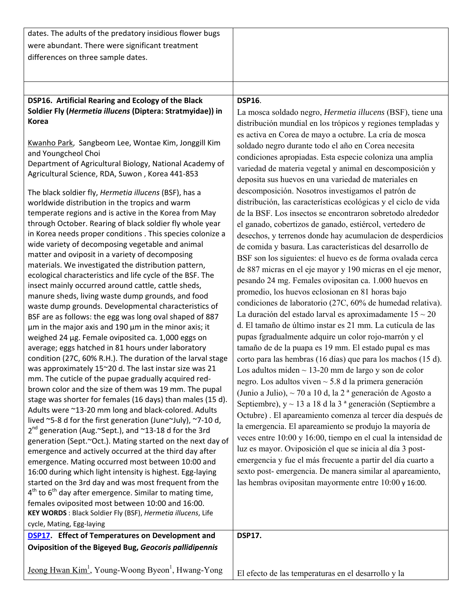| dates. The adults of the predatory insidious flower bugs                                                             |                                                                                                                      |
|----------------------------------------------------------------------------------------------------------------------|----------------------------------------------------------------------------------------------------------------------|
| were abundant. There were significant treatment                                                                      |                                                                                                                      |
| differences on three sample dates.                                                                                   |                                                                                                                      |
|                                                                                                                      |                                                                                                                      |
|                                                                                                                      |                                                                                                                      |
|                                                                                                                      |                                                                                                                      |
| DSP16. Artificial Rearing and Ecology of the Black                                                                   | <b>DSP16.</b>                                                                                                        |
| Soldier Fly (Hermetia illucens (Diptera: Stratmyidae)) in<br><b>Korea</b>                                            | La mosca soldado negro, Hermetia illucens (BSF), tiene una                                                           |
|                                                                                                                      | distribución mundial en los trópicos y regiones templadas y                                                          |
| Kwanho Park, Sangbeom Lee, Wontae Kim, Jonggill Kim                                                                  | es activa en Corea de mayo a octubre. La cría de mosca                                                               |
| and Youngcheol Choi                                                                                                  | soldado negro durante todo el año en Corea necesita                                                                  |
| Department of Agricultural Biology, National Academy of                                                              | condiciones apropiadas. Esta especie coloniza una amplia                                                             |
| Agricultural Science, RDA, Suwon, Korea 441-853                                                                      | variedad de materia vegetal y animal en descomposición y                                                             |
|                                                                                                                      | deposita sus huevos en una variedad de materiales en                                                                 |
| The black soldier fly, Hermetia illucens (BSF), has a                                                                | descomposición. Nosotros investigamos el patrón de                                                                   |
| worldwide distribution in the tropics and warm                                                                       | distribución, las características ecológicas y el ciclo de vida                                                      |
| temperate regions and is active in the Korea from May<br>through October. Rearing of black soldier fly whole year    | de la BSF. Los insectos se encontraron sobretodo alrededor                                                           |
| in Korea needs proper conditions . This species colonize a                                                           | el ganado, cobertizos de ganado, estiércol, vertedero de                                                             |
| wide variety of decomposing vegetable and animal                                                                     | desechos, y terrenos donde hay acumulacion de desperdicios                                                           |
| matter and oviposit in a variety of decomposing                                                                      | de comida y basura. Las características del desarrollo de                                                            |
| materials. We investigated the distribution pattern,                                                                 | BSF son los siguientes: el huevo es de forma ovalada cerca                                                           |
| ecological characteristics and life cycle of the BSF. The                                                            | de 887 micras en el eje mayor y 190 micras en el eje menor,<br>pesando 24 mg. Females ovipositan ca. 1.000 huevos en |
| insect mainly occurred around cattle, cattle sheds,                                                                  | promedio, los huevos eclosionan en 81 horas bajo                                                                     |
| manure sheds, living waste dump grounds, and food                                                                    | condiciones de laboratorio (27C, 60% de humedad relativa).                                                           |
| waste dump grounds. Developmental characteristics of                                                                 | La duración del estado larval es aproximadamente $15 \sim 20$                                                        |
| BSF are as follows: the egg was long oval shaped of 887                                                              | d. El tamaño de último instar es 21 mm. La cutícula de las                                                           |
| um in the major axis and 190 um in the minor axis; it<br>weighed 24 µg. Female oviposited ca. 1,000 eggs on          | pupas fgradualmente adquire un color rojo-marrón y el                                                                |
| average; eggs hatched in 81 hours under laboratory                                                                   | tamaño de de la puapa es 19 mm. El estado pupal es mas                                                               |
| condition (27C, 60% R.H.). The duration of the larval stage                                                          | corto para las hembras (16 días) que para los machos (15 d).                                                         |
| was approximately 15~20 d. The last instar size was 21                                                               | Los adultos miden $\sim$ 13-20 mm de largo y son de color                                                            |
| mm. The cuticle of the pupae gradually acquired red-                                                                 | negro. Los adultos viven $\sim$ 5.8 d la primera generación                                                          |
| brown color and the size of them was 19 mm. The pupal                                                                | (Junio a Julio), $\sim$ 70 a 10 d, la 2 <sup>ª</sup> generación de Agosto a                                          |
| stage was shorter for females (16 days) than males (15 d).                                                           | Septiembre), y ~ 13 a 18 d la 3 <sup>ª</sup> generación (Septiembre a                                                |
| Adults were ~13-20 mm long and black-colored. Adults                                                                 | Octubre). El apareamiento comenza al tercer día después de                                                           |
| lived ~5-8 d for the first generation (June~July), ~7-10 d,                                                          | la emergencia. El apareamiento se produjo la mayoría de                                                              |
| 2 <sup>nd</sup> generation (Aug.~Sept.), and ~13-18 d for the 3rd                                                    | veces entre 10:00 y 16:00, tiempo en el cual la intensidad de                                                        |
| generation (Sept.~Oct.). Mating started on the next day of<br>emergence and actively occurred at the third day after | luz es mayor. Oviposición el que se inicia al día 3 post-                                                            |
| emergence. Mating occurred most between 10:00 and                                                                    | emergencia y fue el más frecuente a partir del día cuarto a                                                          |
| 16:00 during which light intensity is highest. Egg-laying                                                            | sexto post- emergencia. De manera similar al apareamiento,                                                           |
| started on the 3rd day and was most frequent from the                                                                | las hembras ovipositan mayormente entre $10:00$ y 16:00.                                                             |
| $4th$ to $6th$ day after emergence. Similar to mating time,                                                          |                                                                                                                      |
| females oviposited most between 10:00 and 16:00.                                                                     |                                                                                                                      |
| KEY WORDS : Black Soldier Fly (BSF), Hermetia illucens, Life                                                         |                                                                                                                      |
| cycle, Mating, Egg-laying                                                                                            |                                                                                                                      |
| <b>DSP17.</b> Effect of Temperatures on Development and                                                              | <b>DSP17.</b>                                                                                                        |
| Oviposition of the Bigeyed Bug, Geocoris pallidipennis                                                               |                                                                                                                      |
| <u>Jeong Hwan Kim<sup>1</sup></u> , Young-Woong Byeon <sup>1</sup> , Hwang-Yong                                      | El efecto de las temperaturas en el desarrollo y la                                                                  |
|                                                                                                                      |                                                                                                                      |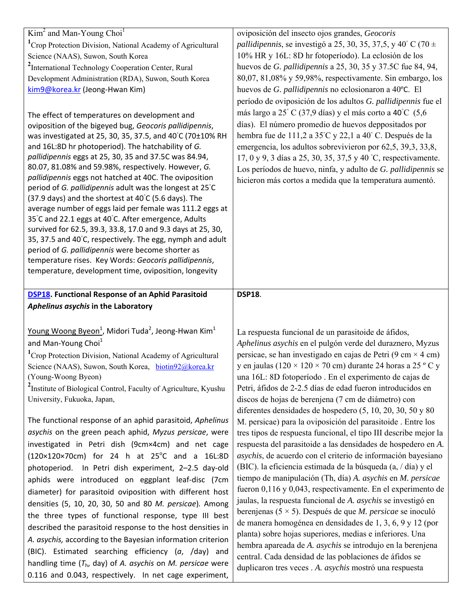| $Kim2$ and Man-Young Choi <sup>1</sup>                                                                                 | oviposición del insecto ojos grandes, Geocoris                                                                                     |
|------------------------------------------------------------------------------------------------------------------------|------------------------------------------------------------------------------------------------------------------------------------|
| <sup>1</sup> Crop Protection Division, National Academy of Agricultural                                                | <i>pallidipennis</i> , se investigó a 25, 30, 35, 37,5, y 40° C (70 $\pm$                                                          |
| Science (NAAS), Suwon, South Korea                                                                                     | 10% HR y 16L: 8D hr fotoperíodo). La eclosión de los                                                                               |
| <sup>2</sup> International Technology Cooperation Center, Rural                                                        | huevos de G. pallidipennis a 25, 30, 35 y 37.5C fue 84, 94,                                                                        |
| Development Administration (RDA), Suwon, South Korea                                                                   | 80,07, 81,08% y 59,98%, respectivamente. Sin embargo, los                                                                          |
| kim9@korea.kr (Jeong-Hwan Kim)                                                                                         | huevos de G. pallidipennis no eclosionaron a 40°C. El                                                                              |
|                                                                                                                        | período de oviposición de los adultos G. pallidipennis fue el                                                                      |
| The effect of temperatures on development and                                                                          | más largo a 25° C (37,9 días) y el más corto a 40°C (5,6                                                                           |
| oviposition of the bigeyed bug, Geocoris pallidipennis,                                                                | días). El número promedio de huevos deppositados por                                                                               |
| was investigated at 25, 30, 35, 37.5, and 40°C (70±10% RH                                                              | hembra fue de 111,2 a 35°C y 22,1 a 40°C. Después de la                                                                            |
| and 16L:8D hr photoperiod). The hatchability of G.                                                                     | emergencia, los adultos sobrevivieron por 62,5, 39,3, 33,8,                                                                        |
| pallidipennis eggs at 25, 30, 35 and 37.5C was 84.94,                                                                  | 17, 0 y 9, 3 días a 25, 30, 35, 37,5 y 40 °C, respectivamente.                                                                     |
| 80.07, 81.08% and 59.98%, respectively. However, G.<br>pallidipennis eggs not hatched at 40C. The oviposition          | Los períodos de huevo, ninfa, y adulto de G. pallidipennis se                                                                      |
| period of G. pallidipennis adult was the longest at 25°C                                                               | hicieron más cortos a medida que la temperatura aumentó.                                                                           |
| (37.9 days) and the shortest at $40^{\circ}$ C (5.6 days). The                                                         |                                                                                                                                    |
| average number of eggs laid per female was 111.2 eggs at                                                               |                                                                                                                                    |
| 35°C and 22.1 eggs at 40°C. After emergence, Adults                                                                    |                                                                                                                                    |
| survived for 62.5, 39.3, 33.8, 17.0 and 9.3 days at 25, 30,                                                            |                                                                                                                                    |
| 35, 37.5 and 40°C, respectively. The egg, nymph and adult                                                              |                                                                                                                                    |
| period of G. pallidipennis were become shorter as                                                                      |                                                                                                                                    |
| temperature rises. Key Words: Geocoris pallidipennis,                                                                  |                                                                                                                                    |
| temperature, development time, oviposition, longevity                                                                  |                                                                                                                                    |
|                                                                                                                        |                                                                                                                                    |
| <b>DSP18.</b> Functional Response of an Aphid Parasitoid                                                               | <b>DSP18.</b>                                                                                                                      |
|                                                                                                                        |                                                                                                                                    |
| Aphelinus asychis in the Laboratory                                                                                    |                                                                                                                                    |
|                                                                                                                        |                                                                                                                                    |
| Young Woong Byeon <sup>1</sup> , Midori Tuda <sup>2</sup> , Jeong-Hwan Kim <sup>1</sup>                                | La respuesta funcional de un parasitoide de áfidos,                                                                                |
| and Man-Young Choi <sup>1</sup>                                                                                        | Aphelinus asychis en el pulgón verde del duraznero, Myzus                                                                          |
| <sup>1</sup> Crop Protection Division, National Academy of Agricultural                                                | persicae, se han investigado en cajas de Petri (9 cm $\times$ 4 cm)<br>y en jaulas (120 × 120 × 70 cm) durante 24 horas a 25 ° C y |
| Science (NAAS), Suwon, South Korea, biotin92@korea.kr<br>(Young-Woong Byeon)                                           |                                                                                                                                    |
|                                                                                                                        | una 16L: 8D fotoperíodo . En el experimento de cajas de<br>Petri, áfidos de 2-2.5 días de edad fueron introducidos en              |
| <sup>2</sup> Institute of Biological Control, Faculty of Agriculture, Kyushu<br>University, Fukuoka, Japan,            | discos de hojas de berenjena (7 cm de diámetro) con                                                                                |
|                                                                                                                        | diferentes densidades de hospedero (5, 10, 20, 30, 50 y 80                                                                         |
| The functional response of an aphid parasitoid, Aphelinus                                                              | M. persicae) para la oviposición del parasitoide. Entre los                                                                        |
| asychis on the green peach aphid, Myzus persicae, were                                                                 | tres tipos de respuesta funcional, el tipo III describe mejor la                                                                   |
| investigated in Petri dish (9cm×4cm) and net cage                                                                      | respuesta del parasitoide a las densidades de hospedero en A.                                                                      |
| $(120 \times 120 \times 70 \text{cm})$ for 24 h at 25 <sup>o</sup> C and a 16L:8D                                      | asychis, de acuerdo con el criterio de información bayesiano                                                                       |
| photoperiod. In Petri dish experiment, 2-2.5 day-old                                                                   | (BIC). la eficiencia estimada de la búsqueda (a, / día) y el                                                                       |
| aphids were introduced on eggplant leaf-disc (7cm                                                                      | tiempo de manipulación (Th, día) A. asychis en M. persicae                                                                         |
|                                                                                                                        | fueron 0,116 y 0,043, respectivamente. En el experimento de                                                                        |
| diameter) for parasitoid oviposition with different host                                                               | jaulas, la respuesta funcional de A. asychis se investigó en                                                                       |
| densities (5, 10, 20, 30, 50 and 80 M. persicae). Among                                                                | berenjenas (5 $\times$ 5). Después de que <i>M. persicae</i> se inoculó                                                            |
| the three types of functional response, type III best                                                                  | de manera homogénea en densidades de 1, 3, 6, 9 y 12 (por                                                                          |
| described the parasitoid response to the host densities in                                                             | planta) sobre hojas superiores, medias e inferiores. Una                                                                           |
| A. asychis, according to the Bayesian information criterion                                                            | hembra apareada de A. asychis se introdujo en la berenjena                                                                         |
| (BIC). Estimated searching efficiency (a, /day) and                                                                    | central. Cada densidad de las poblaciones de áfidos se                                                                             |
| handling time $(T_h, day)$ of A. asychis on M. persicae were<br>0.116 and 0.043, respectively. In net cage experiment, | duplicaron tres veces . A. asychis mostró una respuesta                                                                            |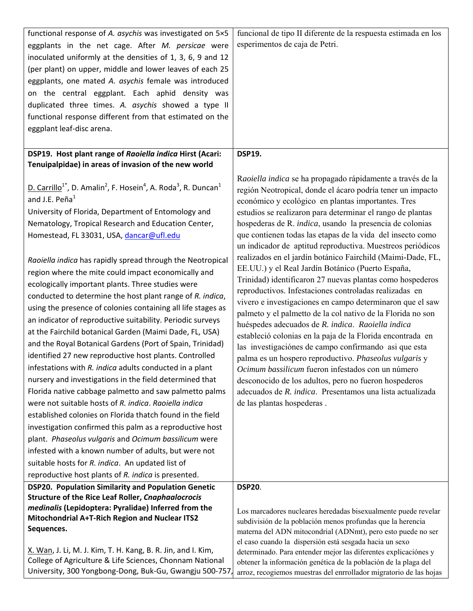| functional response of A. asychis was investigated on 5×5                                                                   | funcional de tipo II diferente de la respuesta estimada en los                                                                     |
|-----------------------------------------------------------------------------------------------------------------------------|------------------------------------------------------------------------------------------------------------------------------------|
| eggplants in the net cage. After M. persicae were                                                                           | esperimentos de caja de Petri.                                                                                                     |
| inoculated uniformly at the densities of 1, 3, 6, 9 and 12                                                                  |                                                                                                                                    |
| (per plant) on upper, middle and lower leaves of each 25                                                                    |                                                                                                                                    |
| eggplants, one mated A. asychis female was introduced                                                                       |                                                                                                                                    |
| on the central eggplant. Each aphid density was                                                                             |                                                                                                                                    |
| duplicated three times. A. asychis showed a type II                                                                         |                                                                                                                                    |
| functional response different from that estimated on the                                                                    |                                                                                                                                    |
| eggplant leaf-disc arena.                                                                                                   |                                                                                                                                    |
|                                                                                                                             |                                                                                                                                    |
| DSP19. Host plant range of Raoiella indica Hirst (Acari:                                                                    | <b>DSP19.</b>                                                                                                                      |
| Tenuipalpidae) in areas of invasion of the new world                                                                        |                                                                                                                                    |
|                                                                                                                             | Raoiella indica se ha propagado rápidamente a través de la                                                                         |
| D. Carrillo <sup>1*</sup> , D. Amalin <sup>2</sup> , F. Hosein <sup>4</sup> , A. Roda <sup>3</sup> , R. Duncan <sup>1</sup> | región Neotropical, donde el ácaro podría tener un impacto                                                                         |
| and J.E. Peña <sup>1</sup>                                                                                                  | económico y ecológico en plantas importantes. Tres                                                                                 |
| University of Florida, Department of Entomology and                                                                         | estudios se realizaron para determinar el rango de plantas                                                                         |
| Nematology, Tropical Research and Education Center,                                                                         | hospederas de R. indica, usando la presencia de colonias                                                                           |
| Homestead, FL 33031, USA, dancar@ufl.edu                                                                                    | que contienen todas las etapas de la vida del insecto como                                                                         |
|                                                                                                                             | un indicador de aptitud reproductiva. Muestreos periódicos                                                                         |
| Raoiella indica has rapidly spread through the Neotropical                                                                  | realizados en el jardín botánico Fairchild (Maimi-Dade, FL,                                                                        |
| region where the mite could impact economically and                                                                         | EE.UU.) y el Real Jardín Botánico (Puerto España,                                                                                  |
| ecologically important plants. Three studies were                                                                           | Trinidad) identificaron 27 nuevas plantas como hospederos                                                                          |
| conducted to determine the host plant range of R. indica,                                                                   | reproductivos. Infestaciones controladas realizadas en                                                                             |
|                                                                                                                             | vivero e investigaciones en campo determinaron que el saw                                                                          |
| using the presence of colonies containing all life stages as                                                                | palmeto y el palmetto de la col nativo de la Florida no son                                                                        |
| an indicator of reproductive suitability. Periodic surveys                                                                  | huéspedes adecuados de R. indica. Raoiella indica                                                                                  |
| at the Fairchild botanical Garden (Maimi Dade, FL, USA)                                                                     | estableció colonias en la paja de la Florida encontrada en                                                                         |
| and the Royal Botanical Gardens (Port of Spain, Trinidad)                                                                   | las investigaciónes de campo confirmando asi que esta                                                                              |
| identified 27 new reproductive host plants. Controlled                                                                      | palma es un hospero reproductivo. Phaseolus vulgaris y                                                                             |
| infestations with R. indica adults conducted in a plant                                                                     | Ocimum bassilicum fueron infestados con un número                                                                                  |
| nursery and investigations in the field determined that                                                                     | desconocido de los adultos, pero no fueron hospederos                                                                              |
| Florida native cabbage palmetto and saw palmetto palms                                                                      | adecuados de R. indica. Presentamos una lista actualizada                                                                          |
| were not suitable hosts of R. indica. Raoiella indica                                                                       | de las plantas hospederas.                                                                                                         |
| established colonies on Florida thatch found in the field                                                                   |                                                                                                                                    |
| investigation confirmed this palm as a reproductive host                                                                    |                                                                                                                                    |
| plant. Phaseolus vulgaris and Ocimum bassilicum were                                                                        |                                                                                                                                    |
| infested with a known number of adults, but were not                                                                        |                                                                                                                                    |
| suitable hosts for R. indica. An updated list of                                                                            |                                                                                                                                    |
| reproductive host plants of R. indica is presented.                                                                         |                                                                                                                                    |
| DSP20. Population Similarity and Population Genetic                                                                         | <b>DSP20.</b>                                                                                                                      |
| <b>Structure of the Rice Leaf Roller, Cnaphaalocrocis</b>                                                                   |                                                                                                                                    |
| medinalis (Lepidoptera: Pyralidae) Inferred from the                                                                        | Los marcadores nucleares heredadas bisexualmente puede revelar                                                                     |
| Mitochondrial A+T-Rich Region and Nuclear ITS2                                                                              | subdivisión de la población menos profundas que la herencia                                                                        |
| Sequences.                                                                                                                  | materna del ADN mitocondrial (ADNmt), pero esto puede no ser                                                                       |
| X. Wan, J. Li, M. J. Kim, T. H. Kang, B. R. Jin, and I. Kim,                                                                | el caso cuando la dispersión está sesgada hacia un sexo                                                                            |
| College of Agriculture & Life Sciences, Chonnam National                                                                    | determinado. Para entender mejor las diferentes explicaciónes y<br>obtener la información genética de la población de la plaga del |
| University, 300 Yongbong-Dong, Buk-Gu, Gwangju 500-757,                                                                     | arroz, recogiemos muestras del enrrollador migratorio de las hojas                                                                 |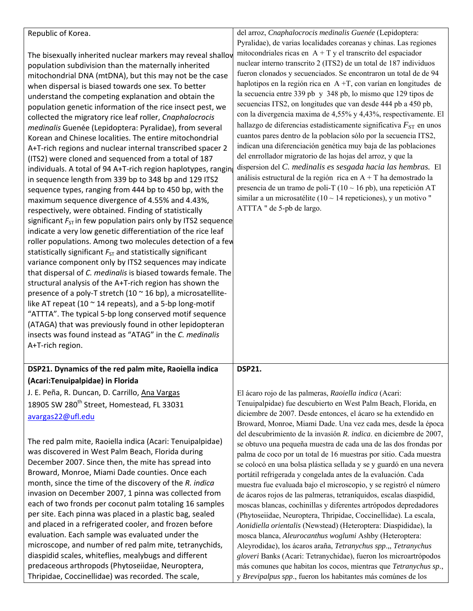| Republic of Korea.<br>The bisexually inherited nuclear markers may reveal shallov<br>population subdivision than the maternally inherited<br>mitochondrial DNA (mtDNA), but this may not be the case<br>when dispersal is biased towards one sex. To better                                                                                                                                                                                                                                                                                                                                                                                                                                                                                                                                                                                                                                                                                                                                                                                                                                                                                                                                                                                                                                                                                                                                                                                                                                                                           | del arroz, Cnaphalocrocis medinalis Guenée (Lepidoptera:<br>Pyralidae), de varias localidades coreanas y chinas. Las regiones<br>mitocondriales ricas en $A + T$ y el transcrito del espaciador<br>nuclear interno transcrito 2 (ITS2) de un total de 187 individuos<br>fueron clonados y secuenciados. Se encontraron un total de de 94<br>haplotipos en la región rica en $A + T$ , con varían en longitudes de                                                                                                                                                                                                                                                                                                                                                                                                                                                                                                                                                                                                                              |
|---------------------------------------------------------------------------------------------------------------------------------------------------------------------------------------------------------------------------------------------------------------------------------------------------------------------------------------------------------------------------------------------------------------------------------------------------------------------------------------------------------------------------------------------------------------------------------------------------------------------------------------------------------------------------------------------------------------------------------------------------------------------------------------------------------------------------------------------------------------------------------------------------------------------------------------------------------------------------------------------------------------------------------------------------------------------------------------------------------------------------------------------------------------------------------------------------------------------------------------------------------------------------------------------------------------------------------------------------------------------------------------------------------------------------------------------------------------------------------------------------------------------------------------|------------------------------------------------------------------------------------------------------------------------------------------------------------------------------------------------------------------------------------------------------------------------------------------------------------------------------------------------------------------------------------------------------------------------------------------------------------------------------------------------------------------------------------------------------------------------------------------------------------------------------------------------------------------------------------------------------------------------------------------------------------------------------------------------------------------------------------------------------------------------------------------------------------------------------------------------------------------------------------------------------------------------------------------------|
| understand the competing explanation and obtain the<br>population genetic information of the rice insect pest, we<br>collected the migratory rice leaf roller, Cnaphalocrocis<br>medinalis Guenée (Lepidoptera: Pyralidae), from several<br>Korean and Chinese localities. The entire mitochondrial<br>A+T-rich regions and nuclear internal transcribed spacer 2<br>(ITS2) were cloned and sequenced from a total of 187<br>individuals. A total of 94 A+T-rich region haplotypes, rangin<br>in sequence length from 339 bp to 348 bp and 129 ITS2<br>sequence types, ranging from 444 bp to 450 bp, with the<br>maximum sequence divergence of 4.55% and 4.43%,<br>respectively, were obtained. Finding of statistically<br>significant $F_{ST}$ in few population pairs only by ITS2 sequence<br>indicate a very low genetic differentiation of the rice leaf<br>roller populations. Among two molecules detection of a few<br>statistically significant $F_{ST}$ and statistically significant<br>variance component only by ITS2 sequences may indicate<br>that dispersal of C. medinalis is biased towards female. The<br>structural analysis of the A+T-rich region has shown the<br>presence of a poly-T stretch (10 $\approx$ 16 bp), a microsatellite-<br>like AT repeat (10 $\sim$ 14 repeats), and a 5-bp long-motif<br>"ATTTA". The typical 5-bp long conserved motif sequence<br>(ATAGA) that was previously found in other lepidopteran<br>insects was found instead as "ATAG" in the C. medinalis<br>A+T-rich region. | la secuencia entre 339 pb y 348 pb, lo mismo que 129 tipos de<br>secuencias ITS2, on longitudes que van desde 444 pb a 450 pb,<br>con la divergencia maxima de 4,55% y 4,43%, respectivamente. El<br>hallazgo de diferencias estadísticamente significativa $F_{ST}$ en unos<br>cuantos pares dentro de la poblacion sólo por la secuencia ITS2,<br>indican una diferenciación genética muy baja de las poblaciones<br>del enrrollador migratorio de las hojas del arroz, y que la<br>dispersion del C. medinalis es sesgada hacia las hembras. El<br>análisis estructural de la región rica en $A + T$ ha demostrado la<br>presencia de un tramo de poli-T ( $10 \sim 16$ pb), una repetición AT<br>similar a un microsatélite (10 ~ 14 repeticiones), y un motivo "<br>ATTTA " de 5-pb de largo.                                                                                                                                                                                                                                             |
| DSP21. Dynamics of the red palm mite, Raoiella indica                                                                                                                                                                                                                                                                                                                                                                                                                                                                                                                                                                                                                                                                                                                                                                                                                                                                                                                                                                                                                                                                                                                                                                                                                                                                                                                                                                                                                                                                                 | <b>DSP21</b>                                                                                                                                                                                                                                                                                                                                                                                                                                                                                                                                                                                                                                                                                                                                                                                                                                                                                                                                                                                                                                   |
| (Acari:Tenuipalpidae) in Florida                                                                                                                                                                                                                                                                                                                                                                                                                                                                                                                                                                                                                                                                                                                                                                                                                                                                                                                                                                                                                                                                                                                                                                                                                                                                                                                                                                                                                                                                                                      |                                                                                                                                                                                                                                                                                                                                                                                                                                                                                                                                                                                                                                                                                                                                                                                                                                                                                                                                                                                                                                                |
| J. E. Peña, R. Duncan, D. Carrillo, Ana Vargas<br>18905 SW 280 <sup>th</sup> Street, Homestead, FL 33031                                                                                                                                                                                                                                                                                                                                                                                                                                                                                                                                                                                                                                                                                                                                                                                                                                                                                                                                                                                                                                                                                                                                                                                                                                                                                                                                                                                                                              | El ácaro rojo de las palmeras, Raoiella indica (Acari:<br>Tenuipalpidae) fue descubierto en West Palm Beach, Florida, en                                                                                                                                                                                                                                                                                                                                                                                                                                                                                                                                                                                                                                                                                                                                                                                                                                                                                                                       |
| avargas22@ufl.edu                                                                                                                                                                                                                                                                                                                                                                                                                                                                                                                                                                                                                                                                                                                                                                                                                                                                                                                                                                                                                                                                                                                                                                                                                                                                                                                                                                                                                                                                                                                     | diciembre de 2007. Desde entonces, el ácaro se ha extendido en<br>Broward, Monroe, Miami Dade. Una vez cada mes, desde la época                                                                                                                                                                                                                                                                                                                                                                                                                                                                                                                                                                                                                                                                                                                                                                                                                                                                                                                |
| The red palm mite, Raoiella indica (Acari: Tenuipalpidae)<br>was discovered in West Palm Beach, Florida during<br>December 2007. Since then, the mite has spread into<br>Broward, Monroe, Miami Dade counties. Once each<br>month, since the time of the discovery of the R. indica<br>invasion on December 2007, 1 pinna was collected from<br>each of two fronds per coconut palm totaling 16 samples<br>per site. Each pinna was placed in a plastic bag, sealed<br>and placed in a refrigerated cooler, and frozen before<br>evaluation. Each sample was evaluated under the<br>microscope, and number of red palm mite, tetranychids,<br>diaspidid scales, whiteflies, mealybugs and different<br>predaceous arthropods (Phytoseiidae, Neuroptera,<br>Thripidae, Coccinellidae) was recorded. The scale,                                                                                                                                                                                                                                                                                                                                                                                                                                                                                                                                                                                                                                                                                                                         | del descubrimiento de la invasión R. indica. en diciembre de 2007,<br>se obtuvo una pequeña muestra de cada una de las dos frondas por<br>palma de coco por un total de 16 muestras por sitio. Cada muestra<br>se colocó en una bolsa plástica sellada y se y guardó en una nevera<br>portátil refrigerada y congelada antes de la evaluación. Cada<br>muestra fue evaluada bajo el microscopio, y se registró el número<br>de ácaros rojos de las palmeras, tetraníquidos, escalas diaspidid,<br>moscas blancas, cochinillas y diferentes artrópodos depredadores<br>(Phytoseiidae, Neuroptera, Thripidae, Coccinellidae). La escala,<br>Aonidiella orientalis (Newstead) (Heteroptera: Diaspididae), la<br>mosca blanca, Aleurocanthus woglumi Ashby (Heteroptera:<br>Aleyrodidae), los ácaros araña, Tetranychus spp.,, Tetranychus<br>gloveri Banks (Acari: Tetranychidae), fueron los microartrópodos<br>más comunes que habitan los cocos, mientras que Tetranychus sp.,<br>y Brevipalpus spp., fueron los habitantes más comúnes de los |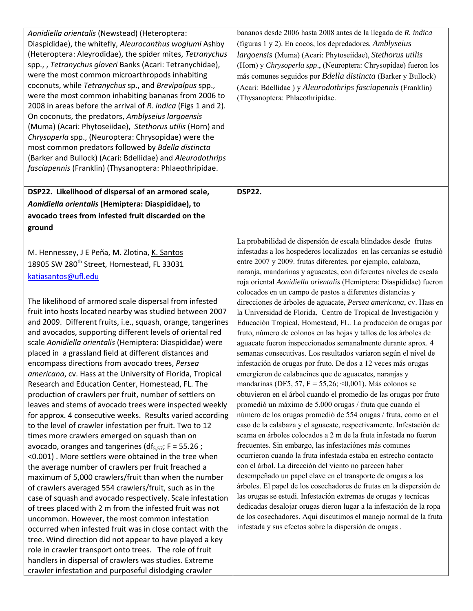| bananos desde 2006 hasta 2008 antes de la llegada de R. indica<br>(figuras 1 y 2). En cocos, los depredadores, Amblyseius<br>largoensis (Muma) (Acari: Phytoseiidae), Stethorus utilis<br>(Horn) y Chrysoperla spp., (Neuroptera: Chrysopidae) fueron los<br>más comunes seguidos por Bdella distincta (Barker y Bullock)<br>(Acari: Bdellidae) y Aleurodothrips fasciapennis (Franklin)<br>(Thysanoptera: Phlaeothripidae.                                                                                                                                                                                                                                                                                                                                                                                                                                                                                                                                                                                                                                                                                                                                                                                                                                                                                                                                                                                                                                                                                                                               |
|-----------------------------------------------------------------------------------------------------------------------------------------------------------------------------------------------------------------------------------------------------------------------------------------------------------------------------------------------------------------------------------------------------------------------------------------------------------------------------------------------------------------------------------------------------------------------------------------------------------------------------------------------------------------------------------------------------------------------------------------------------------------------------------------------------------------------------------------------------------------------------------------------------------------------------------------------------------------------------------------------------------------------------------------------------------------------------------------------------------------------------------------------------------------------------------------------------------------------------------------------------------------------------------------------------------------------------------------------------------------------------------------------------------------------------------------------------------------------------------------------------------------------------------------------------------|
|                                                                                                                                                                                                                                                                                                                                                                                                                                                                                                                                                                                                                                                                                                                                                                                                                                                                                                                                                                                                                                                                                                                                                                                                                                                                                                                                                                                                                                                                                                                                                           |
| <b>DSP22.</b>                                                                                                                                                                                                                                                                                                                                                                                                                                                                                                                                                                                                                                                                                                                                                                                                                                                                                                                                                                                                                                                                                                                                                                                                                                                                                                                                                                                                                                                                                                                                             |
|                                                                                                                                                                                                                                                                                                                                                                                                                                                                                                                                                                                                                                                                                                                                                                                                                                                                                                                                                                                                                                                                                                                                                                                                                                                                                                                                                                                                                                                                                                                                                           |
|                                                                                                                                                                                                                                                                                                                                                                                                                                                                                                                                                                                                                                                                                                                                                                                                                                                                                                                                                                                                                                                                                                                                                                                                                                                                                                                                                                                                                                                                                                                                                           |
|                                                                                                                                                                                                                                                                                                                                                                                                                                                                                                                                                                                                                                                                                                                                                                                                                                                                                                                                                                                                                                                                                                                                                                                                                                                                                                                                                                                                                                                                                                                                                           |
| La probabilidad de dispersión de escala blindados desde frutas<br>infestadas a los hospederos localizados en las cercanías se estudió<br>entre 2007 y 2009. frutas diferentes, por ejemplo, calabaza,<br>naranja, mandarinas y aguacates, con diferentes niveles de escala<br>roja oriental Aonidiella orientalis (Hemiptera: Diaspididae) fueron<br>colocados en un campo de pastos a diferentes distancias y                                                                                                                                                                                                                                                                                                                                                                                                                                                                                                                                                                                                                                                                                                                                                                                                                                                                                                                                                                                                                                                                                                                                            |
| direcciones de árboles de aguacate, Persea americana, cv. Hass en<br>la Universidad de Florida, Centro de Tropical de Investigación y<br>Educación Tropical, Homestead, FL. La producción de orugas por<br>fruto, número de colonos en las hojas y tallos de los árboles de<br>aguacate fueron inspeccionados semanalmente durante aprox. 4<br>semanas consecutivas. Los resultados variaron según el nivel de<br>infestación de orugas por fruto. De dos a 12 veces más orugas<br>emergieron de calabacines que de aguacates, naranjas y<br>mandarinas (DF5, 57, F = 55,26; <0,001). Más colonos se<br>obtuvieron en el árbol cuando el promedio de las orugas por fruto<br>promedió un máximo de 5.000 orugas / fruta que cuando el<br>número de los orugas promedió de 554 orugas / fruta, como en el<br>caso de la calabaza y el aguacate, respectivamente. Infestación de<br>scama en árboles colocados a 2 m de la fruta infestada no fueron<br>frecuentes. Sin embargo, las infestaciónes más comunes<br>ocurrieron cuando la fruta infestada estaba en estrecho contacto<br>con el árbol. La dirección del viento no parecen haber<br>desempeñado un papel clave en el transporte de orugas a los<br>árboles. El papel de los cosechadores de frutas en la dispersión de<br>las orugas se estudi. Infestación extremas de orugas y tecnicas<br>dedicadas desalojar orugas dieron lugar a la infestación de la ropa<br>de los cosechadores. Aqui discutimos el manejo normal de la fruta<br>infestada y sus efectos sobre la dispersión de orugas. |
|                                                                                                                                                                                                                                                                                                                                                                                                                                                                                                                                                                                                                                                                                                                                                                                                                                                                                                                                                                                                                                                                                                                                                                                                                                                                                                                                                                                                                                                                                                                                                           |
|                                                                                                                                                                                                                                                                                                                                                                                                                                                                                                                                                                                                                                                                                                                                                                                                                                                                                                                                                                                                                                                                                                                                                                                                                                                                                                                                                                                                                                                                                                                                                           |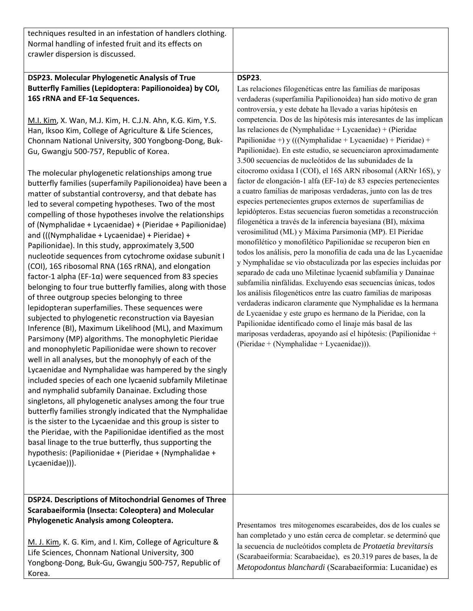| techniques resulted in an infestation of handlers clothing.<br>Normal handling of infested fruit and its effects on<br>crawler dispersion is discussed.                                                                                                                                                                                                                                                                                                                                                                                                                                                                                                                                                                                                                                                                                                                                                                                                                                                                                                                                                                                                                                                                                                                                                                                                                                                                                                                                                                                                                                                                                                                                                                                                                                                                                                                                                                                                                                                                                                                |                                                                                                                                                                                                                                                                                                                                                                                                                                                                                                                                                                                                                                                                                                                                                                                                                                                                                                                                                                                                                                                                                                                                                                                                                                                                                                                                                                                                                                                                                                                                                                                                                                                                                                                                                                           |
|------------------------------------------------------------------------------------------------------------------------------------------------------------------------------------------------------------------------------------------------------------------------------------------------------------------------------------------------------------------------------------------------------------------------------------------------------------------------------------------------------------------------------------------------------------------------------------------------------------------------------------------------------------------------------------------------------------------------------------------------------------------------------------------------------------------------------------------------------------------------------------------------------------------------------------------------------------------------------------------------------------------------------------------------------------------------------------------------------------------------------------------------------------------------------------------------------------------------------------------------------------------------------------------------------------------------------------------------------------------------------------------------------------------------------------------------------------------------------------------------------------------------------------------------------------------------------------------------------------------------------------------------------------------------------------------------------------------------------------------------------------------------------------------------------------------------------------------------------------------------------------------------------------------------------------------------------------------------------------------------------------------------------------------------------------------------|---------------------------------------------------------------------------------------------------------------------------------------------------------------------------------------------------------------------------------------------------------------------------------------------------------------------------------------------------------------------------------------------------------------------------------------------------------------------------------------------------------------------------------------------------------------------------------------------------------------------------------------------------------------------------------------------------------------------------------------------------------------------------------------------------------------------------------------------------------------------------------------------------------------------------------------------------------------------------------------------------------------------------------------------------------------------------------------------------------------------------------------------------------------------------------------------------------------------------------------------------------------------------------------------------------------------------------------------------------------------------------------------------------------------------------------------------------------------------------------------------------------------------------------------------------------------------------------------------------------------------------------------------------------------------------------------------------------------------------------------------------------------------|
| DSP23. Molecular Phylogenetic Analysis of True<br>Butterfly Families (Lepidoptera: Papilionoidea) by COI,<br>16S rRNA and EF-1α Sequences.<br>M.I. Kim, X. Wan, M.J. Kim, H. C.J.N. Ahn, K.G. Kim, Y.S.<br>Han, Iksoo Kim, College of Agriculture & Life Sciences,<br>Chonnam National University, 300 Yongbong-Dong, Buk-<br>Gu, Gwangju 500-757, Republic of Korea.<br>The molecular phylogenetic relationships among true<br>butterfly families (superfamily Papilionoidea) have been a<br>matter of substantial controversy, and that debate has<br>led to several competing hypotheses. Two of the most<br>compelling of those hypotheses involve the relationships<br>of (Nymphalidae + Lycaenidae) + (Pieridae + Papilionidae)<br>and (((Nymphalidae + Lycaenidae) + Pieridae) +<br>Papilionidae). In this study, approximately 3,500<br>nucleotide sequences from cytochrome oxidase subunit I<br>(COI), 16S ribosomal RNA (16S rRNA), and elongation<br>factor-1 alpha (EF-1 $\alpha$ ) were sequenced from 83 species<br>belonging to four true butterfly families, along with those<br>of three outgroup species belonging to three<br>lepidopteran superfamilies. These sequences were<br>subjected to phylogenetic reconstruction via Bayesian<br>Inference (BI), Maximum Likelihood (ML), and Maximum<br>Parsimony (MP) algorithms. The monophyletic Pieridae<br>and monophyletic Papilionidae were shown to recover<br>well in all analyses, but the monophyly of each of the<br>Lycaenidae and Nymphalidae was hampered by the singly<br>included species of each one lycaenid subfamily Miletinae<br>and nymphalid subfamily Danainae. Excluding those<br>singletons, all phylogenetic analyses among the four true<br>butterfly families strongly indicated that the Nymphalidae<br>is the sister to the Lycaenidae and this group is sister to<br>the Pieridae, with the Papilionidae identified as the most<br>basal linage to the true butterfly, thus supporting the<br>hypothesis: (Papilionidae + (Pieridae + (Nymphalidae +<br>Lycaenidae))). | <b>DSP23.</b><br>Las relaciones filogenéticas entre las familias de mariposas<br>verdaderas (superfamilia Papilionoidea) han sido motivo de gran<br>controversia, y este debate ha llevado a varias hipótesis en<br>competencia. Dos de las hipótesis más interesantes de las implican<br>las relaciones de (Nymphalidae + Lycaenidae) + (Pieridae<br>Papilionidae +) y (((Nymphalidae + Lycaenidae) + Pieridae) +<br>Papilionidae). En este estudio, se secuenciaron aproximadamente<br>3.500 secuencias de nucleótidos de las subunidades de la<br>citocromo oxidasa I (COI), el 16S ARN ribosomal (ARNr 16S), y<br>factor de elongación-1 alfa (EF-1 $\alpha$ ) de 83 especies pertenecientes<br>a cuatro familias de mariposas verdaderas, junto con las de tres<br>especies pertenecientes grupos externos de superfamilias de<br>lepidópteros. Estas secuencias fueron sometidas a reconstrucción<br>filogenética a través de la inferencia bayesiana (BI), máxima<br>verosimilitud (ML) y Máxima Parsimonia (MP). El Pieridae<br>monofilético y monofilético Papilionidae se recuperon bien en<br>todos los análisis, pero la monofilia de cada una de las Lycaenidae<br>y Nymphalidae se vio obstaculizada por las especies incluidas por<br>separado de cada uno Miletinae lycaenid subfamilia y Danainae<br>subfamilia ninfálidas. Excluyendo esas secuencias únicas, todos<br>los análisis filogenéticos entre las cuatro familias de mariposas<br>verdaderas indicaron claramente que Nymphalidae es la hermana<br>de Lycaenidae y este grupo es hermano de la Pieridae, con la<br>Papilionidae identificado como el linaje más basal de las<br>mariposas verdaderas, apoyando así el hipótesis: (Papilionidae +<br>(Pieridae + (Nymphalidae + Lycaenidae))). |
| DSP24. Descriptions of Mitochondrial Genomes of Three<br>Scarabaeiformia (Insecta: Coleoptera) and Molecular<br>Phylogenetic Analysis among Coleoptera.<br>M. J. Kim, K. G. Kim, and I. Kim, College of Agriculture &<br>Life Sciences, Chonnam National University, 300<br>Yongbong-Dong, Buk-Gu, Gwangju 500-757, Republic of<br>Korea.                                                                                                                                                                                                                                                                                                                                                                                                                                                                                                                                                                                                                                                                                                                                                                                                                                                                                                                                                                                                                                                                                                                                                                                                                                                                                                                                                                                                                                                                                                                                                                                                                                                                                                                              | Presentamos tres mitogenomes escarabeides, dos de los cuales se<br>han completado y uno están cerca de completar. se determinó que<br>la secuencia de nucleótidos completa de Protaetia brevitarsis<br>(Scarabaeiformia: Scarabaeidae), es 20.319 pares de bases, la de<br>Metopodontus blanchardi (Scarabaeiformia: Lucanidae) es                                                                                                                                                                                                                                                                                                                                                                                                                                                                                                                                                                                                                                                                                                                                                                                                                                                                                                                                                                                                                                                                                                                                                                                                                                                                                                                                                                                                                                        |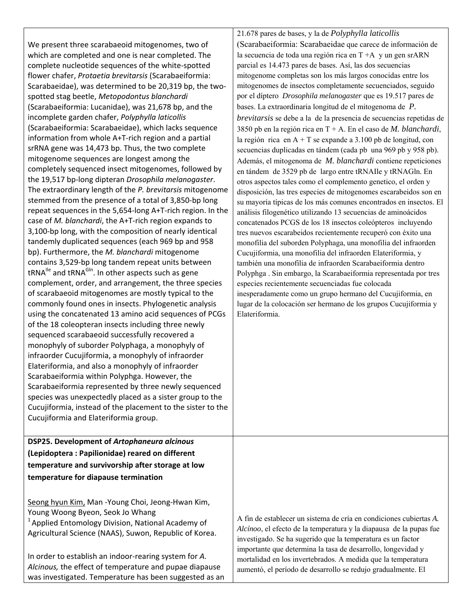We present three scarabaeoid mitogenomes, two of which are completed and one is near completed. The complete nucleotide sequences of the white‐spotted flower chafer, *Protaetia brevitarsis* (Scarabaeiformia: Scarabaeidae), was determined to be 20,319 bp, the two‐ spotted stag beetle, *Metopodontus blanchardi* (Scarabaeiformia: Lucanidae), was 21,678 bp, and the incomplete garden chafer, *Polyphylla laticollis* (Scarabaeiformia: Scarabaeidae), which lacks sequence information from whole A+T‐rich region and a partial srRNA gene was 14,473 bp. Thus, the two complete mitogenome sequences are longest among the completely sequenced insect mitogenomes, followed by the 19,517 bp‐long dipteran *Drosophila melanogaster*. The extraordinary length of the *P. brevitarsis* mitogenome stemmed from the presence of a total of 3,850‐bp long repeat sequences in the 5,654‐long A+T‐rich region. In the case of *M. blanchardi*, the A+T‐rich region expands to 3,100‐bp long, with the composition of nearly identical tandemly duplicated sequences (each 969 bp and 958 bp). Furthermore, the *M. blanchardi* mitogenome contains 3,529‐bp long tandem repeat units between tRNA<sup>Ile</sup> and tRNA<sup>GIn</sup>. In other aspects such as gene complement, order, and arrangement, the three species of scarabaeoid mitogenomes are mostly typical to the commonly found ones in insects. Phylogenetic analysis using the concatenated 13 amino acid sequences of PCGs of the 18 coleopteran insects including three newly sequenced scarabaeoid successfully recovered a monophyly of suborder Polyphaga, a monophyly of infraorder Cucujiformia, a monophyly of infraorder Elateriformia, and also a monophyly of infraorder Scarabaeiformia within Polyphga. However, the Scarabaeiformia represented by three newly sequenced species was unexpectedly placed as a sister group to the Cucujiformia, instead of the placement to the sister to the Cucujiformia and Elateriformia group.

**DSP25. Development of** *Artophaneura alcinous* **(Lepidoptera : Papilionidae) reared on different temperature and survivorship after storage at low temperature for diapause termination**

Seong hyun Kim, Man ‐Young Choi, Jeong‐Hwan Kim, Young Woong Byeon, Seok Jo Whang  $1$ Applied Entomology Division, National Academy of Agricultural Science (NAAS), Suwon, Republic of Korea.

In order to establish an indoor‐rearing system for *A. Alcinous,* the effect of temperature and pupae diapause was investigated. Temperature has been suggested as an 21.678 pares de bases, y la de *Polyphylla laticollis*  (Scarabaeiformia: Scarabaeidae que carece de información de la secuencia de toda una región rica en  $T+A$  y un gen srARN parcial es 14.473 pares de bases. Así, las dos secuencias mitogenome completas son los más largos conocidas entre los mitogenomes de insectos completamente secuenciados, seguido por el díptero *Drosophila melanogaster* que es 19.517 pares de bases. La extraordinaria longitud de el mitogenoma de *P. brevitarsis* se debe a la de la presencia de secuencias repetidas de 3850 pb en la región rica en T + A. En el caso de *M. blanchardi*, la región rica en  $A + T$  se expande a 3.100 pb de longitud, con secuencias duplicadas en tándem (cada pb una 969 pb y 958 pb). Además, el mitogenoma de *M. blanchardi* contiene repeticiones en tándem de 3529 pb de largo entre tRNAIle y tRNAGln. En otros aspectos tales como el complemento genetico, el orden y disposición, las tres especies de mitogenomes escarabeidos son en su mayoría típicas de los más comunes encontrados en insectos. El análisis filogenético utilizando 13 secuencias de aminoácidos concatenados PCGS de los 18 insectos coleópteros incluyendo tres nuevos escarabeidos recientemente recuperó con éxito una monofilia del suborden Polyphaga, una monofilia del infraorden Cucujiformia, una monofilia del infraorden Elateriformia, y también una monofilia de infraorden Scarabaeiformia dentro Polyphga . Sin embargo, la Scarabaeiformia representada por tres especies recientemente secuenciadas fue colocada inesperadamente como un grupo hermano del Cucujiformia, en lugar de la colocación ser hermano de los grupos Cucujiformia y Elateriformia.

A fin de establecer un sistema de cría en condiciones cubiertas *A. Alcínoo*, el efecto de la temperatura y la diapausa de la pupas fue investigado. Se ha sugerido que la temperatura es un factor importante que determina la tasa de desarrollo, longevidad y mortalidad en los invertebrados. A medida que la temperatura aumentó, el período de desarrollo se redujo gradualmente. El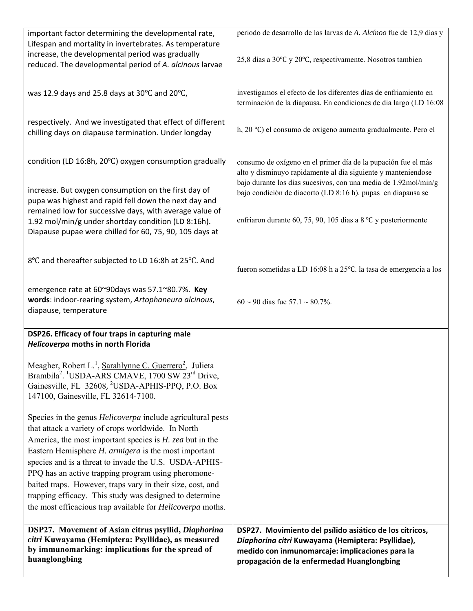| important factor determining the developmental rate,                                 | periodo de desarrollo de las larvas de A. Alcínoo fue de 12,9 días y |
|--------------------------------------------------------------------------------------|----------------------------------------------------------------------|
| Lifespan and mortality in invertebrates. As temperature                              |                                                                      |
| increase, the developmental period was gradually                                     |                                                                      |
| reduced. The developmental period of A. alcinous larvae                              | 25,8 días a 30°C y 20°C, respectivamente. Nosotros tambien           |
|                                                                                      |                                                                      |
|                                                                                      | investigamos el efecto de los diferentes días de enfriamiento en     |
| was 12.9 days and 25.8 days at 30°C and 20°C,                                        |                                                                      |
|                                                                                      | terminación de la diapausa. En condiciones de dia largo (LD 16:08    |
| respectively. And we investigated that effect of different                           |                                                                      |
| chilling days on diapause termination. Under longday                                 | h, 20 °C) el consumo de oxígeno aumenta gradualmente. Pero el        |
|                                                                                      |                                                                      |
|                                                                                      |                                                                      |
| condition (LD 16:8h, 20°C) oxygen consumption gradually                              | consumo de oxígeno en el primer día de la pupación fue el más        |
|                                                                                      | alto y disminuyo rapidamente al día siguiente y manteniendose        |
|                                                                                      | bajo durante los días sucesivos, con una media de 1.92mol/min/g      |
| increase. But oxygen consumption on the first day of                                 | bajo condición de diacorto (LD 8:16 h). pupas en diapausa se         |
| pupa was highest and rapid fell down the next day and                                |                                                                      |
| remained low for successive days, with average value of                              | enfriaron durante 60, 75, 90, 105 días a 8 °C y posteriormente       |
| 1.92 mol/min/g under shortday condition (LD 8:16h).                                  |                                                                      |
| Diapause pupae were chilled for 60, 75, 90, 105 days at                              |                                                                      |
|                                                                                      |                                                                      |
| 8°C and thereafter subjected to LD 16:8h at 25°C. And                                |                                                                      |
|                                                                                      | fueron sometidas a LD 16:08 h a 25°C. la tasa de emergencia a los    |
|                                                                                      |                                                                      |
| emergence rate at 60~90days was 57.1~80.7%. Key                                      |                                                                      |
| words: indoor-rearing system, Artophaneura alcinous,                                 | $60 \sim 90$ días fue 57.1 ~ 80.7%.                                  |
| diapause, temperature                                                                |                                                                      |
|                                                                                      |                                                                      |
| DSP26. Efficacy of four traps in capturing male                                      |                                                                      |
| Helicoverpa moths in north Florida                                                   |                                                                      |
|                                                                                      |                                                                      |
| Meagher, Robert L. <sup>1</sup> , Sarahlynne C. Guerrero <sup>2</sup> , Julieta      |                                                                      |
| Brambila <sup>2</sup> . <sup>1</sup> USDA-ARS CMAVE, 1700 SW 23 <sup>rd</sup> Drive, |                                                                      |
| Gainesville, FL 32608, <sup>2</sup> USDA-APHIS-PPQ, P.O. Box                         |                                                                      |
| 147100, Gainesville, FL 32614-7100.                                                  |                                                                      |
|                                                                                      |                                                                      |
| Species in the genus Helicoverpa include agricultural pests                          |                                                                      |
| that attack a variety of crops worldwide. In North                                   |                                                                      |
| America, the most important species is $H$ . zea but in the                          |                                                                      |
| Eastern Hemisphere H. armigera is the most important                                 |                                                                      |
| species and is a threat to invade the U.S. USDA-APHIS-                               |                                                                      |
| PPQ has an active trapping program using pheromone-                                  |                                                                      |
| baited traps. However, traps vary in their size, cost, and                           |                                                                      |
| trapping efficacy. This study was designed to determine                              |                                                                      |
| the most efficacious trap available for <i>Helicoverpa</i> moths.                    |                                                                      |
|                                                                                      |                                                                      |
| DSP27. Movement of Asian citrus psyllid, Diaphorina                                  | DSP27. Movimiento del psílido asiático de los cítricos,              |
| citri Kuwayama (Hemiptera: Psyllidae), as measured                                   | Diaphorina citri Kuwayama (Hemiptera: Psyllidae),                    |
| by immunomarking: implications for the spread of<br>huanglongbing                    | medido con inmunomarcaje: implicaciones para la                      |
|                                                                                      | propagación de la enfermedad Huanglongbing                           |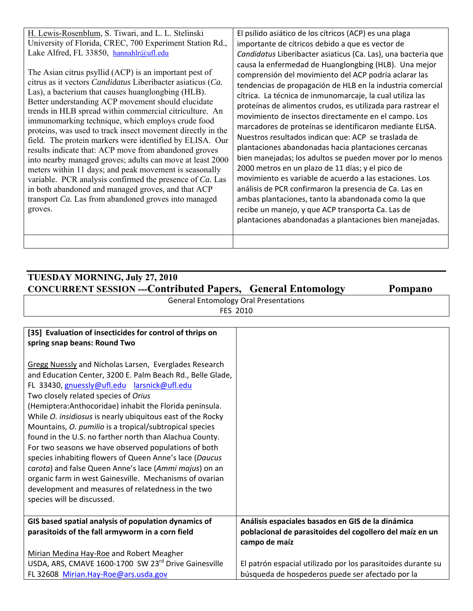| H. Lewis-Rosenblum, S. Tiwari, and L. L. Stelinski<br>University of Florida, CREC, 700 Experiment Station Rd.,<br>Lake Alfred, FL 33850, hannahlr@ufl.edu<br>The Asian citrus psyllid (ACP) is an important pest of<br>citrus as it vectors <i>Candidatus</i> Liberibacter asiaticus (Ca.<br>Las), a bacterium that causes huanglongbing (HLB).<br>Better understanding ACP movement should elucidate<br>trends in HLB spread within commercial citriculture. An<br>immunomarking technique, which employs crude food<br>proteins, was used to track insect movement directly in the<br>field. The protein markers were identified by ELISA. Our<br>results indicate that: ACP move from abandoned groves<br>into nearby managed groves; adults can move at least 2000<br>meters within 11 days; and peak movement is seasonally<br>variable. PCR analysis confirmed the presence of Ca. Las<br>in both abandoned and managed groves, and that ACP<br>transport Ca. Las from abandoned groves into managed<br>groves. | El psílido asiático de los cítricos (ACP) es una plaga<br>importante de cítricos debido a que es vector de<br>Candidatus Liberibacter asiaticus (Ca. Las), una bacteria que<br>causa la enfermedad de Huanglongbing (HLB). Una mejor<br>comprensión del movimiento del ACP podría aclarar las<br>tendencias de propagación de HLB en la industria comercial<br>cítrica. La técnica de inmunomarcaje, la cual utiliza las<br>proteínas de alimentos crudos, es utilizada para rastrear el<br>movimiento de insectos directamente en el campo. Los<br>marcadores de proteínas se identificaron mediante ELISA.<br>Nuestros resultados indican que: ACP se traslada de<br>plantaciones abandonadas hacia plantaciones cercanas<br>bien manejadas; los adultos se pueden mover por lo menos<br>2000 metros en un plazo de 11 días; y el pico de<br>movimiento es variable de acuerdo a las estaciones. Los<br>análisis de PCR confirmaron la presencia de Ca. Las en<br>ambas plantaciones, tanto la abandonada como la que<br>recibe un manejo, y que ACP transporta Ca. Las de<br>plantaciones abandonadas a plantaciones bien manejadas. |
|-----------------------------------------------------------------------------------------------------------------------------------------------------------------------------------------------------------------------------------------------------------------------------------------------------------------------------------------------------------------------------------------------------------------------------------------------------------------------------------------------------------------------------------------------------------------------------------------------------------------------------------------------------------------------------------------------------------------------------------------------------------------------------------------------------------------------------------------------------------------------------------------------------------------------------------------------------------------------------------------------------------------------|-----------------------------------------------------------------------------------------------------------------------------------------------------------------------------------------------------------------------------------------------------------------------------------------------------------------------------------------------------------------------------------------------------------------------------------------------------------------------------------------------------------------------------------------------------------------------------------------------------------------------------------------------------------------------------------------------------------------------------------------------------------------------------------------------------------------------------------------------------------------------------------------------------------------------------------------------------------------------------------------------------------------------------------------------------------------------------------------------------------------------------------------|
|                                                                                                                                                                                                                                                                                                                                                                                                                                                                                                                                                                                                                                                                                                                                                                                                                                                                                                                                                                                                                       |                                                                                                                                                                                                                                                                                                                                                                                                                                                                                                                                                                                                                                                                                                                                                                                                                                                                                                                                                                                                                                                                                                                                         |

## **TUESDAY MORNING, July 27, 2010 CONCURRENT SESSION ---Contributed Papers, General Entomology Pompano**

General Entomology Oral Presentations FES 2010

| [35] Evaluation of insecticides for control of thrips on<br>spring snap beans: Round Two                                                                                                                                                                                                                                                                                                                                                                                                                                                                                                                                                                                                                                                                                                              |                                                                                                                                |
|-------------------------------------------------------------------------------------------------------------------------------------------------------------------------------------------------------------------------------------------------------------------------------------------------------------------------------------------------------------------------------------------------------------------------------------------------------------------------------------------------------------------------------------------------------------------------------------------------------------------------------------------------------------------------------------------------------------------------------------------------------------------------------------------------------|--------------------------------------------------------------------------------------------------------------------------------|
| <b>Gregg Nuessly and Nicholas Larsen, Everglades Research</b><br>and Education Center, 3200 E. Palm Beach Rd., Belle Glade,<br>FL 33430, gnuessly@ufl.edu larsnick@ufl.edu<br>Two closely related species of Orius<br>(Hemiptera: Anthocoridae) inhabit the Florida peninsula.<br>While <i>O. insidiosus</i> is nearly ubiquitous east of the Rocky<br>Mountains, O. pumilio is a tropical/subtropical species<br>found in the U.S. no farther north than Alachua County.<br>For two seasons we have observed populations of both<br>species inhabiting flowers of Queen Anne's lace (Daucus<br>carota) and false Queen Anne's lace (Ammi majus) on an<br>organic farm in west Gainesville. Mechanisms of ovarian<br>development and measures of relatedness in the two<br>species will be discussed. |                                                                                                                                |
| GIS based spatial analysis of population dynamics of<br>parasitoids of the fall armyworm in a corn field                                                                                                                                                                                                                                                                                                                                                                                                                                                                                                                                                                                                                                                                                              | Análisis espaciales basados en GIS de la dinámica<br>poblacional de parasitoides del cogollero del maíz en un<br>campo de maíz |
| Mirian Medina Hay-Roe and Robert Meagher<br>USDA, ARS, CMAVE 1600-1700 SW 23 <sup>rd</sup> Drive Gainesville<br>FL 32608 Mirian.Hay-Roe@ars.usda.gov                                                                                                                                                                                                                                                                                                                                                                                                                                                                                                                                                                                                                                                  | El patrón espacial utilizado por los parasitoides durante su<br>búsqueda de hospederos puede ser afectado por la               |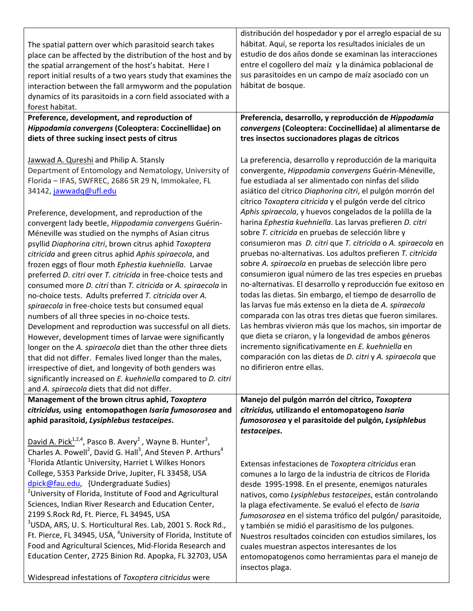| The spatial pattern over which parasitoid search takes<br>place can be affected by the distribution of the host and by<br>the spatial arrangement of the host's habitat. Here I<br>report initial results of a two years study that examines the<br>interaction between the fall armyworm and the population<br>dynamics of its parasitoids in a corn field associated with a<br>forest habitat.                                                                                                                                                                                                                                                                                                                                                                                                                                                                                                                                                                                                                                                                                                                                                                                                                                                                         | distribución del hospedador y por el arreglo espacial de su<br>hábitat. Aquí, se reporta los resultados iniciales de un<br>estudio de dos años donde se examinan las interacciones<br>entre el cogollero del maíz y la dinámica poblacional de<br>sus parasitoides en un campo de maíz asociado con un<br>hábitat de bosque.                                                                                                                                                                                                                                                                                                                                                                                                                                                                                                                                                                                                                                                                                                                                                                                                                                                                                                                                            |
|--------------------------------------------------------------------------------------------------------------------------------------------------------------------------------------------------------------------------------------------------------------------------------------------------------------------------------------------------------------------------------------------------------------------------------------------------------------------------------------------------------------------------------------------------------------------------------------------------------------------------------------------------------------------------------------------------------------------------------------------------------------------------------------------------------------------------------------------------------------------------------------------------------------------------------------------------------------------------------------------------------------------------------------------------------------------------------------------------------------------------------------------------------------------------------------------------------------------------------------------------------------------------|-------------------------------------------------------------------------------------------------------------------------------------------------------------------------------------------------------------------------------------------------------------------------------------------------------------------------------------------------------------------------------------------------------------------------------------------------------------------------------------------------------------------------------------------------------------------------------------------------------------------------------------------------------------------------------------------------------------------------------------------------------------------------------------------------------------------------------------------------------------------------------------------------------------------------------------------------------------------------------------------------------------------------------------------------------------------------------------------------------------------------------------------------------------------------------------------------------------------------------------------------------------------------|
| Preference, development, and reproduction of<br>Hippodamia convergens (Coleoptera: Coccinellidae) on<br>diets of three sucking insect pests of citrus                                                                                                                                                                                                                                                                                                                                                                                                                                                                                                                                                                                                                                                                                                                                                                                                                                                                                                                                                                                                                                                                                                                    | Preferencia, desarrollo, y reproducción de Hippodamia<br>convergens (Coleoptera: Coccinellidae) al alimentarse de<br>tres insectos succionadores plagas de cítricos                                                                                                                                                                                                                                                                                                                                                                                                                                                                                                                                                                                                                                                                                                                                                                                                                                                                                                                                                                                                                                                                                                     |
| Jawwad A. Qureshi and Philip A. Stansly<br>Department of Entomology and Nematology, University of<br>Florida - IFAS, SWFREC, 2686 SR 29 N, Immokalee, FL<br>34142, jawwadq@ufl.edu<br>Preference, development, and reproduction of the<br>convergent lady beetle, Hippodamia convergens Guérin-<br>Méneville was studied on the nymphs of Asian citrus<br>psyllid Diaphorina citri, brown citrus aphid Toxoptera<br>citricida and green citrus aphid Aphis spiraecola, and<br>frozen eggs of flour moth Ephestia kuehniella. Larvae<br>preferred D. citri over T. citricida in free-choice tests and<br>consumed more D. citri than T. citricida or A. spiraecola in<br>no-choice tests. Adults preferred T. citricida over A.<br>spiraecola in free-choice tests but consumed equal<br>numbers of all three species in no-choice tests.<br>Development and reproduction was successful on all diets.<br>However, development times of larvae were significantly<br>longer on the A. spiraecola diet than the other three diets<br>that did not differ. Females lived longer than the males,<br>irrespective of diet, and longevity of both genders was<br>significantly increased on E. kuehniella compared to D. citri<br>and A. spiraecola diets that did not differ. | La preferencia, desarrollo y reproducción de la mariquita<br>convergente, Hippodamia convergens Guérin-Méneville,<br>fue estudiada al ser alimentado con ninfas del silido<br>asiático del cítrico Diaphorina citri, el pulgón morrón del<br>cítrico Toxoptera citricida y el pulgón verde del cítrico<br>Aphis spiraecola, y huevos congelados de la polilla de la<br>harina Ephestia kuehniella. Las larvas prefieren D. citri<br>sobre T. citricida en pruebas de selección libre y<br>consumieron mas D. citri que T. citricida o A. spiraecola en<br>pruebas no-alternativas. Los adultos prefieren T. citricida<br>sobre A. spiraecola en pruebas de selección libre pero<br>consumieron igual número de las tres especies en pruebas<br>no-alternativas. El desarrollo y reproducción fue exitoso en<br>todas las dietas. Sin embargo, el tiempo de desarrollo de<br>las larvas fue más extenso en la dieta de A. spiraecola<br>comparada con las otras tres dietas que fueron similares.<br>Las hembras vivieron más que los machos, sin importar de<br>que dieta se criaron, y la longevidad de ambos géneros<br>incremento significativamente en E. kuehniella en<br>comparación con las dietas de D. citri y A. spiraecola que<br>no difirieron entre ellas. |
| Management of the brown citrus aphid, Toxoptera<br>citricidus, using entomopathogen Isaria fumosorosea and<br>aphid parasitoid, Lysiphlebus testaceipes.                                                                                                                                                                                                                                                                                                                                                                                                                                                                                                                                                                                                                                                                                                                                                                                                                                                                                                                                                                                                                                                                                                                 | Manejo del pulgón marrón del cítrico, Toxoptera<br>citricidus, utilizando el entomopatogeno Isaria<br>fumosorosea y el parasitoide del pulgón, Lysiphlebus<br>testaceipes.                                                                                                                                                                                                                                                                                                                                                                                                                                                                                                                                                                                                                                                                                                                                                                                                                                                                                                                                                                                                                                                                                              |
| David A. Pick <sup>1,2,4</sup> , Pasco B. Avery <sup>2</sup> , Wayne B. Hunter <sup>3</sup> ,<br>Charles A. Powell <sup>2</sup> , David G. Hall <sup>3</sup> , And Steven P. Arthurs <sup>4</sup><br><sup>1</sup> Florida Atlantic University, Harriet L Wilkes Honors<br>College, 5353 Parkside Drive, Jupiter, FL 33458, USA<br>dpick@fau.edu, {Undergraduate Sudies}<br><sup>2</sup> University of Florida, Institute of Food and Agricultural<br>Sciences, Indian River Research and Education Center,<br>2199 S.Rock Rd, Ft. Pierce, FL 34945, USA<br><sup>3</sup> USDA, ARS, U. S. Horticultural Res. Lab, 2001 S. Rock Rd.,<br>Ft. Pierce, FL 34945, USA, <sup>4</sup> University of Florida, Institute of<br>Food and Agricultural Sciences, Mid-Florida Research and<br>Education Center, 2725 Binion Rd. Apopka, FL 32703, USA<br>Widespread infestations of Toxoptera citricidus were                                                                                                                                                                                                                                                                                                                                                                         | Extensas infestaciones de Toxoptera citricidus eran<br>comunes a lo largo de la industria de cítricos de Florida<br>desde 1995-1998. En el presente, enemigos naturales<br>nativos, como Lysiphlebus testaceipes, están controlando<br>la plaga efectivamente. Se evaluó el efecto de Isaria<br>fumosorosea en el sistema trófico del pulgón/ parasitoide,<br>y también se midió el parasitismo de los pulgones.<br>Nuestros resultados coinciden con estudios similares, los<br>cuales muestran aspectos interesantes de los<br>entomopatogenos como herramientas para el manejo de<br>insectos plaga.                                                                                                                                                                                                                                                                                                                                                                                                                                                                                                                                                                                                                                                                 |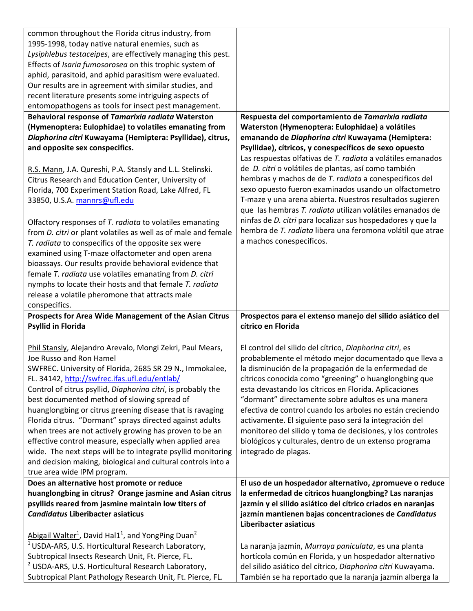| common throughout the Florida citrus industry, from                                                                                                                                                                                                                                                                                                                                                                                                                                                                                                                                                                                                                                                                            |                                                                                                                                                                                                                                                                                                                                                                                                                                                                                                                                                                                                                         |
|--------------------------------------------------------------------------------------------------------------------------------------------------------------------------------------------------------------------------------------------------------------------------------------------------------------------------------------------------------------------------------------------------------------------------------------------------------------------------------------------------------------------------------------------------------------------------------------------------------------------------------------------------------------------------------------------------------------------------------|-------------------------------------------------------------------------------------------------------------------------------------------------------------------------------------------------------------------------------------------------------------------------------------------------------------------------------------------------------------------------------------------------------------------------------------------------------------------------------------------------------------------------------------------------------------------------------------------------------------------------|
| 1995-1998, today native natural enemies, such as                                                                                                                                                                                                                                                                                                                                                                                                                                                                                                                                                                                                                                                                               |                                                                                                                                                                                                                                                                                                                                                                                                                                                                                                                                                                                                                         |
| Lysiphlebus testaceipes, are effectively managing this pest.                                                                                                                                                                                                                                                                                                                                                                                                                                                                                                                                                                                                                                                                   |                                                                                                                                                                                                                                                                                                                                                                                                                                                                                                                                                                                                                         |
| Effects of Isaria fumosorosea on this trophic system of                                                                                                                                                                                                                                                                                                                                                                                                                                                                                                                                                                                                                                                                        |                                                                                                                                                                                                                                                                                                                                                                                                                                                                                                                                                                                                                         |
| aphid, parasitoid, and aphid parasitism were evaluated.                                                                                                                                                                                                                                                                                                                                                                                                                                                                                                                                                                                                                                                                        |                                                                                                                                                                                                                                                                                                                                                                                                                                                                                                                                                                                                                         |
| Our results are in agreement with similar studies, and                                                                                                                                                                                                                                                                                                                                                                                                                                                                                                                                                                                                                                                                         |                                                                                                                                                                                                                                                                                                                                                                                                                                                                                                                                                                                                                         |
| recent literature presents some intriguing aspects of                                                                                                                                                                                                                                                                                                                                                                                                                                                                                                                                                                                                                                                                          |                                                                                                                                                                                                                                                                                                                                                                                                                                                                                                                                                                                                                         |
| entomopathogens as tools for insect pest management.                                                                                                                                                                                                                                                                                                                                                                                                                                                                                                                                                                                                                                                                           |                                                                                                                                                                                                                                                                                                                                                                                                                                                                                                                                                                                                                         |
| Behavioral response of Tamarixia radiata Waterston                                                                                                                                                                                                                                                                                                                                                                                                                                                                                                                                                                                                                                                                             | Respuesta del comportamiento de Tamarixia radiata                                                                                                                                                                                                                                                                                                                                                                                                                                                                                                                                                                       |
| (Hymenoptera: Eulophidae) to volatiles emanating from<br>Diaphorina citri Kuwayama (Hemiptera: Psyllidae), citrus,<br>and opposite sex conspecifics.                                                                                                                                                                                                                                                                                                                                                                                                                                                                                                                                                                           | Waterston (Hymenoptera: Eulophidae) a volátiles<br>emanando de Diaphorina citri Kuwayama (Hemiptera:<br>Psyllidae), cítricos, y conespecíficos de sexo opuesto                                                                                                                                                                                                                                                                                                                                                                                                                                                          |
| R.S. Mann, J.A. Qureshi, P.A. Stansly and L.L. Stelinski.<br>Citrus Research and Education Center, University of<br>Florida, 700 Experiment Station Road, Lake Alfred, FL<br>33850, U.S.A. mannrs@ufl.edu                                                                                                                                                                                                                                                                                                                                                                                                                                                                                                                      | Las respuestas olfativas de T. radiata a volátiles emanados<br>de D. citri o volátiles de plantas, así como también<br>hembras y machos de de T. radiata a conespecificos del<br>sexo opuesto fueron examinados usando un olfactometro<br>T-maze y una arena abierta. Nuestros resultados sugieren<br>que las hembras T. radiata utilizan volátiles emanados de                                                                                                                                                                                                                                                         |
| Olfactory responses of T. radiata to volatiles emanating<br>from <i>D. citri</i> or plant volatiles as well as of male and female<br>T. radiata to conspecifics of the opposite sex were<br>examined using T-maze olfactometer and open arena<br>bioassays. Our results provide behavioral evidence that<br>female T. radiata use volatiles emanating from D. citri<br>nymphs to locate their hosts and that female T. radiata<br>release a volatile pheromone that attracts male                                                                                                                                                                                                                                              | ninfas de D. citri para localizar sus hospedadores y que la<br>hembra de T. radiata libera una feromona volátil que atrae<br>a machos conespecificos.                                                                                                                                                                                                                                                                                                                                                                                                                                                                   |
| conspecifics.                                                                                                                                                                                                                                                                                                                                                                                                                                                                                                                                                                                                                                                                                                                  |                                                                                                                                                                                                                                                                                                                                                                                                                                                                                                                                                                                                                         |
| Prospects for Area Wide Management of the Asian Citrus                                                                                                                                                                                                                                                                                                                                                                                                                                                                                                                                                                                                                                                                         | Prospectos para el extenso manejo del silido asiático del                                                                                                                                                                                                                                                                                                                                                                                                                                                                                                                                                               |
| <b>Psyllid in Florida</b>                                                                                                                                                                                                                                                                                                                                                                                                                                                                                                                                                                                                                                                                                                      | cítrico en Florida                                                                                                                                                                                                                                                                                                                                                                                                                                                                                                                                                                                                      |
| Phil Stansly, Alejandro Arevalo, Mongi Zekri, Paul Mears,<br>Joe Russo and Ron Hamel<br>SWFREC. University of Florida, 2685 SR 29 N., Immokalee,<br>FL. 34142, http://swfrec.ifas.ufl.edu/entlab/<br>Control of citrus psyllid, Diaphorina citri, is probably the<br>best documented method of slowing spread of<br>huanglongbing or citrus greening disease that is ravaging<br>Florida citrus. "Dormant" sprays directed against adults<br>when trees are not actively growing has proven to be an<br>effective control measure, especially when applied area<br>wide. The next steps will be to integrate psyllid monitoring<br>and decision making, biological and cultural controls into a<br>true area wide IPM program. | El control del silido del cítrico, Diaphorina citri, es<br>probablemente el método mejor documentado que lleva a<br>la disminución de la propagación de la enfermedad de<br>cítricos conocida como "greening" o huanglongbing que<br>esta devastando los cítricos en Florida. Aplicaciones<br>"dormant" directamente sobre adultos es una manera<br>efectiva de control cuando los arboles no están creciendo<br>activamente. El siguiente paso será la integración del<br>monitoreo del silido y toma de decisiones, y los controles<br>biológicos y culturales, dentro de un extenso programa<br>integrado de plagas. |
| Does an alternative host promote or reduce                                                                                                                                                                                                                                                                                                                                                                                                                                                                                                                                                                                                                                                                                     | El uso de un hospedador alternativo, ¿promueve o reduce                                                                                                                                                                                                                                                                                                                                                                                                                                                                                                                                                                 |
| huanglongbing in citrus? Orange jasmine and Asian citrus                                                                                                                                                                                                                                                                                                                                                                                                                                                                                                                                                                                                                                                                       | la enfermedad de cítricos huanglongbing? Las naranjas                                                                                                                                                                                                                                                                                                                                                                                                                                                                                                                                                                   |
| psyllids reared from jasmine maintain low titers of                                                                                                                                                                                                                                                                                                                                                                                                                                                                                                                                                                                                                                                                            | jazmín y el silido asiático del cítrico criados en naranjas                                                                                                                                                                                                                                                                                                                                                                                                                                                                                                                                                             |
| <b>Candidatus Liberibacter asiaticus</b>                                                                                                                                                                                                                                                                                                                                                                                                                                                                                                                                                                                                                                                                                       | jazmín mantienen bajas concentraciones de Candidatus                                                                                                                                                                                                                                                                                                                                                                                                                                                                                                                                                                    |
|                                                                                                                                                                                                                                                                                                                                                                                                                                                                                                                                                                                                                                                                                                                                | Liberibacter asiaticus                                                                                                                                                                                                                                                                                                                                                                                                                                                                                                                                                                                                  |
| Abigail Walter <sup>1</sup> , David Hal1 <sup>1</sup> , and YongPing Duan <sup>2</sup>                                                                                                                                                                                                                                                                                                                                                                                                                                                                                                                                                                                                                                         |                                                                                                                                                                                                                                                                                                                                                                                                                                                                                                                                                                                                                         |
|                                                                                                                                                                                                                                                                                                                                                                                                                                                                                                                                                                                                                                                                                                                                | La naranja jazmín, Murraya paniculata, es una planta                                                                                                                                                                                                                                                                                                                                                                                                                                                                                                                                                                    |
| <sup>1</sup> USDA-ARS, U.S. Horticultural Research Laboratory,<br>Subtropical Insects Research Unit, Ft. Pierce, FL.                                                                                                                                                                                                                                                                                                                                                                                                                                                                                                                                                                                                           | hortícola común en Florida, y un hospedador alternativo                                                                                                                                                                                                                                                                                                                                                                                                                                                                                                                                                                 |
| <sup>2</sup> USDA-ARS, U.S. Horticultural Research Laboratory,                                                                                                                                                                                                                                                                                                                                                                                                                                                                                                                                                                                                                                                                 | del silido asiático del cítrico, Diaphorina citri Kuwayama.                                                                                                                                                                                                                                                                                                                                                                                                                                                                                                                                                             |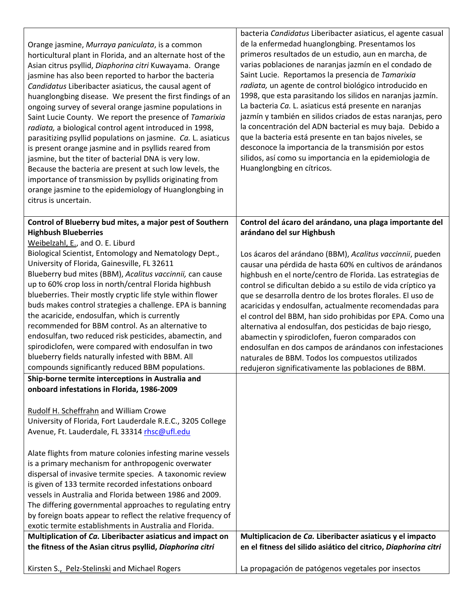|                                                                                                            | bacteria Candidatus Liberibacter asiaticus, el agente casual                                                  |
|------------------------------------------------------------------------------------------------------------|---------------------------------------------------------------------------------------------------------------|
| Orange jasmine, Murraya paniculata, is a common                                                            | de la enfermedad huanglongbing. Presentamos los                                                               |
| horticultural plant in Florida, and an alternate host of the                                               | primeros resultados de un estudio, aun en marcha, de                                                          |
| Asian citrus psyllid, Diaphorina citri Kuwayama. Orange                                                    | varias poblaciones de naranjas jazmín en el condado de                                                        |
| jasmine has also been reported to harbor the bacteria                                                      | Saint Lucie. Reportamos la presencia de Tamarixia                                                             |
| Candidatus Liberibacter asiaticus, the causal agent of                                                     | radiata, un agente de control biológico introducido en                                                        |
| huanglongbing disease. We present the first findings of an                                                 | 1998, que esta parasitando los silidos en naranjas jazmín.                                                    |
| ongoing survey of several orange jasmine populations in                                                    | La bacteria Ca. L. asiaticus está presente en naranjas                                                        |
| Saint Lucie County. We report the presence of Tamarixia                                                    | jazmín y también en silidos criados de estas naranjas, pero                                                   |
| radiata, a biological control agent introduced in 1998,                                                    | la concentración del ADN bacterial es muy baja. Debido a                                                      |
| parasitizing psyllid populations on jasmine. Ca. L. asiaticus                                              | que la bacteria está presente en tan bajos niveles, se                                                        |
| is present orange jasmine and in psyllids reared from                                                      | desconoce la importancia de la transmisión por estos                                                          |
| jasmine, but the titer of bacterial DNA is very low.                                                       | silidos, así como su importancia en la epidemiologia de<br>Huanglongbing en cítricos.                         |
| Because the bacteria are present at such low levels, the                                                   |                                                                                                               |
| importance of transmission by psyllids originating from                                                    |                                                                                                               |
| orange jasmine to the epidemiology of Huanglongbing in<br>citrus is uncertain.                             |                                                                                                               |
|                                                                                                            |                                                                                                               |
| Control of Blueberry bud mites, a major pest of Southern                                                   | Control del ácaro del arándano, una plaga importante del                                                      |
| <b>Highbush Blueberries</b>                                                                                | arándano del sur Highbush                                                                                     |
| Weibelzahl, E., and O. E. Liburd                                                                           |                                                                                                               |
| Biological Scientist, Entomology and Nematology Dept.,                                                     | Los ácaros del arándano (BBM), Acalitus vaccinnii, pueden                                                     |
| University of Florida, Gainesville, FL 32611                                                               | causar una pérdida de hasta 60% en cultivos de arándanos                                                      |
| Blueberry bud mites (BBM), Acalitus vaccinnii, can cause                                                   | highbush en el norte/centro de Florida. Las estrategias de                                                    |
| up to 60% crop loss in north/central Florida highbush                                                      | control se dificultan debido a su estilo de vida críptico ya                                                  |
| blueberries. Their mostly cryptic life style within flower                                                 | que se desarrolla dentro de los brotes florales. El uso de                                                    |
| buds makes control strategies a challenge. EPA is banning<br>the acaricide, endosulfan, which is currently | acaricidas y endosulfan, actualmente recomendadas para                                                        |
| recommended for BBM control. As an alternative to                                                          | el control del BBM, han sido prohibidas por EPA. Como una                                                     |
| endosulfan, two reduced risk pesticides, abamectin, and                                                    | alternativa al endosulfan, dos pesticidas de bajo riesgo,<br>abamectin y spirodiclofen, fueron comparados con |
| spirodiclofen, were compared with endosulfan in two                                                        | endosulfan en dos campos de arándanos con infestaciones                                                       |
| blueberry fields naturally infested with BBM. All                                                          | naturales de BBM. Todos los compuestos utilizados                                                             |
| compounds significantly reduced BBM populations.                                                           | redujeron significativamente las poblaciones de BBM.                                                          |
| Ship-borne termite interceptions in Australia and                                                          |                                                                                                               |
| onboard infestations in Florida, 1986-2009                                                                 |                                                                                                               |
|                                                                                                            |                                                                                                               |
| Rudolf H. Scheffrahn and William Crowe                                                                     |                                                                                                               |
| University of Florida, Fort Lauderdale R.E.C., 3205 College                                                |                                                                                                               |
| Avenue, Ft. Lauderdale, FL 33314 rhsc@ufl.edu                                                              |                                                                                                               |
| Alate flights from mature colonies infesting marine vessels                                                |                                                                                                               |
| is a primary mechanism for anthropogenic overwater                                                         |                                                                                                               |
| dispersal of invasive termite species. A taxonomic review                                                  |                                                                                                               |
| is given of 133 termite recorded infestations onboard                                                      |                                                                                                               |
| vessels in Australia and Florida between 1986 and 2009.                                                    |                                                                                                               |
| The differing governmental approaches to regulating entry                                                  |                                                                                                               |
| by foreign boats appear to reflect the relative frequency of                                               |                                                                                                               |
| exotic termite establishments in Australia and Florida.                                                    |                                                                                                               |
| Multiplication of Ca. Liberibacter asiaticus and impact on                                                 | Multiplicacion de Ca. Liberibacter asiaticus y el impacto                                                     |
| the fitness of the Asian citrus psyllid, Diaphorina citri                                                  | en el fitness del silido asiático del citrico, Diaphorina citri                                               |
|                                                                                                            |                                                                                                               |
| Kirsten S., Pelz-Stelinski and Michael Rogers                                                              | La propagación de patógenos vegetales por insectos                                                            |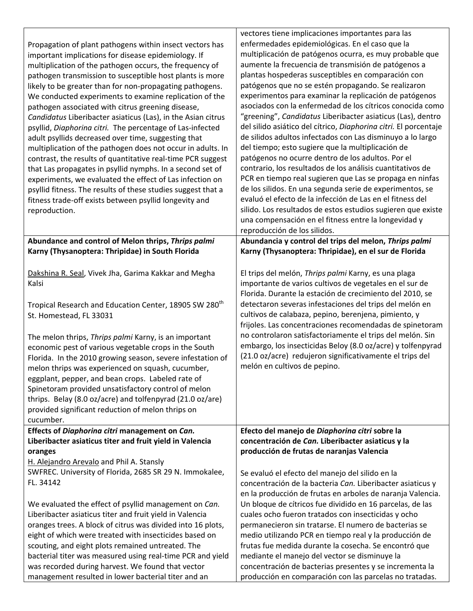| Propagation of plant pathogens within insect vectors has<br>important implications for disease epidemiology. If<br>multiplication of the pathogen occurs, the frequency of<br>pathogen transmission to susceptible host plants is more<br>likely to be greater than for non-propagating pathogens.<br>We conducted experiments to examine replication of the<br>pathogen associated with citrus greening disease,<br>Candidatus Liberibacter asiaticus (Las), in the Asian citrus<br>psyllid, Diaphorina citri. The percentage of Las-infected<br>adult psyllids decreased over time, suggesting that<br>multiplication of the pathogen does not occur in adults. In<br>contrast, the results of quantitative real-time PCR suggest<br>that Las propagates in psyllid nymphs. In a second set of<br>experiments, we evaluated the effect of Las infection on<br>psyllid fitness. The results of these studies suggest that a<br>fitness trade-off exists between psyllid longevity and<br>reproduction. | vectores tiene implicaciones importantes para las<br>enfermedades epidemiológicas. En el caso que la<br>multiplicación de patógenos ocurra, es muy probable que<br>aumente la frecuencia de transmisión de patógenos a<br>plantas hospederas susceptibles en comparación con<br>patógenos que no se estén propagando. Se realizaron<br>experimentos para examinar la replicación de patógenos<br>asociados con la enfermedad de los cítricos conocida como<br>"greening", Candidatus Liberibacter asiaticus (Las), dentro<br>del silido asiático del cítrico, Diaphorina citri. El porcentaje<br>de silidos adultos infectados con Las disminuyo a lo largo<br>del tiempo; esto sugiere que la multiplicación de<br>patógenos no ocurre dentro de los adultos. Por el<br>contrario, los resultados de los análisis cuantitativos de<br>PCR en tiempo real sugieren que Las se propaga en ninfas<br>de los silidos. En una segunda serie de experimentos, se<br>evaluó el efecto de la infección de Las en el fitness del<br>silido. Los resultados de estos estudios sugieren que existe<br>una compensación en el fitness entre la longevidad y |
|---------------------------------------------------------------------------------------------------------------------------------------------------------------------------------------------------------------------------------------------------------------------------------------------------------------------------------------------------------------------------------------------------------------------------------------------------------------------------------------------------------------------------------------------------------------------------------------------------------------------------------------------------------------------------------------------------------------------------------------------------------------------------------------------------------------------------------------------------------------------------------------------------------------------------------------------------------------------------------------------------------|--------------------------------------------------------------------------------------------------------------------------------------------------------------------------------------------------------------------------------------------------------------------------------------------------------------------------------------------------------------------------------------------------------------------------------------------------------------------------------------------------------------------------------------------------------------------------------------------------------------------------------------------------------------------------------------------------------------------------------------------------------------------------------------------------------------------------------------------------------------------------------------------------------------------------------------------------------------------------------------------------------------------------------------------------------------------------------------------------------------------------------------------------|
|                                                                                                                                                                                                                                                                                                                                                                                                                                                                                                                                                                                                                                                                                                                                                                                                                                                                                                                                                                                                         | reproducción de los silidos.                                                                                                                                                                                                                                                                                                                                                                                                                                                                                                                                                                                                                                                                                                                                                                                                                                                                                                                                                                                                                                                                                                                     |
| Abundance and control of Melon thrips, Thrips palmi<br>Karny (Thysanoptera: Thripidae) in South Florida                                                                                                                                                                                                                                                                                                                                                                                                                                                                                                                                                                                                                                                                                                                                                                                                                                                                                                 | Abundancia y control del trips del melon, Thrips palmi<br>Karny (Thysanoptera: Thripidae), en el sur de Florida                                                                                                                                                                                                                                                                                                                                                                                                                                                                                                                                                                                                                                                                                                                                                                                                                                                                                                                                                                                                                                  |
| Dakshina R. Seal, Vivek Jha, Garima Kakkar and Megha<br>Kalsi                                                                                                                                                                                                                                                                                                                                                                                                                                                                                                                                                                                                                                                                                                                                                                                                                                                                                                                                           | El trips del melón, Thrips palmi Karny, es una plaga<br>importante de varios cultivos de vegetales en el sur de<br>Florida. Durante la estación de crecimiento del 2010, se                                                                                                                                                                                                                                                                                                                                                                                                                                                                                                                                                                                                                                                                                                                                                                                                                                                                                                                                                                      |
| Tropical Research and Education Center, 18905 SW 280 <sup>th</sup><br>St. Homestead, FL 33031                                                                                                                                                                                                                                                                                                                                                                                                                                                                                                                                                                                                                                                                                                                                                                                                                                                                                                           | detectaron severas infestaciones del trips del melón en<br>cultivos de calabaza, pepino, berenjena, pimiento, y<br>frijoles. Las concentraciones recomendadas de spinetoram                                                                                                                                                                                                                                                                                                                                                                                                                                                                                                                                                                                                                                                                                                                                                                                                                                                                                                                                                                      |
| The melon thrips, Thrips palmi Karny, is an important<br>economic pest of various vegetable crops in the South<br>Florida. In the 2010 growing season, severe infestation of<br>melon thrips was experienced on squash, cucumber,<br>eggplant, pepper, and bean crops. Labeled rate of<br>Spinetoram provided unsatisfactory control of melon<br>thrips. Belay (8.0 oz/acre) and tolfenpyrad (21.0 oz/are)<br>provided significant reduction of melon thrips on<br>cucumber.                                                                                                                                                                                                                                                                                                                                                                                                                                                                                                                            | no controlaron satisfactoriamente el trips del melón. Sin<br>embargo, los insecticidas Beloy (8.0 oz/acre) y tolfenpyrad<br>(21.0 oz/acre) redujeron significativamente el trips del<br>melón en cultivos de pepino.                                                                                                                                                                                                                                                                                                                                                                                                                                                                                                                                                                                                                                                                                                                                                                                                                                                                                                                             |
| Effects of Diaphorina citri management on Can.                                                                                                                                                                                                                                                                                                                                                                                                                                                                                                                                                                                                                                                                                                                                                                                                                                                                                                                                                          | Efecto del manejo de Diaphorina citri sobre la                                                                                                                                                                                                                                                                                                                                                                                                                                                                                                                                                                                                                                                                                                                                                                                                                                                                                                                                                                                                                                                                                                   |
| Liberibacter asiaticus titer and fruit yield in Valencia                                                                                                                                                                                                                                                                                                                                                                                                                                                                                                                                                                                                                                                                                                                                                                                                                                                                                                                                                | concentración de Can. Liberibacter asiaticus y la<br>producción de frutas de naranjas Valencia                                                                                                                                                                                                                                                                                                                                                                                                                                                                                                                                                                                                                                                                                                                                                                                                                                                                                                                                                                                                                                                   |
| oranges<br>H. Alejandro Arevalo and Phil A. Stansly                                                                                                                                                                                                                                                                                                                                                                                                                                                                                                                                                                                                                                                                                                                                                                                                                                                                                                                                                     |                                                                                                                                                                                                                                                                                                                                                                                                                                                                                                                                                                                                                                                                                                                                                                                                                                                                                                                                                                                                                                                                                                                                                  |
| SWFREC. University of Florida, 2685 SR 29 N. Immokalee,<br>FL. 34142                                                                                                                                                                                                                                                                                                                                                                                                                                                                                                                                                                                                                                                                                                                                                                                                                                                                                                                                    | Se evaluó el efecto del manejo del silido en la<br>concentración de la bacteria Can. Liberibacter asiaticus y<br>en la producción de frutas en arboles de naranja Valencia.                                                                                                                                                                                                                                                                                                                                                                                                                                                                                                                                                                                                                                                                                                                                                                                                                                                                                                                                                                      |
| We evaluated the effect of psyllid management on Can.<br>Liberibacter asiaticus titer and fruit yield in Valencia<br>oranges trees. A block of citrus was divided into 16 plots,<br>eight of which were treated with insecticides based on<br>scouting, and eight plots remained untreated. The<br>bacterial titer was measured using real-time PCR and yield<br>was recorded during harvest. We found that vector                                                                                                                                                                                                                                                                                                                                                                                                                                                                                                                                                                                      | Un bloque de cítricos fue dividido en 16 parcelas, de las<br>cuales ocho fueron tratados con insecticidas y ocho<br>permanecieron sin tratarse. El numero de bacterias se<br>medio utilizando PCR en tiempo real y la producción de<br>frutas fue medida durante la cosecha. Se encontró que<br>mediante el manejo del vector se disminuye la<br>concentración de bacterias presentes y se incrementa la                                                                                                                                                                                                                                                                                                                                                                                                                                                                                                                                                                                                                                                                                                                                         |
| management resulted in lower bacterial titer and an                                                                                                                                                                                                                                                                                                                                                                                                                                                                                                                                                                                                                                                                                                                                                                                                                                                                                                                                                     | producción en comparación con las parcelas no tratadas.                                                                                                                                                                                                                                                                                                                                                                                                                                                                                                                                                                                                                                                                                                                                                                                                                                                                                                                                                                                                                                                                                          |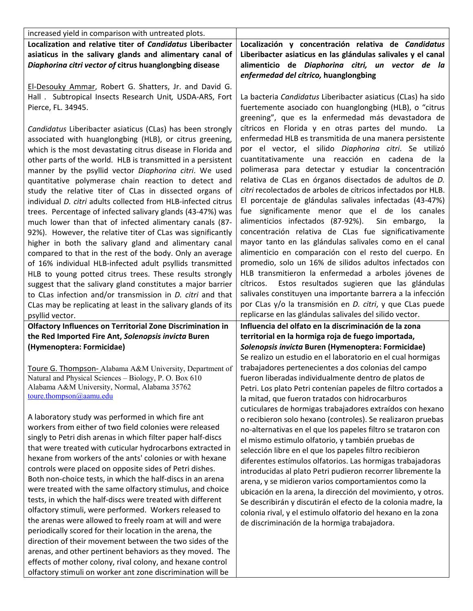| increased yield in comparison with untreated plots.                                                                                                                                                                                                                                                                                                                                                                                                                                                                                                                                                                                                                                                                                                                                                                                                                                                                                                                                                                                                                                                                                                                  |                                                                                                                                                                                                                                                                                                                                                                                                                                                                                                                                                                                                                                                                                                                                                                                                                                                                                                                                                                                                                                                                                                                                                     |
|----------------------------------------------------------------------------------------------------------------------------------------------------------------------------------------------------------------------------------------------------------------------------------------------------------------------------------------------------------------------------------------------------------------------------------------------------------------------------------------------------------------------------------------------------------------------------------------------------------------------------------------------------------------------------------------------------------------------------------------------------------------------------------------------------------------------------------------------------------------------------------------------------------------------------------------------------------------------------------------------------------------------------------------------------------------------------------------------------------------------------------------------------------------------|-----------------------------------------------------------------------------------------------------------------------------------------------------------------------------------------------------------------------------------------------------------------------------------------------------------------------------------------------------------------------------------------------------------------------------------------------------------------------------------------------------------------------------------------------------------------------------------------------------------------------------------------------------------------------------------------------------------------------------------------------------------------------------------------------------------------------------------------------------------------------------------------------------------------------------------------------------------------------------------------------------------------------------------------------------------------------------------------------------------------------------------------------------|
| Localization and relative titer of Candidatus Liberibacter<br>asiaticus in the salivary glands and alimentary canal of<br>Diaphorina citri vector of citrus huanglongbing disease                                                                                                                                                                                                                                                                                                                                                                                                                                                                                                                                                                                                                                                                                                                                                                                                                                                                                                                                                                                    | Localización y concentración relativa de Candidatus<br>Liberibacter asiaticus en las glándulas salivales y el canal<br>alimenticio de Diaphorina citri, un vector de la<br>enfermedad del cítrico, huanglongbing                                                                                                                                                                                                                                                                                                                                                                                                                                                                                                                                                                                                                                                                                                                                                                                                                                                                                                                                    |
| El-Desouky Ammar, Robert G. Shatters, Jr. and David G.<br>Hall . Subtropical Insects Research Unit, USDA-ARS, Fort<br>Pierce, FL. 34945.                                                                                                                                                                                                                                                                                                                                                                                                                                                                                                                                                                                                                                                                                                                                                                                                                                                                                                                                                                                                                             | La bacteria Candidatus Liberibacter asiaticus (CLas) ha sido<br>fuertemente asociado con huanglongbing (HLB), o "citrus<br>greening", que es la enfermedad más devastadora de                                                                                                                                                                                                                                                                                                                                                                                                                                                                                                                                                                                                                                                                                                                                                                                                                                                                                                                                                                       |
| Candidatus Liberibacter asiaticus (CLas) has been strongly<br>associated with huanglongbing (HLB), or citrus greening,<br>which is the most devastating citrus disease in Florida and<br>other parts of the world. HLB is transmitted in a persistent<br>manner by the psyllid vector Diaphorina citri. We used<br>quantitative polymerase chain reaction to detect and<br>study the relative titer of CLas in dissected organs of<br>individual D. citri adults collected from HLB-infected citrus<br>trees. Percentage of infected salivary glands (43-47%) was<br>much lower than that of infected alimentary canals (87-<br>92%). However, the relative titer of CLas was significantly<br>higher in both the salivary gland and alimentary canal<br>compared to that in the rest of the body. Only an average<br>of 16% individual HLB-infected adult psyllids transmitted<br>HLB to young potted citrus trees. These results strongly<br>suggest that the salivary gland constitutes a major barrier<br>to CLas infection and/or transmission in <i>D. citri</i> and that<br>CLas may be replicating at least in the salivary glands of its<br>psyllid vector. | cítricos en Florida y en otras partes del mundo.<br>La<br>enfermedad HLB es transmitida de una manera persistente<br>por el vector, el silido Diaphorina citri. Se utilizó<br>cuantitativamente una reacción en cadena<br>de<br>- Ia<br>polimerasa para detectar y estudiar la concentración<br>relativa de CLas en órganos disectados de adultos de D.<br>citri recolectados de arboles de cítricos infectados por HLB.<br>El porcentaje de glándulas salivales infectadas (43-47%)<br>fue significamente menor que el de los canales<br>alimenticios infectados (87-92%). Sin embargo,<br>la<br>concentración relativa de CLas fue significativamente<br>mayor tanto en las glándulas salivales como en el canal<br>alimenticio en comparación con el resto del cuerpo. En<br>promedio, solo un 16% de silidos adultos infectados con<br>HLB transmitieron la enfermedad a arboles jóvenes de<br>Estos resultados sugieren que las glándulas<br>cítricos.<br>salivales constituyen una importante barrera a la infección<br>por CLas y/o la transmisión en D. citri, y que CLas puede<br>replicarse en las glándulas salivales del silido vector. |
| <b>Olfactory Influences on Territorial Zone Discrimination in</b>                                                                                                                                                                                                                                                                                                                                                                                                                                                                                                                                                                                                                                                                                                                                                                                                                                                                                                                                                                                                                                                                                                    | Influencia del olfato en la discriminación de la zona                                                                                                                                                                                                                                                                                                                                                                                                                                                                                                                                                                                                                                                                                                                                                                                                                                                                                                                                                                                                                                                                                               |
| the Red Imported Fire Ant, Solenopsis invicta Buren<br>(Hymenoptera: Formicidae)                                                                                                                                                                                                                                                                                                                                                                                                                                                                                                                                                                                                                                                                                                                                                                                                                                                                                                                                                                                                                                                                                     | territorial en la hormiga roja de fuego importada,<br>Solenopsis invicta Buren (Hymenoptera: Formicidae)<br>Se realizo un estudio en el laboratorio en el cual hormigas                                                                                                                                                                                                                                                                                                                                                                                                                                                                                                                                                                                                                                                                                                                                                                                                                                                                                                                                                                             |
| Toure G. Thompson- Alabama A&M University, Department of<br>Natural and Physical Sciences - Biology, P. O. Box 610<br>Alabama A&M University, Normal, Alabama 35762<br>toure.thompson@aamu.edu                                                                                                                                                                                                                                                                                                                                                                                                                                                                                                                                                                                                                                                                                                                                                                                                                                                                                                                                                                       | trabajadores pertenecientes a dos colonias del campo<br>fueron liberadas individualmente dentro de platos de<br>Petri. Los plato Petri contenían papeles de filtro cortados a<br>la mitad, que fueron tratados con hidrocarburos<br>cuticulares de hormigas trabajadores extraídos con hexano                                                                                                                                                                                                                                                                                                                                                                                                                                                                                                                                                                                                                                                                                                                                                                                                                                                       |
| A laboratory study was performed in which fire ant<br>workers from either of two field colonies were released<br>singly to Petri dish arenas in which filter paper half-discs<br>that were treated with cuticular hydrocarbons extracted in<br>hexane from workers of the ants' colonies or with hexane<br>controls were placed on opposite sides of Petri dishes.<br>Both non-choice tests, in which the half-discs in an arena<br>were treated with the same olfactory stimulus, and choice<br>tests, in which the half-discs were treated with different<br>olfactory stimuli, were performed. Workers released to<br>the arenas were allowed to freely roam at will and were<br>periodically scored for their location in the arena, the<br>direction of their movement between the two sides of the<br>arenas, and other pertinent behaviors as they moved. The<br>effects of mother colony, rival colony, and hexane control<br>olfactory stimuli on worker ant zone discrimination will be                                                                                                                                                                    | o recibieron solo hexano (controles). Se realizaron pruebas<br>no-alternativas en el que los papeles filtro se trataron con<br>el mismo estimulo olfatorio, y también pruebas de<br>selección libre en el que los papeles filtro recibieron<br>diferentes estímulos olfatorios. Las hormigas trabajadoras<br>introducidas al plato Petri pudieron recorrer libremente la<br>arena, y se midieron varios comportamientos como la<br>ubicación en la arena, la dirección del movimiento, y otros.<br>Se describirán y discutirán el efecto de la colonia madre, la<br>colonia rival, y el estimulo olfatorio del hexano en la zona<br>de discriminación de la hormiga trabajadora.                                                                                                                                                                                                                                                                                                                                                                                                                                                                    |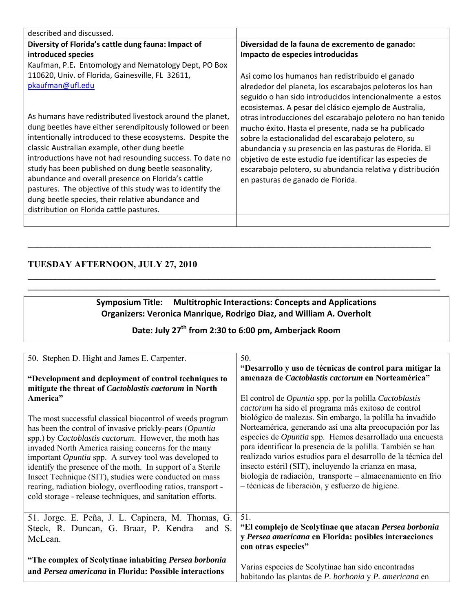| described and discussed.                                  |                                                                                                                                                                                |
|-----------------------------------------------------------|--------------------------------------------------------------------------------------------------------------------------------------------------------------------------------|
| Diversity of Florida's cattle dung fauna: Impact of       | Diversidad de la fauna de excremento de ganado:                                                                                                                                |
| introduced species                                        | Impacto de especies introducidas                                                                                                                                               |
| Kaufman, P.E. Entomology and Nematology Dept, PO Box      |                                                                                                                                                                                |
| 110620, Univ. of Florida, Gainesville, FL 32611,          | Asi como los humanos han redistribuido el ganado                                                                                                                               |
| pkaufman@ufl.edu                                          | alrededor del planeta, los escarabajos peloteros los han<br>seguido o han sido introducidos intencionalmente a estos<br>ecosistemas. A pesar del clásico ejemplo de Australia, |
| As humans have redistributed livestock around the planet, | otras introducciones del escarabajo pelotero no han tenido                                                                                                                     |
| dung beetles have either serendipitously followed or been | mucho éxito. Hasta el presente, nada se ha publicado                                                                                                                           |
| intentionally introduced to these ecosystems. Despite the | sobre la estacionalidad del escarabajo pelotero, su                                                                                                                            |
| classic Australian example, other dung beetle             | abundancia y su presencia en las pasturas de Florida. El                                                                                                                       |
| introductions have not had resounding success. To date no | objetivo de este estudio fue identificar las especies de                                                                                                                       |
| study has been published on dung beetle seasonality,      | escarabajo pelotero, su abundancia relativa y distribución                                                                                                                     |
| abundance and overall presence on Florida's cattle        | en pasturas de ganado de Florida.                                                                                                                                              |
| pastures. The objective of this study was to identify the |                                                                                                                                                                                |
| dung beetle species, their relative abundance and         |                                                                                                                                                                                |
| distribution on Florida cattle pastures.                  |                                                                                                                                                                                |
|                                                           |                                                                                                                                                                                |

## **TUESDAY AFTERNOON, JULY 27, 2010**

#### **Symposium Title: Multitrophic Interactions: Concepts and Applications Organizers: Veronica Manrique, Rodrigo Diaz, and William A. Overholt**

**\_\_\_\_\_\_\_\_\_\_\_\_\_\_\_\_\_\_\_\_\_\_\_\_\_\_\_\_\_\_\_\_\_\_\_\_\_\_\_\_\_\_\_\_\_\_\_\_\_\_\_\_\_\_\_\_\_\_\_\_\_\_\_\_\_\_\_\_\_\_\_\_\_\_\_\_\_\_\_\_\_\_\_\_\_\_\_** 

 $\mathcal{L}_\mathcal{L} = \mathcal{L}_\mathcal{L} = \mathcal{L}_\mathcal{L} = \mathcal{L}_\mathcal{L} = \mathcal{L}_\mathcal{L} = \mathcal{L}_\mathcal{L} = \mathcal{L}_\mathcal{L} = \mathcal{L}_\mathcal{L} = \mathcal{L}_\mathcal{L} = \mathcal{L}_\mathcal{L} = \mathcal{L}_\mathcal{L} = \mathcal{L}_\mathcal{L} = \mathcal{L}_\mathcal{L} = \mathcal{L}_\mathcal{L} = \mathcal{L}_\mathcal{L} = \mathcal{L}_\mathcal{L} = \mathcal{L}_\mathcal{L}$  $\mathcal{L}_\mathcal{L} = \mathcal{L}_\mathcal{L} = \mathcal{L}_\mathcal{L} = \mathcal{L}_\mathcal{L} = \mathcal{L}_\mathcal{L} = \mathcal{L}_\mathcal{L} = \mathcal{L}_\mathcal{L} = \mathcal{L}_\mathcal{L} = \mathcal{L}_\mathcal{L} = \mathcal{L}_\mathcal{L} = \mathcal{L}_\mathcal{L} = \mathcal{L}_\mathcal{L} = \mathcal{L}_\mathcal{L} = \mathcal{L}_\mathcal{L} = \mathcal{L}_\mathcal{L} = \mathcal{L}_\mathcal{L} = \mathcal{L}_\mathcal{L}$ 

## **Date: July 27th from 2:30 to 6:00 pm, Amberjack Room**

| 50. Stephen D. Hight and James E. Carpenter.                  | 50.                                                                  |
|---------------------------------------------------------------|----------------------------------------------------------------------|
| "Development and deployment of control techniques to          | "Desarrollo y uso de técnicas de control para mitigar la             |
| mitigate the threat of Cactoblastis cactorum in North         | amenaza de Cactoblastis cactorum en Norteamérica"                    |
| America"                                                      | El control de <i>Opuntia</i> spp. por la polilla <i>Cactoblastis</i> |
| The most successful classical biocontrol of weeds program     | cactorum ha sido el programa más exitoso de control                  |
| has been the control of invasive prickly-pears (Opuntia       | biológico de malezas. Sin embargo, la polilla ha invadido            |
| spp.) by <i>Cactoblastis cactorum</i> . However, the moth has | Norteamérica, generando así una alta preocupación por las            |
| invaded North America raising concerns for the many           | especies de Opuntia spp. Hemos desarrollado una encuesta             |
| important <i>Opuntia</i> spp. A survey tool was developed to  | para identificar la presencia de la polilla. También se han          |
| identify the presence of the moth. In support of a Sterile    | realizado varios estudios para el desarrollo de la técnica del       |
| Insect Technique (SIT), studies were conducted on mass        | insecto estéril (SIT), incluyendo la crianza en masa,                |
| rearing, radiation biology, overflooding ratios, transport -  | biología de radiación, transporte – almacenamiento en frio           |
| cold storage - release techniques, and sanitation efforts.    | - técnicas de liberación, y esfuerzo de higiene.                     |
| 51. Jorge. E. Peña, J. L. Capinera, M. Thomas, G.             | 51.                                                                  |
| Steck, R. Duncan, G. Braar, P. Kendra                         | "El complejo de Scolytinae que atacan Persea borbonia                |
| and S.                                                        | y Persea americana en Florida: posibles interacciones                |
| McLean.                                                       | con otras especies"                                                  |
| "The complex of Scolytinae inhabiting Persea borbonia"        | Varias especies de Scolytinae han sido encontradas                   |
| and Persea americana in Florida: Possible interactions        | habitando las plantas de P. borbonia y P. americana en               |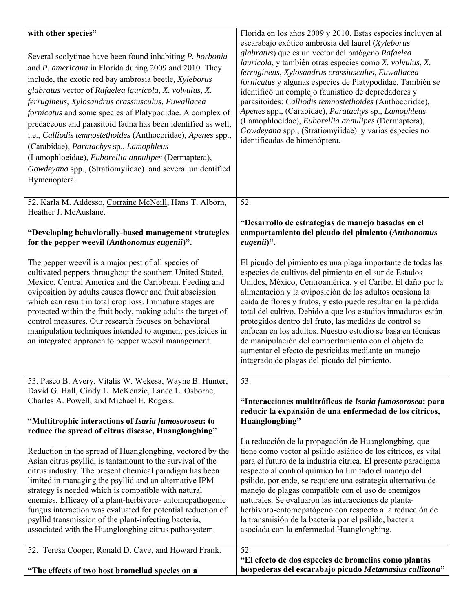| with other species"<br>Several scolytinae have been found inhabiting P. borbonia<br>and P. americana in Florida during 2009 and 2010. They<br>include, the exotic red bay ambrosia beetle, Xyleborus<br>glabratus vector of Rafaelea lauricola, X. volvulus, X.<br>ferrugineus, Xylosandrus crassiusculus, Euwallacea<br>fornicatus and some species of Platypodidae. A complex of<br>predaceous and parasitoid fauna has been identified as well,<br>i.e., Calliodis temnostethoides (Anthocoridae), Apenes spp.,<br>(Carabidae), Paratachys sp., Lamophleus<br>(Lamophloeidae), Euborellia annulipes (Dermaptera),<br>Gowdeyana spp., (Stratiomyiidae) and several unidentified<br>Hymenoptera. | Florida en los años 2009 y 2010. Estas especies incluyen al<br>escarabajo exótico ambrosia del laurel (Xyleborus<br>glabratus) que es un vector del patógeno Rafaelea<br>lauricola, y también otras especies como X. volvulus, X.<br>ferrugineus, Xylosandrus crassiusculus, Euwallacea<br>fornicatus y algunas especies de Platypodidae. También se<br>identificó un complejo faunístico de depredadores y<br>parasitoides: Calliodis temnostethoides (Anthocoridae),<br>Apenes spp., (Carabidae), Paratachys sp., Lamophleus<br>(Lamophloeidae), Euborellia annulipes (Dermaptera),<br>Gowdeyana spp., (Stratiomyiidae) y varias especies no<br>identificadas de himenóptera. |
|---------------------------------------------------------------------------------------------------------------------------------------------------------------------------------------------------------------------------------------------------------------------------------------------------------------------------------------------------------------------------------------------------------------------------------------------------------------------------------------------------------------------------------------------------------------------------------------------------------------------------------------------------------------------------------------------------|---------------------------------------------------------------------------------------------------------------------------------------------------------------------------------------------------------------------------------------------------------------------------------------------------------------------------------------------------------------------------------------------------------------------------------------------------------------------------------------------------------------------------------------------------------------------------------------------------------------------------------------------------------------------------------|
| 52. Karla M. Addesso, Corraine McNeill, Hans T. Alborn,<br>Heather J. McAuslane.                                                                                                                                                                                                                                                                                                                                                                                                                                                                                                                                                                                                                  | 52.<br>"Desarrollo de estrategias de manejo basadas en el                                                                                                                                                                                                                                                                                                                                                                                                                                                                                                                                                                                                                       |
| "Developing behaviorally-based management strategies<br>for the pepper weevil (Anthonomus eugenii)".                                                                                                                                                                                                                                                                                                                                                                                                                                                                                                                                                                                              | comportamiento del picudo del pimiento (Anthonomus<br>eugenii)".                                                                                                                                                                                                                                                                                                                                                                                                                                                                                                                                                                                                                |
| The pepper weevil is a major pest of all species of<br>cultivated peppers throughout the southern United Stated,<br>Mexico, Central America and the Caribbean. Feeding and<br>oviposition by adults causes flower and fruit abscission<br>which can result in total crop loss. Immature stages are<br>protected within the fruit body, making adults the target of<br>control measures. Our research focuses on behavioral<br>manipulation techniques intended to augment pesticides in<br>an integrated approach to pepper weevil management.                                                                                                                                                    | El picudo del pimiento es una plaga importante de todas las<br>especies de cultivos del pimiento en el sur de Estados<br>Unidos, México, Centroamérica, y el Caribe. El daño por la<br>alimentación y la oviposición de los adultos ocasiona la<br>caída de flores y frutos, y esto puede resultar en la pérdida<br>total del cultivo. Debido a que los estadios inmaduros están<br>protegidos dentro del fruto, las medidas de control se<br>enfocan en los adultos. Nuestro estudio se basa en técnicas<br>de manipulación del comportamiento con el objeto de<br>aumentar el efecto de pesticidas mediante un manejo<br>integrado de plagas del picudo del pimiento.         |
| 53. Pasco B. Avery, Vitalis W. Wekesa, Wayne B. Hunter,<br>David G. Hall, Cindy L. McKenzie, Lance L. Osborne,                                                                                                                                                                                                                                                                                                                                                                                                                                                                                                                                                                                    | 53.                                                                                                                                                                                                                                                                                                                                                                                                                                                                                                                                                                                                                                                                             |
| Charles A. Powell, and Michael E. Rogers.<br>"Multitrophic interactions of Isaria fumosorosea: to                                                                                                                                                                                                                                                                                                                                                                                                                                                                                                                                                                                                 | "Interacciones multitróficas de Isaria fumosorosea: para<br>reducir la expansión de una enfermedad de los cítricos,<br>Huanglongbing"                                                                                                                                                                                                                                                                                                                                                                                                                                                                                                                                           |
| reduce the spread of citrus disease, Huanglongbing"<br>Reduction in the spread of Huanglongbing, vectored by the<br>Asian citrus psyllid, is tantamount to the survival of the<br>citrus industry. The present chemical paradigm has been<br>limited in managing the psyllid and an alternative IPM<br>strategy is needed which is compatible with natural<br>enemies. Efficacy of a plant-herbivore-entomopathogenic<br>fungus interaction was evaluated for potential reduction of<br>psyllid transmission of the plant-infecting bacteria,<br>associated with the Huanglongbing citrus pathosystem.                                                                                            | La reducción de la propagación de Huanglongbing, que<br>tiene como vector al psílido asiático de los cítricos, es vital<br>para el futuro de la industria cítrica. El presente paradigma<br>respecto al control químico ha limitado el manejo del<br>psílido, por ende, se requiere una estrategia alternativa de<br>manejo de plagas compatible con el uso de enemigos<br>naturales. Se evaluaron las interacciones de planta-<br>herbívoro-entomopatógeno con respecto a la reducción de<br>la transmisión de la bacteria por el psílido, bacteria<br>asociada con la enfermedad Huanglongbing.                                                                               |
| 52. Teresa Cooper, Ronald D. Cave, and Howard Frank.<br>"The effects of two host bromeliad species on a                                                                                                                                                                                                                                                                                                                                                                                                                                                                                                                                                                                           | 52.<br>"El efecto de dos especies de bromelias como plantas<br>hospederas del escarabajo picudo Metamasius callizona"                                                                                                                                                                                                                                                                                                                                                                                                                                                                                                                                                           |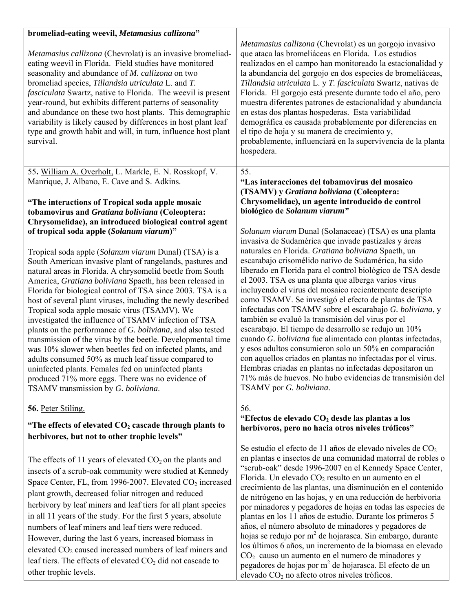| bromeliad-eating weevil, Metamasius callizona"                                                                                                                                                                                                                                                                                                                                                                                                                                                                                                                                                                                                                                                                                                                                                                                                                                                                                 |                                                                                                                                                                                                                                                                                                                                                                                                                                                                                                                                                                                                                                                                                                                                                                                                                                                                                                                                                                                       |
|--------------------------------------------------------------------------------------------------------------------------------------------------------------------------------------------------------------------------------------------------------------------------------------------------------------------------------------------------------------------------------------------------------------------------------------------------------------------------------------------------------------------------------------------------------------------------------------------------------------------------------------------------------------------------------------------------------------------------------------------------------------------------------------------------------------------------------------------------------------------------------------------------------------------------------|---------------------------------------------------------------------------------------------------------------------------------------------------------------------------------------------------------------------------------------------------------------------------------------------------------------------------------------------------------------------------------------------------------------------------------------------------------------------------------------------------------------------------------------------------------------------------------------------------------------------------------------------------------------------------------------------------------------------------------------------------------------------------------------------------------------------------------------------------------------------------------------------------------------------------------------------------------------------------------------|
| Metamasius callizona (Chevrolat) is an invasive bromeliad-<br>eating weevil in Florida. Field studies have monitored<br>seasonality and abundance of M. callizona on two<br>bromeliad species, Tillandsia utriculata L. and T.<br><i>fasciculata</i> Swartz, native to Florida. The weevil is present<br>year-round, but exhibits different patterns of seasonality<br>and abundance on these two host plants. This demographic<br>variability is likely caused by differences in host plant leaf<br>type and growth habit and will, in turn, influence host plant<br>survival.                                                                                                                                                                                                                                                                                                                                                | Metamasius callizona (Chevrolat) es un gorgojo invasivo<br>que ataca las bromeliáceas en Florida. Los estudios<br>realizados en el campo han monitoreado la estacionalidad y<br>la abundancia del gorgojo en dos especies de bromeliáceas,<br>Tillandsia utriculata L. y T. fasciculata Swartz, nativas de<br>Florida. El gorgojo está presente durante todo el año, pero<br>muestra diferentes patrones de estacionalidad y abundancia<br>en estas dos plantas hospederas. Esta variabilidad<br>demográfica es causada probablemente por diferencias en<br>el tipo de hoja y su manera de crecimiento y,<br>probablemente, influenciará en la supervivencia de la planta<br>hospedera.                                                                                                                                                                                                                                                                                               |
| 55. William A. Overholt, L. Markle, E. N. Rosskopf, V.                                                                                                                                                                                                                                                                                                                                                                                                                                                                                                                                                                                                                                                                                                                                                                                                                                                                         | 55.                                                                                                                                                                                                                                                                                                                                                                                                                                                                                                                                                                                                                                                                                                                                                                                                                                                                                                                                                                                   |
| Manrique, J. Albano, E. Cave and S. Adkins.<br>"The interactions of Tropical soda apple mosaic<br>tobamovirus and Gratiana boliviana (Coleoptera:                                                                                                                                                                                                                                                                                                                                                                                                                                                                                                                                                                                                                                                                                                                                                                              | "Las interacciones del tobamovirus del mosaico<br>(TSAMV) y Gratiana boliviana (Coleoptera:<br>Chrysomelidae), un agente introducido de control<br>biológico de Solanum viarum"                                                                                                                                                                                                                                                                                                                                                                                                                                                                                                                                                                                                                                                                                                                                                                                                       |
| Chrysomelidae), an introduced biological control agent                                                                                                                                                                                                                                                                                                                                                                                                                                                                                                                                                                                                                                                                                                                                                                                                                                                                         |                                                                                                                                                                                                                                                                                                                                                                                                                                                                                                                                                                                                                                                                                                                                                                                                                                                                                                                                                                                       |
| of tropical soda apple (Solanum viarum)"<br>Tropical soda apple (Solanum viarum Dunal) (TSA) is a<br>South American invasive plant of rangelands, pastures and<br>natural areas in Florida. A chrysomelid beetle from South<br>America, Gratiana boliviana Spaeth, has been released in<br>Florida for biological control of TSA since 2003. TSA is a<br>host of several plant viruses, including the newly described<br>Tropical soda apple mosaic virus (TSAMV). We<br>investigated the influence of TSAMV infection of TSA<br>plants on the performance of G. boliviana, and also tested<br>transmission of the virus by the beetle. Developmental time<br>was 10% slower when beetles fed on infected plants, and<br>adults consumed 50% as much leaf tissue compared to<br>uninfected plants. Females fed on uninfected plants<br>produced 71% more eggs. There was no evidence of<br>TSAMV transmission by G. boliviana. | Solanum viarum Dunal (Solanaceae) (TSA) es una planta<br>invasiva de Sudamérica que invade pastizales y áreas<br>naturales en Florida. Gratiana boliviana Spaeth, un<br>escarabajo crisomélido nativo de Sudamérica, ha sido<br>liberado en Florida para el control biológico de TSA desde<br>el 2003. TSA es una planta que alberga varios virus<br>incluyendo el virus del mosaico recientemente descripto<br>como TSAMV. Se investigó el efecto de plantas de TSA<br>infectadas con TSAMV sobre el escarabajo G. boliviana, y<br>también se evaluó la transmisión del virus por el<br>escarabajo. El tiempo de desarrollo se redujo un 10%<br>cuando G. boliviana fue alimentado con plantas infectadas,<br>y esos adultos consumieron solo un 50% en comparación<br>con aquellos criados en plantas no infectadas por el virus.<br>Hembras criadas en plantas no infectadas depositaron un<br>71% más de huevos. No hubo evidencias de transmisión del<br>TSAMV por G. boliviana. |
| 56. Peter Stiling.                                                                                                                                                                                                                                                                                                                                                                                                                                                                                                                                                                                                                                                                                                                                                                                                                                                                                                             | 56.<br>"Efectos de elevado CO <sub>2</sub> desde las plantas a los                                                                                                                                                                                                                                                                                                                                                                                                                                                                                                                                                                                                                                                                                                                                                                                                                                                                                                                    |
| "The effects of elevated $CO2$ cascade through plants to                                                                                                                                                                                                                                                                                                                                                                                                                                                                                                                                                                                                                                                                                                                                                                                                                                                                       | herbívoros, pero no hacia otros niveles tróficos"                                                                                                                                                                                                                                                                                                                                                                                                                                                                                                                                                                                                                                                                                                                                                                                                                                                                                                                                     |
| herbivores, but not to other trophic levels"                                                                                                                                                                                                                                                                                                                                                                                                                                                                                                                                                                                                                                                                                                                                                                                                                                                                                   |                                                                                                                                                                                                                                                                                                                                                                                                                                                                                                                                                                                                                                                                                                                                                                                                                                                                                                                                                                                       |
| The effects of 11 years of elevated $CO2$ on the plants and<br>insects of a scrub-oak community were studied at Kennedy<br>Space Center, FL, from 1996-2007. Elevated CO <sub>2</sub> increased<br>plant growth, decreased foliar nitrogen and reduced<br>herbivory by leaf miners and leaf tiers for all plant species<br>in all 11 years of the study. For the first 5 years, absolute<br>numbers of leaf miners and leaf tiers were reduced.<br>However, during the last 6 years, increased biomass in<br>elevated CO <sub>2</sub> caused increased numbers of leaf miners and<br>leaf tiers. The effects of elevated $CO2$ did not cascade to<br>other trophic levels.                                                                                                                                                                                                                                                     | Se estudio el efecto de 11 años de elevado niveles de $CO2$<br>en plantas e insectos de una comunidad matorral de robles o<br>"scrub-oak" desde 1996-2007 en el Kennedy Space Center,<br>Florida. Un elevado $CO2$ resulto en un aumento en el<br>crecimiento de las plantas, una disminución en el contenido<br>de nitrógeno en las hojas, y en una reducción de herbivoria<br>por minadores y pegadores de hojas en todas las especies de<br>plantas en los 11 años de estudio. Durante los primeros 5<br>años, el número absoluto de minadores y pegadores de<br>hojas se redujo por m <sup>2</sup> de hojarasca. Sin embargo, durante<br>los últimos 6 años, un incremento de la biomasa en elevado<br>$CO2$ causo un aumento en el numero de minadores y<br>pegadores de hojas por m <sup>2</sup> de hojarasca. El efecto de un<br>elevado CO <sub>2</sub> no afecto otros niveles tróficos.                                                                                     |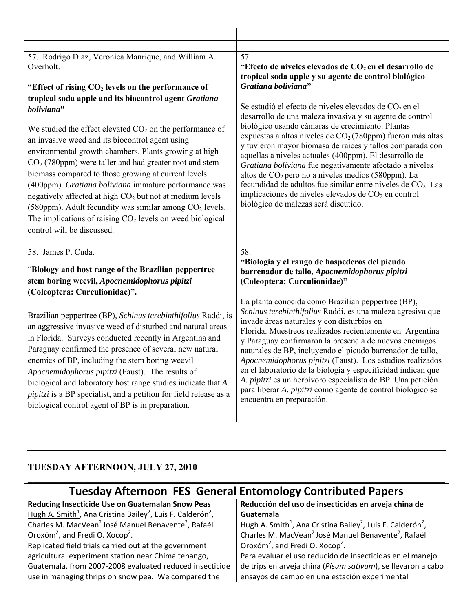| 57. Rodrigo Diaz, Veronica Manrique, and William A.<br>Overholt.                                                                                                                                                                                                                                                                                                                                                                                                                                                                                                                                                                                            | 57.<br>"Efecto de niveles elevados de CO <sub>2</sub> en el desarrollo de<br>tropical soda apple y su agente de control biológico                                                                                                                                                                                                                                                                                                                                                                                                                                                                                                                                                  |
|-------------------------------------------------------------------------------------------------------------------------------------------------------------------------------------------------------------------------------------------------------------------------------------------------------------------------------------------------------------------------------------------------------------------------------------------------------------------------------------------------------------------------------------------------------------------------------------------------------------------------------------------------------------|------------------------------------------------------------------------------------------------------------------------------------------------------------------------------------------------------------------------------------------------------------------------------------------------------------------------------------------------------------------------------------------------------------------------------------------------------------------------------------------------------------------------------------------------------------------------------------------------------------------------------------------------------------------------------------|
| "Effect of rising CO <sub>2</sub> levels on the performance of                                                                                                                                                                                                                                                                                                                                                                                                                                                                                                                                                                                              | Gratiana boliviana"                                                                                                                                                                                                                                                                                                                                                                                                                                                                                                                                                                                                                                                                |
| tropical soda apple and its biocontrol agent Gratiana<br>boliviana"<br>We studied the effect elevated $CO2$ on the performance of<br>an invasive weed and its biocontrol agent using<br>environmental growth chambers. Plants growing at high<br>$CO2$ (780ppm) were taller and had greater root and stem<br>biomass compared to those growing at current levels<br>(400ppm). Gratiana boliviana immature performance was<br>negatively affected at high $CO2$ but not at medium levels<br>(580ppm). Adult fecundity was similar among CO <sub>2</sub> levels.<br>The implications of raising $CO2$ levels on weed biological<br>control will be discussed. | Se estudió el efecto de niveles elevados de CO <sub>2</sub> en el<br>desarrollo de una maleza invasiva y su agente de control<br>biológico usando cámaras de crecimiento. Plantas<br>expuestas a altos niveles de $CO2$ (780ppm) fueron más altas<br>y tuvieron mayor biomasa de raíces y tallos comparada con<br>aquellas a niveles actuales (400ppm). El desarrollo de<br>Gratiana boliviana fue negativamente afectado a niveles<br>altos de $CO2$ pero no a niveles medios (580ppm). La<br>fecundidad de adultos fue similar entre niveles de CO <sub>2</sub> . Las<br>implicaciones de niveles elevados de CO <sub>2</sub> en control<br>biológico de malezas será discutido. |
| 58. James P. Cuda.<br>"Biology and host range of the Brazilian peppertree<br>stem boring weevil, Apocnemidophorus pipitzi                                                                                                                                                                                                                                                                                                                                                                                                                                                                                                                                   | 58.<br>"Biologia y el rango de hospederos del picudo<br>barrenador de tallo, Apocnemidophorus pipitzi<br>(Coleoptera: Curculionidae)"                                                                                                                                                                                                                                                                                                                                                                                                                                                                                                                                              |
| (Coleoptera: Curculionidae)".<br>Brazilian peppertree (BP), Schinus terebinthifolius Raddi, is<br>an aggressive invasive weed of disturbed and natural areas<br>in Florida. Surveys conducted recently in Argentina and<br>Paraguay confirmed the presence of several new natural<br>enemies of BP, including the stem boring weevil<br>Apocnemidophorus pipitzi (Faust). The results of<br>biological and laboratory host range studies indicate that A.<br><i>pipitzi</i> is a BP specialist, and a petition for field release as a<br>biological control agent of BP is in preparation.                                                                  | La planta conocida como Brazilian peppertree (BP),<br>Schinus terebinthifolius Raddi, es una maleza agresiva que<br>invade áreas naturales y con disturbios en<br>Florida. Muestreos realizados recientemente en Argentina<br>y Paraguay confirmaron la presencia de nuevos enemigos<br>naturales de BP, incluyendo el picudo barrenador de tallo,<br>Apocnemidophorus pipitzi (Faust). Los estudios realizados<br>en el laboratorio de la biología y especificidad indican que<br>A. pipitzi es un herbívoro especialista de BP. Una petición<br>para liberar A. pipitzi como agente de control biológico se<br>encuentra en preparación.                                         |

## **TUESDAY AFTERNOON, JULY 27, 2010**

| <b>Tuesday Afternoon FES General Entomology Contributed Papers</b>                              |                                                                                                 |
|-------------------------------------------------------------------------------------------------|-------------------------------------------------------------------------------------------------|
| Reducing Insecticide Use on Guatemalan Snow Peas                                                | Reducción del uso de insecticidas en arveja china de                                            |
| Hugh A. Smith <sup>1</sup> , Ana Cristina Bailey <sup>2</sup> , Luis F. Calderón <sup>2</sup> , | Guatemala                                                                                       |
| Charles M. MacVean <sup>2</sup> José Manuel Benavente <sup>2</sup> , Rafaél                     | Hugh A. Smith <sup>1</sup> , Ana Cristina Bailey <sup>2</sup> , Luis F. Calderón <sup>2</sup> , |
| Oroxóm <sup>2</sup> , and Fredi O. Xocop <sup>2</sup> .                                         | Charles M. MacVean <sup>2</sup> José Manuel Benavente <sup>2</sup> , Rafaél                     |
| Replicated field trials carried out at the government                                           | Oroxóm <sup>2</sup> , and Fredi O. Xocop <sup>2</sup> .                                         |
| agricultural experiment station near Chimaltenango,                                             | Para evaluar el uso reducido de insecticidas en el manejo                                       |
| Guatemala, from 2007-2008 evaluated reduced insecticide                                         | de trips en arveja china (Pisum sativum), se llevaron a cabo                                    |
| use in managing thrips on snow pea. We compared the                                             | ensayos de campo en una estación experimental                                                   |

 $\mathcal{L}_\mathcal{L} = \mathcal{L}_\mathcal{L} = \mathcal{L}_\mathcal{L} = \mathcal{L}_\mathcal{L} = \mathcal{L}_\mathcal{L} = \mathcal{L}_\mathcal{L} = \mathcal{L}_\mathcal{L} = \mathcal{L}_\mathcal{L} = \mathcal{L}_\mathcal{L} = \mathcal{L}_\mathcal{L} = \mathcal{L}_\mathcal{L} = \mathcal{L}_\mathcal{L} = \mathcal{L}_\mathcal{L} = \mathcal{L}_\mathcal{L} = \mathcal{L}_\mathcal{L} = \mathcal{L}_\mathcal{L} = \mathcal{L}_\mathcal{L}$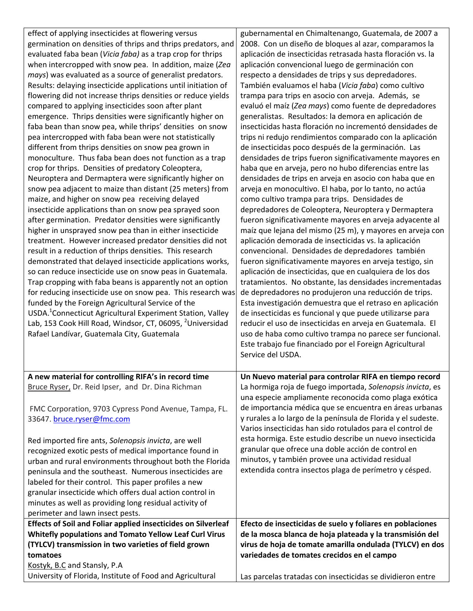| effect of applying insecticides at flowering versus<br>germination on densities of thrips and thrips predators, and<br>evaluated faba bean (Vicia faba) as a trap crop for thrips<br>when intercropped with snow pea. In addition, maize (Zea<br>mays) was evaluated as a source of generalist predators.<br>Results: delaying insecticide applications until initiation of<br>flowering did not increase thrips densities or reduce yields<br>compared to applying insecticides soon after plant<br>emergence. Thrips densities were significantly higher on<br>faba bean than snow pea, while thrips' densities on snow<br>pea intercropped with faba bean were not statistically<br>different from thrips densities on snow pea grown in<br>monoculture. Thus faba bean does not function as a trap<br>crop for thrips. Densities of predatory Coleoptera,<br>Neuroptera and Dermaptera were significantly higher on<br>snow pea adjacent to maize than distant (25 meters) from<br>maize, and higher on snow pea receiving delayed<br>insecticide applications than on snow pea sprayed soon<br>after germination. Predator densities were significantly<br>higher in unsprayed snow pea than in either insecticide<br>treatment. However increased predator densities did not | gubernamental en Chimaltenango, Guatemala, de 2007 a<br>2008. Con un diseño de bloques al azar, comparamos la<br>aplicación de insecticidas retrasada hasta floración vs. la<br>aplicación convencional luego de germinación con<br>respecto a densidades de trips y sus depredadores.<br>También evaluamos el haba (Vicia faba) como cultivo<br>trampa para trips en asocio con arveja. Además, se<br>evaluó el maíz (Zea mays) como fuente de depredadores<br>generalistas. Resultados: la demora en aplicación de<br>insecticidas hasta floración no incrementó densidades de<br>trips ni redujo rendimientos comparado con la aplicación<br>de insecticidas poco después de la germinación. Las<br>densidades de trips fueron significativamente mayores en<br>haba que en arveja, pero no hubo diferencias entre las<br>densidades de trips en arveja en asocio con haba que en<br>arveja en monocultivo. El haba, por lo tanto, no actúa<br>como cultivo trampa para trips. Densidades de<br>depredadores de Coleoptera, Neuroptera y Dermaptera<br>fueron significativamente mayores en arveja adyacente al<br>maíz que lejana del mismo (25 m), y mayores en arveja con<br>aplicación demorada de insecticidas vs. la aplicación |
|------------------------------------------------------------------------------------------------------------------------------------------------------------------------------------------------------------------------------------------------------------------------------------------------------------------------------------------------------------------------------------------------------------------------------------------------------------------------------------------------------------------------------------------------------------------------------------------------------------------------------------------------------------------------------------------------------------------------------------------------------------------------------------------------------------------------------------------------------------------------------------------------------------------------------------------------------------------------------------------------------------------------------------------------------------------------------------------------------------------------------------------------------------------------------------------------------------------------------------------------------------------------------------|------------------------------------------------------------------------------------------------------------------------------------------------------------------------------------------------------------------------------------------------------------------------------------------------------------------------------------------------------------------------------------------------------------------------------------------------------------------------------------------------------------------------------------------------------------------------------------------------------------------------------------------------------------------------------------------------------------------------------------------------------------------------------------------------------------------------------------------------------------------------------------------------------------------------------------------------------------------------------------------------------------------------------------------------------------------------------------------------------------------------------------------------------------------------------------------------------------------------------------------|
| result in a reduction of thrips densities. This research<br>demonstrated that delayed insecticide applications works,<br>so can reduce insecticide use on snow peas in Guatemala.<br>Trap cropping with faba beans is apparently not an option<br>for reducing insecticide use on snow pea. This research was<br>funded by the Foreign Agricultural Service of the<br>USDA. <sup>1</sup> Connecticut Agricultural Experiment Station, Valley                                                                                                                                                                                                                                                                                                                                                                                                                                                                                                                                                                                                                                                                                                                                                                                                                                       | convencional. Densidades de depredadores también<br>fueron significativamente mayores en arveja testigo, sin<br>aplicación de insecticidas, que en cualquiera de los dos<br>tratamientos. No obstante, las densidades incrementadas<br>de depredadores no produjeron una reducción de trips.<br>Esta investigación demuestra que el retraso en aplicación<br>de insecticidas es funcional y que puede utilizarse para                                                                                                                                                                                                                                                                                                                                                                                                                                                                                                                                                                                                                                                                                                                                                                                                                    |
| Lab, 153 Cook Hill Road, Windsor, CT, 06095, <sup>2</sup> Universidad<br>Rafael Landívar, Guatemala City, Guatemala                                                                                                                                                                                                                                                                                                                                                                                                                                                                                                                                                                                                                                                                                                                                                                                                                                                                                                                                                                                                                                                                                                                                                                | reducir el uso de insecticidas en arveja en Guatemala. El<br>uso de haba como cultivo trampa no parece ser funcional.<br>Este trabajo fue financiado por el Foreign Agricultural<br>Service del USDA.                                                                                                                                                                                                                                                                                                                                                                                                                                                                                                                                                                                                                                                                                                                                                                                                                                                                                                                                                                                                                                    |
| A new material for controlling RIFA's in record time                                                                                                                                                                                                                                                                                                                                                                                                                                                                                                                                                                                                                                                                                                                                                                                                                                                                                                                                                                                                                                                                                                                                                                                                                               | Un Nuevo material para controlar RIFA en tiempo record                                                                                                                                                                                                                                                                                                                                                                                                                                                                                                                                                                                                                                                                                                                                                                                                                                                                                                                                                                                                                                                                                                                                                                                   |
| Bruce Ryser, Dr. Reid Ipser, and Dr. Dina Richman                                                                                                                                                                                                                                                                                                                                                                                                                                                                                                                                                                                                                                                                                                                                                                                                                                                                                                                                                                                                                                                                                                                                                                                                                                  | La hormiga roja de fuego importada, Solenopsis invicta, es<br>una especie ampliamente reconocida como plaga exótica                                                                                                                                                                                                                                                                                                                                                                                                                                                                                                                                                                                                                                                                                                                                                                                                                                                                                                                                                                                                                                                                                                                      |
| FMC Corporation, 9703 Cypress Pond Avenue, Tampa, FL.<br>33647. bruce.ryser@fmc.com                                                                                                                                                                                                                                                                                                                                                                                                                                                                                                                                                                                                                                                                                                                                                                                                                                                                                                                                                                                                                                                                                                                                                                                                | de importancia médica que se encuentra en áreas urbanas<br>y rurales a lo largo de la península de Florida y el sudeste.<br>Varios insecticidas han sido rotulados para el control de                                                                                                                                                                                                                                                                                                                                                                                                                                                                                                                                                                                                                                                                                                                                                                                                                                                                                                                                                                                                                                                    |
| Red imported fire ants, Solenopsis invicta, are well<br>recognized exotic pests of medical importance found in<br>urban and rural environments throughout both the Florida<br>peninsula and the southeast. Numerous insecticides are<br>labeled for their control. This paper profiles a new<br>granular insecticide which offers dual action control in<br>minutes as well as providing long residual activity of<br>perimeter and lawn insect pests.                                                                                                                                                                                                                                                                                                                                                                                                                                                                                                                                                                                                                                                                                                                                                                                                                             | esta hormiga. Este estudio describe un nuevo insecticida<br>granular que ofrece una doble acción de control en<br>minutos, y también provee una actividad residual<br>extendida contra insectos plaga de perímetro y césped.                                                                                                                                                                                                                                                                                                                                                                                                                                                                                                                                                                                                                                                                                                                                                                                                                                                                                                                                                                                                             |
| Effects of Soil and Foliar applied insecticides on Silverleaf<br>Whitefly populations and Tomato Yellow Leaf Curl Virus                                                                                                                                                                                                                                                                                                                                                                                                                                                                                                                                                                                                                                                                                                                                                                                                                                                                                                                                                                                                                                                                                                                                                            | Efecto de insecticidas de suelo y foliares en poblaciones<br>de la mosca blanca de hoja plateada y la transmisión del                                                                                                                                                                                                                                                                                                                                                                                                                                                                                                                                                                                                                                                                                                                                                                                                                                                                                                                                                                                                                                                                                                                    |
| (TYLCV) transmission in two varieties of field grown                                                                                                                                                                                                                                                                                                                                                                                                                                                                                                                                                                                                                                                                                                                                                                                                                                                                                                                                                                                                                                                                                                                                                                                                                               | virus de hoja de tomate amarilla ondulada (TYLCV) en dos                                                                                                                                                                                                                                                                                                                                                                                                                                                                                                                                                                                                                                                                                                                                                                                                                                                                                                                                                                                                                                                                                                                                                                                 |
| tomatoes                                                                                                                                                                                                                                                                                                                                                                                                                                                                                                                                                                                                                                                                                                                                                                                                                                                                                                                                                                                                                                                                                                                                                                                                                                                                           | variedades de tomates crecidos en el campo                                                                                                                                                                                                                                                                                                                                                                                                                                                                                                                                                                                                                                                                                                                                                                                                                                                                                                                                                                                                                                                                                                                                                                                               |
| Kostyk, B.C and Stansly, P.A                                                                                                                                                                                                                                                                                                                                                                                                                                                                                                                                                                                                                                                                                                                                                                                                                                                                                                                                                                                                                                                                                                                                                                                                                                                       |                                                                                                                                                                                                                                                                                                                                                                                                                                                                                                                                                                                                                                                                                                                                                                                                                                                                                                                                                                                                                                                                                                                                                                                                                                          |
| University of Florida, Institute of Food and Agricultural                                                                                                                                                                                                                                                                                                                                                                                                                                                                                                                                                                                                                                                                                                                                                                                                                                                                                                                                                                                                                                                                                                                                                                                                                          | Las parcelas tratadas con insecticidas se dividieron entre                                                                                                                                                                                                                                                                                                                                                                                                                                                                                                                                                                                                                                                                                                                                                                                                                                                                                                                                                                                                                                                                                                                                                                               |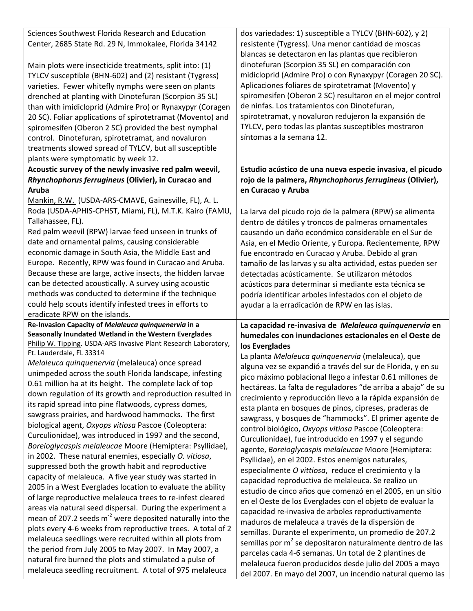| Sciences Southwest Florida Research and Education<br>Center, 2685 State Rd. 29 N, Immokalee, Florida 34142                                                                                                                                                                                        | dos variedades: 1) susceptible a TYLCV (BHN-602), y 2)<br>resistente (Tygress). Una menor cantidad de moscas<br>blancas se detectaron en las plantas que recibieron                                                                                                             |
|---------------------------------------------------------------------------------------------------------------------------------------------------------------------------------------------------------------------------------------------------------------------------------------------------|---------------------------------------------------------------------------------------------------------------------------------------------------------------------------------------------------------------------------------------------------------------------------------|
| Main plots were insecticide treatments, split into: (1)<br>TYLCV susceptible (BHN-602) and (2) resistant (Tygress)<br>varieties. Fewer whitefly nymphs were seen on plants<br>drenched at planting with Dinotefuran (Scorpion 35 SL)<br>than with imidicloprid (Admire Pro) or Rynaxypyr (Coragen | dinotefuran (Scorpion 35 SL) en comparación con<br>midicloprid (Admire Pro) o con Rynaxypyr (Coragen 20 SC).<br>Aplicaciones foliares de spirotetramat (Movento) y<br>spiromesifen (Oberon 2 SC) resultaron en el mejor control<br>de ninfas. Los tratamientos con Dinotefuran, |
| 20 SC). Foliar applications of spirotetramat (Movento) and<br>spiromesifen (Oberon 2 SC) provided the best nymphal                                                                                                                                                                                | spirotetramat, y novaluron redujeron la expansión de<br>TYLCV, pero todas las plantas susceptibles mostraron                                                                                                                                                                    |
| control. Dinotefuran, spirotetramat, and novaluron<br>treatments slowed spread of TYLCV, but all susceptible                                                                                                                                                                                      | síntomas a la semana 12.                                                                                                                                                                                                                                                        |
| plants were symptomatic by week 12.                                                                                                                                                                                                                                                               |                                                                                                                                                                                                                                                                                 |
| Acoustic survey of the newly invasive red palm weevil,                                                                                                                                                                                                                                            | Estudio acústico de una nueva especie invasiva, el picudo                                                                                                                                                                                                                       |
| Rhynchophorus ferrugineus (Olivier), in Curacao and                                                                                                                                                                                                                                               | rojo de la palmera, Rhynchophorus ferrugineus (Olivier),                                                                                                                                                                                                                        |
| Aruba                                                                                                                                                                                                                                                                                             | en Curacao y Aruba                                                                                                                                                                                                                                                              |
| Mankin, R.W. (USDA-ARS-CMAVE, Gainesville, FL), A. L.<br>Roda (USDA-APHIS-CPHST, Miami, FL), M.T.K. Kairo (FAMU,                                                                                                                                                                                  | La larva del picudo rojo de la palmera (RPW) se alimenta                                                                                                                                                                                                                        |
| Tallahassee, FL).<br>Red palm weevil (RPW) larvae feed unseen in trunks of                                                                                                                                                                                                                        | dentro de dátiles y troncos de palmeras ornamentales<br>causando un daño económico considerable en el Sur de                                                                                                                                                                    |
| date and ornamental palms, causing considerable                                                                                                                                                                                                                                                   | Asia, en el Medio Oriente, y Europa. Recientemente, RPW                                                                                                                                                                                                                         |
| economic damage in South Asia, the Middle East and                                                                                                                                                                                                                                                | fue encontrado en Curacao y Aruba. Debido al gran                                                                                                                                                                                                                               |
| Europe. Recently, RPW was found in Curacao and Aruba.                                                                                                                                                                                                                                             | tamaño de las larvas y su alta actividad, estas pueden ser                                                                                                                                                                                                                      |
| Because these are large, active insects, the hidden larvae                                                                                                                                                                                                                                        | detectadas acústicamente. Se utilizaron métodos                                                                                                                                                                                                                                 |
| can be detected acoustically. A survey using acoustic                                                                                                                                                                                                                                             | acústicos para determinar si mediante esta técnica se                                                                                                                                                                                                                           |
| methods was conducted to determine if the technique<br>could help scouts identify infested trees in efforts to                                                                                                                                                                                    | podría identificar arboles infestados con el objeto de                                                                                                                                                                                                                          |
| eradicate RPW on the islands.                                                                                                                                                                                                                                                                     | ayudar a la erradicación de RPW en las islas.                                                                                                                                                                                                                                   |
| Re-Invasion Capacity of Melaleuca quinquenervia in a                                                                                                                                                                                                                                              | La capacidad re-invasiva de Melaleuca quinquenervia en                                                                                                                                                                                                                          |
| Seasonally Inundated Wetland in the Western Everglades                                                                                                                                                                                                                                            | humedales con inundaciones estacionales en el Oeste de                                                                                                                                                                                                                          |
| Philip W. Tipping. USDA-ARS Invasive Plant Research Laboratory,                                                                                                                                                                                                                                   | los Everglades                                                                                                                                                                                                                                                                  |
| Ft. Lauderdale, FL 33314<br>Melaleuca quinquenervia (melaleuca) once spread                                                                                                                                                                                                                       | La planta Melaleuca quinquenervia (melaleuca), que                                                                                                                                                                                                                              |
| unimpeded across the south Florida landscape, infesting                                                                                                                                                                                                                                           | alguna vez se expandió a través del sur de Florida, y en su                                                                                                                                                                                                                     |
| 0.61 million ha at its height. The complete lack of top                                                                                                                                                                                                                                           | pico máximo poblacional llego a infestar 0.61 millones de<br>hectáreas. La falta de reguladores "de arriba a abajo" de su                                                                                                                                                       |
| down regulation of its growth and reproduction resulted in                                                                                                                                                                                                                                        | crecimiento y reproducción llevo a la rápida expansión de                                                                                                                                                                                                                       |
| its rapid spread into pine flatwoods, cypress domes,                                                                                                                                                                                                                                              | esta planta en bosques de pinos, cipreses, praderas de                                                                                                                                                                                                                          |
| sawgrass prairies, and hardwood hammocks. The first                                                                                                                                                                                                                                               | sawgrass, y bosques de "hammocks". El primer agente de                                                                                                                                                                                                                          |
| biological agent, Oxyops vitiosa Pascoe (Coleoptera:<br>Curculionidae), was introduced in 1997 and the second,                                                                                                                                                                                    | control biológico, Oxyops vitiosa Pascoe (Coleoptera:                                                                                                                                                                                                                           |
| Boreioglycaspis melaleucae Moore (Hemiptera: Psyllidae),                                                                                                                                                                                                                                          | Curculionidae), fue introducido en 1997 y el segundo                                                                                                                                                                                                                            |
| in 2002. These natural enemies, especially O. vitiosa,                                                                                                                                                                                                                                            | agente, Boreioglycaspis melaleucae Moore (Hemiptera:<br>Psyllidae), en el 2002. Estos enemigos naturales,                                                                                                                                                                       |
| suppressed both the growth habit and reproductive                                                                                                                                                                                                                                                 |                                                                                                                                                                                                                                                                                 |
| capacity of melaleuca. A five year study was started in                                                                                                                                                                                                                                           |                                                                                                                                                                                                                                                                                 |
|                                                                                                                                                                                                                                                                                                   | especialmente O vittiosa, reduce el crecimiento y la                                                                                                                                                                                                                            |
| 2005 in a West Everglades location to evaluate the ability                                                                                                                                                                                                                                        | capacidad reproductiva de melaleuca. Se realizo un<br>estudio de cinco años que comenzó en el 2005, en un sitio                                                                                                                                                                 |
| of large reproductive melaleuca trees to re-infest cleared                                                                                                                                                                                                                                        | en el Oeste de los Everglades con el objeto de evaluar la                                                                                                                                                                                                                       |
| areas via natural seed dispersal. During the experiment a                                                                                                                                                                                                                                         | capacidad re-invasiva de arboles reproductivamente                                                                                                                                                                                                                              |
| mean of 207.2 seeds $m2$ were deposited naturally into the                                                                                                                                                                                                                                        | maduros de melaleuca a través de la dispersión de                                                                                                                                                                                                                               |
| plots every 4-6 weeks from reproductive trees. A total of 2<br>melaleuca seedlings were recruited within all plots from                                                                                                                                                                           | semillas. Durante el experimento, un promedio de 207.2                                                                                                                                                                                                                          |
| the period from July 2005 to May 2007. In May 2007, a                                                                                                                                                                                                                                             | semillas por m <sup>2</sup> se depositaron naturalmente dentro de las                                                                                                                                                                                                           |
| natural fire burned the plots and stimulated a pulse of<br>melaleuca seedling recruitment. A total of 975 melaleuca                                                                                                                                                                               | parcelas cada 4-6 semanas. Un total de 2 plantines de<br>melaleuca fueron producidos desde julio del 2005 a mayo                                                                                                                                                                |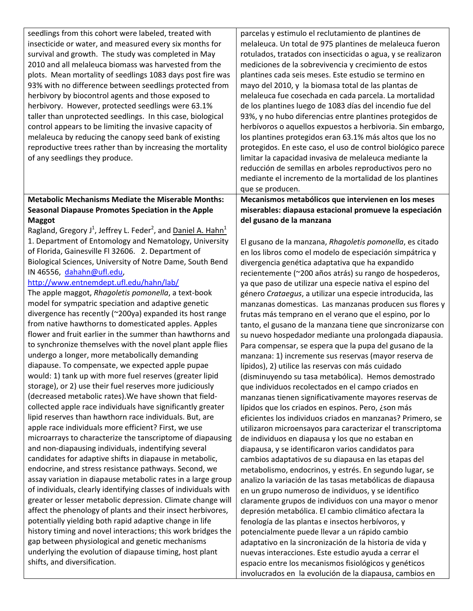| seedlings from this cohort were labeled, treated with<br>parcelas y estimulo el reclutamiento de plantines de<br>insecticide or water, and measured every six months for<br>melaleuca. Un total de 975 plantines de melaleuca fueron<br>survival and growth. The study was completed in May<br>rotulados, tratados con insecticidas o agua, y se realizaron<br>2010 and all melaleuca biomass was harvested from the<br>mediciones de la sobrevivencia y crecimiento de estos<br>plots. Mean mortality of seedlings 1083 days post fire was<br>plantines cada seis meses. Este estudio se termino en<br>93% with no difference between seedlings protected from<br>mayo del 2010, y la biomasa total de las plantas de<br>herbivory by biocontrol agents and those exposed to<br>melaleuca fue cosechada en cada parcela. La mortalidad<br>de los plantines luego de 1083 días del incendio fue del<br>herbivory. However, protected seedlings were 63.1%<br>93%, y no hubo diferencias entre plantines protegidos de<br>taller than unprotected seedlings. In this case, biological<br>control appears to be limiting the invasive capacity of<br>herbívoros o aquellos expuestos a herbivoria. Sin embargo,<br>melaleuca by reducing the canopy seed bank of existing<br>los plantines protegidos eran 63.1% más altos que los no<br>reproductive trees rather than by increasing the mortality<br>protegidos. En este caso, el uso de control biológico parece<br>of any seedlings they produce.<br>limitar la capacidad invasiva de melaleuca mediante la<br>reducción de semillas en arboles reproductivos pero no<br>mediante el incremento de la mortalidad de los plantines<br>que se producen.<br><b>Metabolic Mechanisms Mediate the Miserable Months:</b><br>Mecanismos metabólicos que intervienen en los meses<br><b>Seasonal Diapause Promotes Speciation in the Apple</b><br>miserables: diapausa estacional promueve la especiación<br>del gusano de la manzana<br><b>Maggot</b><br>Ragland, Gregory J <sup>1</sup> , Jeffrey L. Feder <sup>2</sup> , and Daniel A. Hahn <sup>1</sup><br>1. Department of Entomology and Nematology, University<br>El gusano de la manzana, Rhagoletis pomonella, es citado<br>of Florida, Gainesville Fl 32606. 2. Department of<br>en los libros como el modelo de especiación simpátrica y<br>Biological Sciences, University of Notre Dame, South Bend<br>divergencia genética adaptativa que ha expandido<br>IN 46556, dahahn@ufl.edu,<br>recientemente (~200 años atrás) su rango de hospederos,<br>http://www.entnemdept.ufl.edu/hahn/lab/<br>ya que paso de utilizar una especie nativa el espino del<br>The apple maggot, Rhagoletis pomonella, a text-book<br>género Crataegus, a utilizar una especie introducida, las<br>model for sympatric speciation and adaptive genetic<br>manzanas domesticas. Las manzanas producen sus flores y<br>divergence has recently (~200ya) expanded its host range<br>frutas más temprano en el verano que el espino, por lo<br>from native hawthorns to domesticated apples. Apples<br>tanto, el gusano de la manzana tiene que sincronizarse con<br>flower and fruit earlier in the summer than hawthorns and<br>su nuevo hospedador mediante una prolongada diapausia.<br>to synchronize themselves with the novel plant apple flies<br>Para compensar, se espera que la pupa del gusano de la<br>undergo a longer, more metabolically demanding<br>manzana: 1) incremente sus reservas (mayor reserva de<br>diapause. To compensate, we expected apple pupae<br>lípidos), 2) utilice las reservas con más cuidado<br>would: 1) tank up with more fuel reserves (greater lipid<br>(disminuyendo su tasa metabólica). Hemos demostrado<br>storage), or 2) use their fuel reserves more judiciously<br>que individuos recolectados en el campo criados en<br>(decreased metabolic rates). We have shown that field-<br>manzanas tienen significativamente mayores reservas de<br>collected apple race individuals have significantly greater<br>lípidos que los criados en espinos. Pero, ¿son más<br>lipid reserves than hawthorn race individuals. But, are<br>eficientes los individuos criados en manzanas? Primero, se<br>apple race individuals more efficient? First, we use<br>utilizaron microensayos para caracterizar el transcriptoma<br>microarrays to characterize the tanscriptome of diapausing<br>de individuos en diapausa y los que no estaban en<br>and non-diapausing individuals, indentifying several<br>diapausa, y se identificaron varios candidatos para |
|-----------------------------------------------------------------------------------------------------------------------------------------------------------------------------------------------------------------------------------------------------------------------------------------------------------------------------------------------------------------------------------------------------------------------------------------------------------------------------------------------------------------------------------------------------------------------------------------------------------------------------------------------------------------------------------------------------------------------------------------------------------------------------------------------------------------------------------------------------------------------------------------------------------------------------------------------------------------------------------------------------------------------------------------------------------------------------------------------------------------------------------------------------------------------------------------------------------------------------------------------------------------------------------------------------------------------------------------------------------------------------------------------------------------------------------------------------------------------------------------------------------------------------------------------------------------------------------------------------------------------------------------------------------------------------------------------------------------------------------------------------------------------------------------------------------------------------------------------------------------------------------------------------------------------------------------------------------------------------------------------------------------------------------------------------------------------------------------------------------------------------------------------------------------------------------------------------------------------------------------------------------------------------------------------------------------------------------------------------------------------------------------------------------------------------------------------------------------------------------------------------------------------------------------------------------------------------------------------------------------------------------------------------------------------------------------------------------------------------------------------------------------------------------------------------------------------------------------------------------------------------------------------------------------------------------------------------------------------------------------------------------------------------------------------------------------------------------------------------------------------------------------------------------------------------------------------------------------------------------------------------------------------------------------------------------------------------------------------------------------------------------------------------------------------------------------------------------------------------------------------------------------------------------------------------------------------------------------------------------------------------------------------------------------------------------------------------------------------------------------------------------------------------------------------------------------------------------------------------------------------------------------------------------------------------------------------------------------------------------------------------------------------------------------------------------------------------------------------------------------------------------------------------------------------------------------------------------------------------------------------------------------------------------------------------------------------------------------------------------------------------------------------------------------------------------------------------------------------------------------------------------------------------------------------------------------------------------|
|                                                                                                                                                                                                                                                                                                                                                                                                                                                                                                                                                                                                                                                                                                                                                                                                                                                                                                                                                                                                                                                                                                                                                                                                                                                                                                                                                                                                                                                                                                                                                                                                                                                                                                                                                                                                                                                                                                                                                                                                                                                                                                                                                                                                                                                                                                                                                                                                                                                                                                                                                                                                                                                                                                                                                                                                                                                                                                                                                                                                                                                                                                                                                                                                                                                                                                                                                                                                                                                                                                                                                                                                                                                                                                                                                                                                                                                                                                                                                                                                                                                                                                                                                                                                                                                                                                                                                                                                                                                                                                                                                                                   |
|                                                                                                                                                                                                                                                                                                                                                                                                                                                                                                                                                                                                                                                                                                                                                                                                                                                                                                                                                                                                                                                                                                                                                                                                                                                                                                                                                                                                                                                                                                                                                                                                                                                                                                                                                                                                                                                                                                                                                                                                                                                                                                                                                                                                                                                                                                                                                                                                                                                                                                                                                                                                                                                                                                                                                                                                                                                                                                                                                                                                                                                                                                                                                                                                                                                                                                                                                                                                                                                                                                                                                                                                                                                                                                                                                                                                                                                                                                                                                                                                                                                                                                                                                                                                                                                                                                                                                                                                                                                                                                                                                                                   |
|                                                                                                                                                                                                                                                                                                                                                                                                                                                                                                                                                                                                                                                                                                                                                                                                                                                                                                                                                                                                                                                                                                                                                                                                                                                                                                                                                                                                                                                                                                                                                                                                                                                                                                                                                                                                                                                                                                                                                                                                                                                                                                                                                                                                                                                                                                                                                                                                                                                                                                                                                                                                                                                                                                                                                                                                                                                                                                                                                                                                                                                                                                                                                                                                                                                                                                                                                                                                                                                                                                                                                                                                                                                                                                                                                                                                                                                                                                                                                                                                                                                                                                                                                                                                                                                                                                                                                                                                                                                                                                                                                                                   |
|                                                                                                                                                                                                                                                                                                                                                                                                                                                                                                                                                                                                                                                                                                                                                                                                                                                                                                                                                                                                                                                                                                                                                                                                                                                                                                                                                                                                                                                                                                                                                                                                                                                                                                                                                                                                                                                                                                                                                                                                                                                                                                                                                                                                                                                                                                                                                                                                                                                                                                                                                                                                                                                                                                                                                                                                                                                                                                                                                                                                                                                                                                                                                                                                                                                                                                                                                                                                                                                                                                                                                                                                                                                                                                                                                                                                                                                                                                                                                                                                                                                                                                                                                                                                                                                                                                                                                                                                                                                                                                                                                                                   |
|                                                                                                                                                                                                                                                                                                                                                                                                                                                                                                                                                                                                                                                                                                                                                                                                                                                                                                                                                                                                                                                                                                                                                                                                                                                                                                                                                                                                                                                                                                                                                                                                                                                                                                                                                                                                                                                                                                                                                                                                                                                                                                                                                                                                                                                                                                                                                                                                                                                                                                                                                                                                                                                                                                                                                                                                                                                                                                                                                                                                                                                                                                                                                                                                                                                                                                                                                                                                                                                                                                                                                                                                                                                                                                                                                                                                                                                                                                                                                                                                                                                                                                                                                                                                                                                                                                                                                                                                                                                                                                                                                                                   |
|                                                                                                                                                                                                                                                                                                                                                                                                                                                                                                                                                                                                                                                                                                                                                                                                                                                                                                                                                                                                                                                                                                                                                                                                                                                                                                                                                                                                                                                                                                                                                                                                                                                                                                                                                                                                                                                                                                                                                                                                                                                                                                                                                                                                                                                                                                                                                                                                                                                                                                                                                                                                                                                                                                                                                                                                                                                                                                                                                                                                                                                                                                                                                                                                                                                                                                                                                                                                                                                                                                                                                                                                                                                                                                                                                                                                                                                                                                                                                                                                                                                                                                                                                                                                                                                                                                                                                                                                                                                                                                                                                                                   |
|                                                                                                                                                                                                                                                                                                                                                                                                                                                                                                                                                                                                                                                                                                                                                                                                                                                                                                                                                                                                                                                                                                                                                                                                                                                                                                                                                                                                                                                                                                                                                                                                                                                                                                                                                                                                                                                                                                                                                                                                                                                                                                                                                                                                                                                                                                                                                                                                                                                                                                                                                                                                                                                                                                                                                                                                                                                                                                                                                                                                                                                                                                                                                                                                                                                                                                                                                                                                                                                                                                                                                                                                                                                                                                                                                                                                                                                                                                                                                                                                                                                                                                                                                                                                                                                                                                                                                                                                                                                                                                                                                                                   |
|                                                                                                                                                                                                                                                                                                                                                                                                                                                                                                                                                                                                                                                                                                                                                                                                                                                                                                                                                                                                                                                                                                                                                                                                                                                                                                                                                                                                                                                                                                                                                                                                                                                                                                                                                                                                                                                                                                                                                                                                                                                                                                                                                                                                                                                                                                                                                                                                                                                                                                                                                                                                                                                                                                                                                                                                                                                                                                                                                                                                                                                                                                                                                                                                                                                                                                                                                                                                                                                                                                                                                                                                                                                                                                                                                                                                                                                                                                                                                                                                                                                                                                                                                                                                                                                                                                                                                                                                                                                                                                                                                                                   |
|                                                                                                                                                                                                                                                                                                                                                                                                                                                                                                                                                                                                                                                                                                                                                                                                                                                                                                                                                                                                                                                                                                                                                                                                                                                                                                                                                                                                                                                                                                                                                                                                                                                                                                                                                                                                                                                                                                                                                                                                                                                                                                                                                                                                                                                                                                                                                                                                                                                                                                                                                                                                                                                                                                                                                                                                                                                                                                                                                                                                                                                                                                                                                                                                                                                                                                                                                                                                                                                                                                                                                                                                                                                                                                                                                                                                                                                                                                                                                                                                                                                                                                                                                                                                                                                                                                                                                                                                                                                                                                                                                                                   |
|                                                                                                                                                                                                                                                                                                                                                                                                                                                                                                                                                                                                                                                                                                                                                                                                                                                                                                                                                                                                                                                                                                                                                                                                                                                                                                                                                                                                                                                                                                                                                                                                                                                                                                                                                                                                                                                                                                                                                                                                                                                                                                                                                                                                                                                                                                                                                                                                                                                                                                                                                                                                                                                                                                                                                                                                                                                                                                                                                                                                                                                                                                                                                                                                                                                                                                                                                                                                                                                                                                                                                                                                                                                                                                                                                                                                                                                                                                                                                                                                                                                                                                                                                                                                                                                                                                                                                                                                                                                                                                                                                                                   |
|                                                                                                                                                                                                                                                                                                                                                                                                                                                                                                                                                                                                                                                                                                                                                                                                                                                                                                                                                                                                                                                                                                                                                                                                                                                                                                                                                                                                                                                                                                                                                                                                                                                                                                                                                                                                                                                                                                                                                                                                                                                                                                                                                                                                                                                                                                                                                                                                                                                                                                                                                                                                                                                                                                                                                                                                                                                                                                                                                                                                                                                                                                                                                                                                                                                                                                                                                                                                                                                                                                                                                                                                                                                                                                                                                                                                                                                                                                                                                                                                                                                                                                                                                                                                                                                                                                                                                                                                                                                                                                                                                                                   |
|                                                                                                                                                                                                                                                                                                                                                                                                                                                                                                                                                                                                                                                                                                                                                                                                                                                                                                                                                                                                                                                                                                                                                                                                                                                                                                                                                                                                                                                                                                                                                                                                                                                                                                                                                                                                                                                                                                                                                                                                                                                                                                                                                                                                                                                                                                                                                                                                                                                                                                                                                                                                                                                                                                                                                                                                                                                                                                                                                                                                                                                                                                                                                                                                                                                                                                                                                                                                                                                                                                                                                                                                                                                                                                                                                                                                                                                                                                                                                                                                                                                                                                                                                                                                                                                                                                                                                                                                                                                                                                                                                                                   |
|                                                                                                                                                                                                                                                                                                                                                                                                                                                                                                                                                                                                                                                                                                                                                                                                                                                                                                                                                                                                                                                                                                                                                                                                                                                                                                                                                                                                                                                                                                                                                                                                                                                                                                                                                                                                                                                                                                                                                                                                                                                                                                                                                                                                                                                                                                                                                                                                                                                                                                                                                                                                                                                                                                                                                                                                                                                                                                                                                                                                                                                                                                                                                                                                                                                                                                                                                                                                                                                                                                                                                                                                                                                                                                                                                                                                                                                                                                                                                                                                                                                                                                                                                                                                                                                                                                                                                                                                                                                                                                                                                                                   |
|                                                                                                                                                                                                                                                                                                                                                                                                                                                                                                                                                                                                                                                                                                                                                                                                                                                                                                                                                                                                                                                                                                                                                                                                                                                                                                                                                                                                                                                                                                                                                                                                                                                                                                                                                                                                                                                                                                                                                                                                                                                                                                                                                                                                                                                                                                                                                                                                                                                                                                                                                                                                                                                                                                                                                                                                                                                                                                                                                                                                                                                                                                                                                                                                                                                                                                                                                                                                                                                                                                                                                                                                                                                                                                                                                                                                                                                                                                                                                                                                                                                                                                                                                                                                                                                                                                                                                                                                                                                                                                                                                                                   |
|                                                                                                                                                                                                                                                                                                                                                                                                                                                                                                                                                                                                                                                                                                                                                                                                                                                                                                                                                                                                                                                                                                                                                                                                                                                                                                                                                                                                                                                                                                                                                                                                                                                                                                                                                                                                                                                                                                                                                                                                                                                                                                                                                                                                                                                                                                                                                                                                                                                                                                                                                                                                                                                                                                                                                                                                                                                                                                                                                                                                                                                                                                                                                                                                                                                                                                                                                                                                                                                                                                                                                                                                                                                                                                                                                                                                                                                                                                                                                                                                                                                                                                                                                                                                                                                                                                                                                                                                                                                                                                                                                                                   |
|                                                                                                                                                                                                                                                                                                                                                                                                                                                                                                                                                                                                                                                                                                                                                                                                                                                                                                                                                                                                                                                                                                                                                                                                                                                                                                                                                                                                                                                                                                                                                                                                                                                                                                                                                                                                                                                                                                                                                                                                                                                                                                                                                                                                                                                                                                                                                                                                                                                                                                                                                                                                                                                                                                                                                                                                                                                                                                                                                                                                                                                                                                                                                                                                                                                                                                                                                                                                                                                                                                                                                                                                                                                                                                                                                                                                                                                                                                                                                                                                                                                                                                                                                                                                                                                                                                                                                                                                                                                                                                                                                                                   |
|                                                                                                                                                                                                                                                                                                                                                                                                                                                                                                                                                                                                                                                                                                                                                                                                                                                                                                                                                                                                                                                                                                                                                                                                                                                                                                                                                                                                                                                                                                                                                                                                                                                                                                                                                                                                                                                                                                                                                                                                                                                                                                                                                                                                                                                                                                                                                                                                                                                                                                                                                                                                                                                                                                                                                                                                                                                                                                                                                                                                                                                                                                                                                                                                                                                                                                                                                                                                                                                                                                                                                                                                                                                                                                                                                                                                                                                                                                                                                                                                                                                                                                                                                                                                                                                                                                                                                                                                                                                                                                                                                                                   |
|                                                                                                                                                                                                                                                                                                                                                                                                                                                                                                                                                                                                                                                                                                                                                                                                                                                                                                                                                                                                                                                                                                                                                                                                                                                                                                                                                                                                                                                                                                                                                                                                                                                                                                                                                                                                                                                                                                                                                                                                                                                                                                                                                                                                                                                                                                                                                                                                                                                                                                                                                                                                                                                                                                                                                                                                                                                                                                                                                                                                                                                                                                                                                                                                                                                                                                                                                                                                                                                                                                                                                                                                                                                                                                                                                                                                                                                                                                                                                                                                                                                                                                                                                                                                                                                                                                                                                                                                                                                                                                                                                                                   |
|                                                                                                                                                                                                                                                                                                                                                                                                                                                                                                                                                                                                                                                                                                                                                                                                                                                                                                                                                                                                                                                                                                                                                                                                                                                                                                                                                                                                                                                                                                                                                                                                                                                                                                                                                                                                                                                                                                                                                                                                                                                                                                                                                                                                                                                                                                                                                                                                                                                                                                                                                                                                                                                                                                                                                                                                                                                                                                                                                                                                                                                                                                                                                                                                                                                                                                                                                                                                                                                                                                                                                                                                                                                                                                                                                                                                                                                                                                                                                                                                                                                                                                                                                                                                                                                                                                                                                                                                                                                                                                                                                                                   |
|                                                                                                                                                                                                                                                                                                                                                                                                                                                                                                                                                                                                                                                                                                                                                                                                                                                                                                                                                                                                                                                                                                                                                                                                                                                                                                                                                                                                                                                                                                                                                                                                                                                                                                                                                                                                                                                                                                                                                                                                                                                                                                                                                                                                                                                                                                                                                                                                                                                                                                                                                                                                                                                                                                                                                                                                                                                                                                                                                                                                                                                                                                                                                                                                                                                                                                                                                                                                                                                                                                                                                                                                                                                                                                                                                                                                                                                                                                                                                                                                                                                                                                                                                                                                                                                                                                                                                                                                                                                                                                                                                                                   |
|                                                                                                                                                                                                                                                                                                                                                                                                                                                                                                                                                                                                                                                                                                                                                                                                                                                                                                                                                                                                                                                                                                                                                                                                                                                                                                                                                                                                                                                                                                                                                                                                                                                                                                                                                                                                                                                                                                                                                                                                                                                                                                                                                                                                                                                                                                                                                                                                                                                                                                                                                                                                                                                                                                                                                                                                                                                                                                                                                                                                                                                                                                                                                                                                                                                                                                                                                                                                                                                                                                                                                                                                                                                                                                                                                                                                                                                                                                                                                                                                                                                                                                                                                                                                                                                                                                                                                                                                                                                                                                                                                                                   |
|                                                                                                                                                                                                                                                                                                                                                                                                                                                                                                                                                                                                                                                                                                                                                                                                                                                                                                                                                                                                                                                                                                                                                                                                                                                                                                                                                                                                                                                                                                                                                                                                                                                                                                                                                                                                                                                                                                                                                                                                                                                                                                                                                                                                                                                                                                                                                                                                                                                                                                                                                                                                                                                                                                                                                                                                                                                                                                                                                                                                                                                                                                                                                                                                                                                                                                                                                                                                                                                                                                                                                                                                                                                                                                                                                                                                                                                                                                                                                                                                                                                                                                                                                                                                                                                                                                                                                                                                                                                                                                                                                                                   |
|                                                                                                                                                                                                                                                                                                                                                                                                                                                                                                                                                                                                                                                                                                                                                                                                                                                                                                                                                                                                                                                                                                                                                                                                                                                                                                                                                                                                                                                                                                                                                                                                                                                                                                                                                                                                                                                                                                                                                                                                                                                                                                                                                                                                                                                                                                                                                                                                                                                                                                                                                                                                                                                                                                                                                                                                                                                                                                                                                                                                                                                                                                                                                                                                                                                                                                                                                                                                                                                                                                                                                                                                                                                                                                                                                                                                                                                                                                                                                                                                                                                                                                                                                                                                                                                                                                                                                                                                                                                                                                                                                                                   |
|                                                                                                                                                                                                                                                                                                                                                                                                                                                                                                                                                                                                                                                                                                                                                                                                                                                                                                                                                                                                                                                                                                                                                                                                                                                                                                                                                                                                                                                                                                                                                                                                                                                                                                                                                                                                                                                                                                                                                                                                                                                                                                                                                                                                                                                                                                                                                                                                                                                                                                                                                                                                                                                                                                                                                                                                                                                                                                                                                                                                                                                                                                                                                                                                                                                                                                                                                                                                                                                                                                                                                                                                                                                                                                                                                                                                                                                                                                                                                                                                                                                                                                                                                                                                                                                                                                                                                                                                                                                                                                                                                                                   |
|                                                                                                                                                                                                                                                                                                                                                                                                                                                                                                                                                                                                                                                                                                                                                                                                                                                                                                                                                                                                                                                                                                                                                                                                                                                                                                                                                                                                                                                                                                                                                                                                                                                                                                                                                                                                                                                                                                                                                                                                                                                                                                                                                                                                                                                                                                                                                                                                                                                                                                                                                                                                                                                                                                                                                                                                                                                                                                                                                                                                                                                                                                                                                                                                                                                                                                                                                                                                                                                                                                                                                                                                                                                                                                                                                                                                                                                                                                                                                                                                                                                                                                                                                                                                                                                                                                                                                                                                                                                                                                                                                                                   |
|                                                                                                                                                                                                                                                                                                                                                                                                                                                                                                                                                                                                                                                                                                                                                                                                                                                                                                                                                                                                                                                                                                                                                                                                                                                                                                                                                                                                                                                                                                                                                                                                                                                                                                                                                                                                                                                                                                                                                                                                                                                                                                                                                                                                                                                                                                                                                                                                                                                                                                                                                                                                                                                                                                                                                                                                                                                                                                                                                                                                                                                                                                                                                                                                                                                                                                                                                                                                                                                                                                                                                                                                                                                                                                                                                                                                                                                                                                                                                                                                                                                                                                                                                                                                                                                                                                                                                                                                                                                                                                                                                                                   |
|                                                                                                                                                                                                                                                                                                                                                                                                                                                                                                                                                                                                                                                                                                                                                                                                                                                                                                                                                                                                                                                                                                                                                                                                                                                                                                                                                                                                                                                                                                                                                                                                                                                                                                                                                                                                                                                                                                                                                                                                                                                                                                                                                                                                                                                                                                                                                                                                                                                                                                                                                                                                                                                                                                                                                                                                                                                                                                                                                                                                                                                                                                                                                                                                                                                                                                                                                                                                                                                                                                                                                                                                                                                                                                                                                                                                                                                                                                                                                                                                                                                                                                                                                                                                                                                                                                                                                                                                                                                                                                                                                                                   |
|                                                                                                                                                                                                                                                                                                                                                                                                                                                                                                                                                                                                                                                                                                                                                                                                                                                                                                                                                                                                                                                                                                                                                                                                                                                                                                                                                                                                                                                                                                                                                                                                                                                                                                                                                                                                                                                                                                                                                                                                                                                                                                                                                                                                                                                                                                                                                                                                                                                                                                                                                                                                                                                                                                                                                                                                                                                                                                                                                                                                                                                                                                                                                                                                                                                                                                                                                                                                                                                                                                                                                                                                                                                                                                                                                                                                                                                                                                                                                                                                                                                                                                                                                                                                                                                                                                                                                                                                                                                                                                                                                                                   |
|                                                                                                                                                                                                                                                                                                                                                                                                                                                                                                                                                                                                                                                                                                                                                                                                                                                                                                                                                                                                                                                                                                                                                                                                                                                                                                                                                                                                                                                                                                                                                                                                                                                                                                                                                                                                                                                                                                                                                                                                                                                                                                                                                                                                                                                                                                                                                                                                                                                                                                                                                                                                                                                                                                                                                                                                                                                                                                                                                                                                                                                                                                                                                                                                                                                                                                                                                                                                                                                                                                                                                                                                                                                                                                                                                                                                                                                                                                                                                                                                                                                                                                                                                                                                                                                                                                                                                                                                                                                                                                                                                                                   |
|                                                                                                                                                                                                                                                                                                                                                                                                                                                                                                                                                                                                                                                                                                                                                                                                                                                                                                                                                                                                                                                                                                                                                                                                                                                                                                                                                                                                                                                                                                                                                                                                                                                                                                                                                                                                                                                                                                                                                                                                                                                                                                                                                                                                                                                                                                                                                                                                                                                                                                                                                                                                                                                                                                                                                                                                                                                                                                                                                                                                                                                                                                                                                                                                                                                                                                                                                                                                                                                                                                                                                                                                                                                                                                                                                                                                                                                                                                                                                                                                                                                                                                                                                                                                                                                                                                                                                                                                                                                                                                                                                                                   |
|                                                                                                                                                                                                                                                                                                                                                                                                                                                                                                                                                                                                                                                                                                                                                                                                                                                                                                                                                                                                                                                                                                                                                                                                                                                                                                                                                                                                                                                                                                                                                                                                                                                                                                                                                                                                                                                                                                                                                                                                                                                                                                                                                                                                                                                                                                                                                                                                                                                                                                                                                                                                                                                                                                                                                                                                                                                                                                                                                                                                                                                                                                                                                                                                                                                                                                                                                                                                                                                                                                                                                                                                                                                                                                                                                                                                                                                                                                                                                                                                                                                                                                                                                                                                                                                                                                                                                                                                                                                                                                                                                                                   |
|                                                                                                                                                                                                                                                                                                                                                                                                                                                                                                                                                                                                                                                                                                                                                                                                                                                                                                                                                                                                                                                                                                                                                                                                                                                                                                                                                                                                                                                                                                                                                                                                                                                                                                                                                                                                                                                                                                                                                                                                                                                                                                                                                                                                                                                                                                                                                                                                                                                                                                                                                                                                                                                                                                                                                                                                                                                                                                                                                                                                                                                                                                                                                                                                                                                                                                                                                                                                                                                                                                                                                                                                                                                                                                                                                                                                                                                                                                                                                                                                                                                                                                                                                                                                                                                                                                                                                                                                                                                                                                                                                                                   |
|                                                                                                                                                                                                                                                                                                                                                                                                                                                                                                                                                                                                                                                                                                                                                                                                                                                                                                                                                                                                                                                                                                                                                                                                                                                                                                                                                                                                                                                                                                                                                                                                                                                                                                                                                                                                                                                                                                                                                                                                                                                                                                                                                                                                                                                                                                                                                                                                                                                                                                                                                                                                                                                                                                                                                                                                                                                                                                                                                                                                                                                                                                                                                                                                                                                                                                                                                                                                                                                                                                                                                                                                                                                                                                                                                                                                                                                                                                                                                                                                                                                                                                                                                                                                                                                                                                                                                                                                                                                                                                                                                                                   |
|                                                                                                                                                                                                                                                                                                                                                                                                                                                                                                                                                                                                                                                                                                                                                                                                                                                                                                                                                                                                                                                                                                                                                                                                                                                                                                                                                                                                                                                                                                                                                                                                                                                                                                                                                                                                                                                                                                                                                                                                                                                                                                                                                                                                                                                                                                                                                                                                                                                                                                                                                                                                                                                                                                                                                                                                                                                                                                                                                                                                                                                                                                                                                                                                                                                                                                                                                                                                                                                                                                                                                                                                                                                                                                                                                                                                                                                                                                                                                                                                                                                                                                                                                                                                                                                                                                                                                                                                                                                                                                                                                                                   |
|                                                                                                                                                                                                                                                                                                                                                                                                                                                                                                                                                                                                                                                                                                                                                                                                                                                                                                                                                                                                                                                                                                                                                                                                                                                                                                                                                                                                                                                                                                                                                                                                                                                                                                                                                                                                                                                                                                                                                                                                                                                                                                                                                                                                                                                                                                                                                                                                                                                                                                                                                                                                                                                                                                                                                                                                                                                                                                                                                                                                                                                                                                                                                                                                                                                                                                                                                                                                                                                                                                                                                                                                                                                                                                                                                                                                                                                                                                                                                                                                                                                                                                                                                                                                                                                                                                                                                                                                                                                                                                                                                                                   |
|                                                                                                                                                                                                                                                                                                                                                                                                                                                                                                                                                                                                                                                                                                                                                                                                                                                                                                                                                                                                                                                                                                                                                                                                                                                                                                                                                                                                                                                                                                                                                                                                                                                                                                                                                                                                                                                                                                                                                                                                                                                                                                                                                                                                                                                                                                                                                                                                                                                                                                                                                                                                                                                                                                                                                                                                                                                                                                                                                                                                                                                                                                                                                                                                                                                                                                                                                                                                                                                                                                                                                                                                                                                                                                                                                                                                                                                                                                                                                                                                                                                                                                                                                                                                                                                                                                                                                                                                                                                                                                                                                                                   |
|                                                                                                                                                                                                                                                                                                                                                                                                                                                                                                                                                                                                                                                                                                                                                                                                                                                                                                                                                                                                                                                                                                                                                                                                                                                                                                                                                                                                                                                                                                                                                                                                                                                                                                                                                                                                                                                                                                                                                                                                                                                                                                                                                                                                                                                                                                                                                                                                                                                                                                                                                                                                                                                                                                                                                                                                                                                                                                                                                                                                                                                                                                                                                                                                                                                                                                                                                                                                                                                                                                                                                                                                                                                                                                                                                                                                                                                                                                                                                                                                                                                                                                                                                                                                                                                                                                                                                                                                                                                                                                                                                                                   |
|                                                                                                                                                                                                                                                                                                                                                                                                                                                                                                                                                                                                                                                                                                                                                                                                                                                                                                                                                                                                                                                                                                                                                                                                                                                                                                                                                                                                                                                                                                                                                                                                                                                                                                                                                                                                                                                                                                                                                                                                                                                                                                                                                                                                                                                                                                                                                                                                                                                                                                                                                                                                                                                                                                                                                                                                                                                                                                                                                                                                                                                                                                                                                                                                                                                                                                                                                                                                                                                                                                                                                                                                                                                                                                                                                                                                                                                                                                                                                                                                                                                                                                                                                                                                                                                                                                                                                                                                                                                                                                                                                                                   |
|                                                                                                                                                                                                                                                                                                                                                                                                                                                                                                                                                                                                                                                                                                                                                                                                                                                                                                                                                                                                                                                                                                                                                                                                                                                                                                                                                                                                                                                                                                                                                                                                                                                                                                                                                                                                                                                                                                                                                                                                                                                                                                                                                                                                                                                                                                                                                                                                                                                                                                                                                                                                                                                                                                                                                                                                                                                                                                                                                                                                                                                                                                                                                                                                                                                                                                                                                                                                                                                                                                                                                                                                                                                                                                                                                                                                                                                                                                                                                                                                                                                                                                                                                                                                                                                                                                                                                                                                                                                                                                                                                                                   |
|                                                                                                                                                                                                                                                                                                                                                                                                                                                                                                                                                                                                                                                                                                                                                                                                                                                                                                                                                                                                                                                                                                                                                                                                                                                                                                                                                                                                                                                                                                                                                                                                                                                                                                                                                                                                                                                                                                                                                                                                                                                                                                                                                                                                                                                                                                                                                                                                                                                                                                                                                                                                                                                                                                                                                                                                                                                                                                                                                                                                                                                                                                                                                                                                                                                                                                                                                                                                                                                                                                                                                                                                                                                                                                                                                                                                                                                                                                                                                                                                                                                                                                                                                                                                                                                                                                                                                                                                                                                                                                                                                                                   |
|                                                                                                                                                                                                                                                                                                                                                                                                                                                                                                                                                                                                                                                                                                                                                                                                                                                                                                                                                                                                                                                                                                                                                                                                                                                                                                                                                                                                                                                                                                                                                                                                                                                                                                                                                                                                                                                                                                                                                                                                                                                                                                                                                                                                                                                                                                                                                                                                                                                                                                                                                                                                                                                                                                                                                                                                                                                                                                                                                                                                                                                                                                                                                                                                                                                                                                                                                                                                                                                                                                                                                                                                                                                                                                                                                                                                                                                                                                                                                                                                                                                                                                                                                                                                                                                                                                                                                                                                                                                                                                                                                                                   |
|                                                                                                                                                                                                                                                                                                                                                                                                                                                                                                                                                                                                                                                                                                                                                                                                                                                                                                                                                                                                                                                                                                                                                                                                                                                                                                                                                                                                                                                                                                                                                                                                                                                                                                                                                                                                                                                                                                                                                                                                                                                                                                                                                                                                                                                                                                                                                                                                                                                                                                                                                                                                                                                                                                                                                                                                                                                                                                                                                                                                                                                                                                                                                                                                                                                                                                                                                                                                                                                                                                                                                                                                                                                                                                                                                                                                                                                                                                                                                                                                                                                                                                                                                                                                                                                                                                                                                                                                                                                                                                                                                                                   |
| candidates for adaptive shifts in diapause in metabolic,<br>cambios adaptativos de su diapausa en las etapas del                                                                                                                                                                                                                                                                                                                                                                                                                                                                                                                                                                                                                                                                                                                                                                                                                                                                                                                                                                                                                                                                                                                                                                                                                                                                                                                                                                                                                                                                                                                                                                                                                                                                                                                                                                                                                                                                                                                                                                                                                                                                                                                                                                                                                                                                                                                                                                                                                                                                                                                                                                                                                                                                                                                                                                                                                                                                                                                                                                                                                                                                                                                                                                                                                                                                                                                                                                                                                                                                                                                                                                                                                                                                                                                                                                                                                                                                                                                                                                                                                                                                                                                                                                                                                                                                                                                                                                                                                                                                  |
| endocrine, and stress resistance pathways. Second, we<br>metabolismo, endocrinos, y estrés. En segundo lugar, se                                                                                                                                                                                                                                                                                                                                                                                                                                                                                                                                                                                                                                                                                                                                                                                                                                                                                                                                                                                                                                                                                                                                                                                                                                                                                                                                                                                                                                                                                                                                                                                                                                                                                                                                                                                                                                                                                                                                                                                                                                                                                                                                                                                                                                                                                                                                                                                                                                                                                                                                                                                                                                                                                                                                                                                                                                                                                                                                                                                                                                                                                                                                                                                                                                                                                                                                                                                                                                                                                                                                                                                                                                                                                                                                                                                                                                                                                                                                                                                                                                                                                                                                                                                                                                                                                                                                                                                                                                                                  |
| assay variation in diapause metabolic rates in a large group<br>analizo la variación de las tasas metabólicas de diapausa                                                                                                                                                                                                                                                                                                                                                                                                                                                                                                                                                                                                                                                                                                                                                                                                                                                                                                                                                                                                                                                                                                                                                                                                                                                                                                                                                                                                                                                                                                                                                                                                                                                                                                                                                                                                                                                                                                                                                                                                                                                                                                                                                                                                                                                                                                                                                                                                                                                                                                                                                                                                                                                                                                                                                                                                                                                                                                                                                                                                                                                                                                                                                                                                                                                                                                                                                                                                                                                                                                                                                                                                                                                                                                                                                                                                                                                                                                                                                                                                                                                                                                                                                                                                                                                                                                                                                                                                                                                         |
| of individuals, clearly identifying classes of individuals with<br>en un grupo numeroso de individuos, y se identifico                                                                                                                                                                                                                                                                                                                                                                                                                                                                                                                                                                                                                                                                                                                                                                                                                                                                                                                                                                                                                                                                                                                                                                                                                                                                                                                                                                                                                                                                                                                                                                                                                                                                                                                                                                                                                                                                                                                                                                                                                                                                                                                                                                                                                                                                                                                                                                                                                                                                                                                                                                                                                                                                                                                                                                                                                                                                                                                                                                                                                                                                                                                                                                                                                                                                                                                                                                                                                                                                                                                                                                                                                                                                                                                                                                                                                                                                                                                                                                                                                                                                                                                                                                                                                                                                                                                                                                                                                                                            |
| greater or lesser metabolic depression. Climate change will<br>claramente grupos de individuos con una mayor o menor                                                                                                                                                                                                                                                                                                                                                                                                                                                                                                                                                                                                                                                                                                                                                                                                                                                                                                                                                                                                                                                                                                                                                                                                                                                                                                                                                                                                                                                                                                                                                                                                                                                                                                                                                                                                                                                                                                                                                                                                                                                                                                                                                                                                                                                                                                                                                                                                                                                                                                                                                                                                                                                                                                                                                                                                                                                                                                                                                                                                                                                                                                                                                                                                                                                                                                                                                                                                                                                                                                                                                                                                                                                                                                                                                                                                                                                                                                                                                                                                                                                                                                                                                                                                                                                                                                                                                                                                                                                              |
| affect the phenology of plants and their insect herbivores,<br>depresión metabólica. El cambio climático afectara la                                                                                                                                                                                                                                                                                                                                                                                                                                                                                                                                                                                                                                                                                                                                                                                                                                                                                                                                                                                                                                                                                                                                                                                                                                                                                                                                                                                                                                                                                                                                                                                                                                                                                                                                                                                                                                                                                                                                                                                                                                                                                                                                                                                                                                                                                                                                                                                                                                                                                                                                                                                                                                                                                                                                                                                                                                                                                                                                                                                                                                                                                                                                                                                                                                                                                                                                                                                                                                                                                                                                                                                                                                                                                                                                                                                                                                                                                                                                                                                                                                                                                                                                                                                                                                                                                                                                                                                                                                                              |
| potentially yielding both rapid adaptive change in life<br>fenología de las plantas e insectos herbívoros, y                                                                                                                                                                                                                                                                                                                                                                                                                                                                                                                                                                                                                                                                                                                                                                                                                                                                                                                                                                                                                                                                                                                                                                                                                                                                                                                                                                                                                                                                                                                                                                                                                                                                                                                                                                                                                                                                                                                                                                                                                                                                                                                                                                                                                                                                                                                                                                                                                                                                                                                                                                                                                                                                                                                                                                                                                                                                                                                                                                                                                                                                                                                                                                                                                                                                                                                                                                                                                                                                                                                                                                                                                                                                                                                                                                                                                                                                                                                                                                                                                                                                                                                                                                                                                                                                                                                                                                                                                                                                      |
| history timing and novel interactions; this work bridges the<br>potencialmente puede llevar a un rápido cambio                                                                                                                                                                                                                                                                                                                                                                                                                                                                                                                                                                                                                                                                                                                                                                                                                                                                                                                                                                                                                                                                                                                                                                                                                                                                                                                                                                                                                                                                                                                                                                                                                                                                                                                                                                                                                                                                                                                                                                                                                                                                                                                                                                                                                                                                                                                                                                                                                                                                                                                                                                                                                                                                                                                                                                                                                                                                                                                                                                                                                                                                                                                                                                                                                                                                                                                                                                                                                                                                                                                                                                                                                                                                                                                                                                                                                                                                                                                                                                                                                                                                                                                                                                                                                                                                                                                                                                                                                                                                    |
| gap between physiological and genetic mechanisms<br>adaptativo en la sincronización de la historia de vida y                                                                                                                                                                                                                                                                                                                                                                                                                                                                                                                                                                                                                                                                                                                                                                                                                                                                                                                                                                                                                                                                                                                                                                                                                                                                                                                                                                                                                                                                                                                                                                                                                                                                                                                                                                                                                                                                                                                                                                                                                                                                                                                                                                                                                                                                                                                                                                                                                                                                                                                                                                                                                                                                                                                                                                                                                                                                                                                                                                                                                                                                                                                                                                                                                                                                                                                                                                                                                                                                                                                                                                                                                                                                                                                                                                                                                                                                                                                                                                                                                                                                                                                                                                                                                                                                                                                                                                                                                                                                      |
| underlying the evolution of diapause timing, host plant<br>nuevas interacciones. Este estudio ayuda a cerrar el                                                                                                                                                                                                                                                                                                                                                                                                                                                                                                                                                                                                                                                                                                                                                                                                                                                                                                                                                                                                                                                                                                                                                                                                                                                                                                                                                                                                                                                                                                                                                                                                                                                                                                                                                                                                                                                                                                                                                                                                                                                                                                                                                                                                                                                                                                                                                                                                                                                                                                                                                                                                                                                                                                                                                                                                                                                                                                                                                                                                                                                                                                                                                                                                                                                                                                                                                                                                                                                                                                                                                                                                                                                                                                                                                                                                                                                                                                                                                                                                                                                                                                                                                                                                                                                                                                                                                                                                                                                                   |
| shifts, and diversification.<br>espacio entre los mecanismos fisiológicos y genéticos                                                                                                                                                                                                                                                                                                                                                                                                                                                                                                                                                                                                                                                                                                                                                                                                                                                                                                                                                                                                                                                                                                                                                                                                                                                                                                                                                                                                                                                                                                                                                                                                                                                                                                                                                                                                                                                                                                                                                                                                                                                                                                                                                                                                                                                                                                                                                                                                                                                                                                                                                                                                                                                                                                                                                                                                                                                                                                                                                                                                                                                                                                                                                                                                                                                                                                                                                                                                                                                                                                                                                                                                                                                                                                                                                                                                                                                                                                                                                                                                                                                                                                                                                                                                                                                                                                                                                                                                                                                                                             |
|                                                                                                                                                                                                                                                                                                                                                                                                                                                                                                                                                                                                                                                                                                                                                                                                                                                                                                                                                                                                                                                                                                                                                                                                                                                                                                                                                                                                                                                                                                                                                                                                                                                                                                                                                                                                                                                                                                                                                                                                                                                                                                                                                                                                                                                                                                                                                                                                                                                                                                                                                                                                                                                                                                                                                                                                                                                                                                                                                                                                                                                                                                                                                                                                                                                                                                                                                                                                                                                                                                                                                                                                                                                                                                                                                                                                                                                                                                                                                                                                                                                                                                                                                                                                                                                                                                                                                                                                                                                                                                                                                                                   |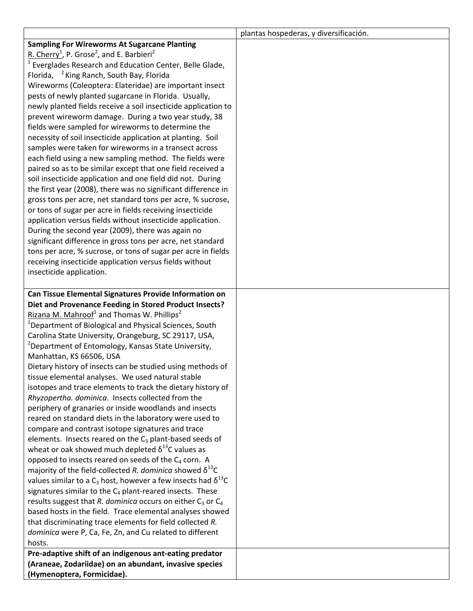|                                                                               | plantas hospederas, y diversificación. |
|-------------------------------------------------------------------------------|----------------------------------------|
| <b>Sampling For Wireworms At Sugarcane Planting</b>                           |                                        |
| R. Cherry <sup>1</sup> , P. Grose <sup>2</sup> , and E. Barbieri <sup>2</sup> |                                        |
| <sup>1</sup> Everglades Research and Education Center, Belle Glade,           |                                        |
| Florida, <sup>2</sup> King Ranch, South Bay, Florida                          |                                        |
| Wireworms (Coleoptera: Elateridae) are important insect                       |                                        |
| pests of newly planted sugarcane in Florida. Usually,                         |                                        |
| newly planted fields receive a soil insecticide application to                |                                        |
| prevent wireworm damage. During a two year study, 38                          |                                        |
| fields were sampled for wireworms to determine the                            |                                        |
| necessity of soil insecticide application at planting. Soil                   |                                        |
| samples were taken for wireworms in a transect across                         |                                        |
| each field using a new sampling method. The fields were                       |                                        |
| paired so as to be similar except that one field received a                   |                                        |
| soil insecticide application and one field did not. During                    |                                        |
| the first year (2008), there was no significant difference in                 |                                        |
| gross tons per acre, net standard tons per acre, % sucrose,                   |                                        |
| or tons of sugar per acre in fields receiving insecticide                     |                                        |
| application versus fields without insecticide application.                    |                                        |
| During the second year (2009), there was again no                             |                                        |
| significant difference in gross tons per acre, net standard                   |                                        |
| tons per acre, % sucrose, or tons of sugar per acre in fields                 |                                        |
| receiving insecticide application versus fields without                       |                                        |
| insecticide application.                                                      |                                        |
|                                                                               |                                        |
| Can Tissue Elemental Signatures Provide Information on                        |                                        |
| Diet and Provenance Feeding in Stored Product Insects?                        |                                        |
| Rizana M. Mahroof <sup>1</sup> and Thomas W. Phillips <sup>2</sup>            |                                        |
| <sup>1</sup> Department of Biological and Physical Sciences, South            |                                        |
| Carolina State University, Orangeburg, SC 29117, USA,                         |                                        |
| <sup>2</sup> Department of Entomology, Kansas State University,               |                                        |
| Manhattan, KS 66506, USA                                                      |                                        |
| Dietary history of insects can be studied using methods of                    |                                        |
| tissue elemental analyses. We used natural stable                             |                                        |
| isotopes and trace elements to track the dietary history of                   |                                        |
| Rhyzopertha. dominica. Insects collected from the                             |                                        |
| periphery of granaries or inside woodlands and insects                        |                                        |
| reared on standard diets in the laboratory were used to                       |                                        |
| compare and contrast isotope signatures and trace                             |                                        |
| elements. Insects reared on the $C_3$ plant-based seeds of                    |                                        |
| wheat or oak showed much depleted $\delta^{13}$ C values as                   |                                        |
| opposed to insects reared on seeds of the C4 corn. A                          |                                        |
| majority of the field-collected R. dominica showed $\delta^{13}$ C            |                                        |
| values similar to a $C_3$ host, however a few insects had $\delta^{13}C$      |                                        |
| signatures similar to the $C_4$ plant-reared insects. These                   |                                        |
| results suggest that R. dominica occurs on either $C_3$ or $C_4$              |                                        |
| based hosts in the field. Trace elemental analyses showed                     |                                        |
| that discriminating trace elements for field collected R.                     |                                        |
| dominica were P, Ca, Fe, Zn, and Cu related to different                      |                                        |
| hosts.                                                                        |                                        |
| Pre-adaptive shift of an indigenous ant-eating predator                       |                                        |
| (Araneae, Zodariidae) on an abundant, invasive species                        |                                        |
| (Hymenoptera, Formicidae).                                                    |                                        |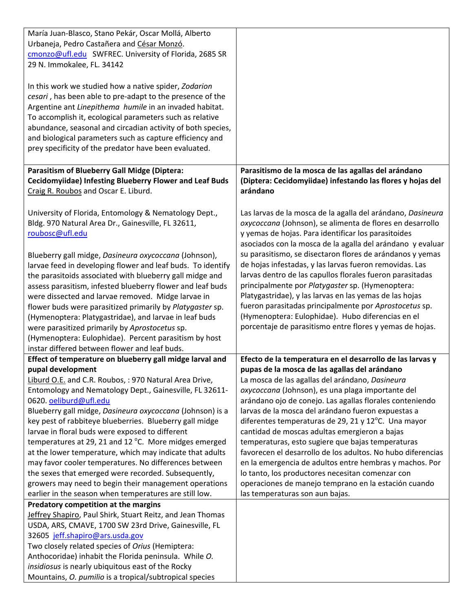| María Juan-Blasco, Stano Pekár, Oscar Mollá, Alberto           |                                                             |
|----------------------------------------------------------------|-------------------------------------------------------------|
| Urbaneja, Pedro Castañera and César Monzó.                     |                                                             |
| cmonzo@ufl.edu SWFREC. University of Florida, 2685 SR          |                                                             |
| 29 N. Immokalee, FL. 34142                                     |                                                             |
|                                                                |                                                             |
| In this work we studied how a native spider, Zodarion          |                                                             |
| cesari, has been able to pre-adapt to the presence of the      |                                                             |
| Argentine ant Linepithema humile in an invaded habitat.        |                                                             |
| To accomplish it, ecological parameters such as relative       |                                                             |
| abundance, seasonal and circadian activity of both species,    |                                                             |
| and biological parameters such as capture efficiency and       |                                                             |
| prey specificity of the predator have been evaluated.          |                                                             |
|                                                                |                                                             |
| Parasitism of Blueberry Gall Midge (Diptera:                   | Parasitismo de la mosca de las agallas del arándano         |
| <b>Cecidomyiidae) Infesting Blueberry Flower and Leaf Buds</b> | (Diptera: Cecidomyiidae) infestando las flores y hojas del  |
| Craig R. Roubos and Oscar E. Liburd.                           | arándano                                                    |
|                                                                |                                                             |
| University of Florida, Entomology & Nematology Dept.,          | Las larvas de la mosca de la agalla del arándano, Dasineura |
| Bldg. 970 Natural Area Dr., Gainesville, FL 32611,             | oxycoccana (Johnson), se alimenta de flores en desarrollo   |
| roubosc@ufl.edu                                                | y yemas de hojas. Para identificar los parasitoides         |
|                                                                | asociados con la mosca de la agalla del arándano y evaluar  |
|                                                                | su parasitismo, se disectaron flores de arándanos y yemas   |
| Blueberry gall midge, Dasineura oxycoccana (Johnson),          | de hojas infestadas, y las larvas fueron removidas. Las     |
| larvae feed in developing flower and leaf buds. To identify    |                                                             |
| the parasitoids associated with blueberry gall midge and       | larvas dentro de las capullos florales fueron parasitadas   |
| assess parasitism, infested blueberry flower and leaf buds     | principalmente por Platygaster sp. (Hymenoptera:            |
| were dissected and larvae removed. Midge larvae in             | Platygastridae), y las larvas en las yemas de las hojas     |
| flower buds were parasitized primarily by Platygaster sp.      | fueron parasitadas principalmente por Aprostocetus sp.      |
| (Hymenoptera: Platygastridae), and larvae in leaf buds         | (Hymenoptera: Eulophidae). Hubo diferencias en el           |
| were parasitized primarily by Aprostocetus sp.                 | porcentaje de parasitismo entre flores y yemas de hojas.    |
| (Hymenoptera: Eulophidae). Percent parasitism by host          |                                                             |
| instar differed between flower and leaf buds.                  |                                                             |
| Effect of temperature on blueberry gall midge larval and       | Efecto de la temperatura en el desarrollo de las larvas y   |
| pupal development                                              | pupas de la mosca de las agallas del arándano               |
| Liburd O.E. and C.R. Roubos, : 970 Natural Area Drive,         | La mosca de las agallas del arándano, Dasineura             |
| Entomology and Nematology Dept., Gainesville, FL 32611-        | oxycoccana (Johnson), es una plaga importante del           |
| 0620. oeliburd@ufl.edu                                         | arándano ojo de conejo. Las agallas florales conteniendo    |
| Blueberry gall midge, Dasineura oxycoccana (Johnson) is a      | larvas de la mosca del arándano fueron expuestas a          |
| key pest of rabbiteye blueberries. Blueberry gall midge        | diferentes temperaturas de 29, 21 y 12°C. Una mayor         |
| larvae in floral buds were exposed to different                | cantidad de moscas adultas emergieron a bajas               |
| temperatures at 29, 21 and 12 °C. More midges emerged          | temperaturas, esto sugiere que bajas temperaturas           |
| at the lower temperature, which may indicate that adults       | favorecen el desarrollo de los adultos. No hubo diferencias |
| may favor cooler temperatures. No differences between          | en la emergencia de adultos entre hembras y machos. Por     |
| the sexes that emerged were recorded. Subsequently,            | lo tanto, los productores necesitan comenzar con            |
| growers may need to begin their management operations          | operaciones de manejo temprano en la estación cuando        |
| earlier in the season when temperatures are still low.         | las temperaturas son aun bajas.                             |
| Predatory competition at the margins                           |                                                             |
| Jeffrey Shapiro, Paul Shirk, Stuart Reitz, and Jean Thomas     |                                                             |
| USDA, ARS, CMAVE, 1700 SW 23rd Drive, Gainesville, FL          |                                                             |
| 32605 jeff.shapiro@ars.usda.gov                                |                                                             |
| Two closely related species of Orius (Hemiptera:               |                                                             |
| Anthocoridae) inhabit the Florida peninsula. While O.          |                                                             |
| insidiosus is nearly ubiquitous east of the Rocky              |                                                             |
| Mountains, O. pumilio is a tropical/subtropical species        |                                                             |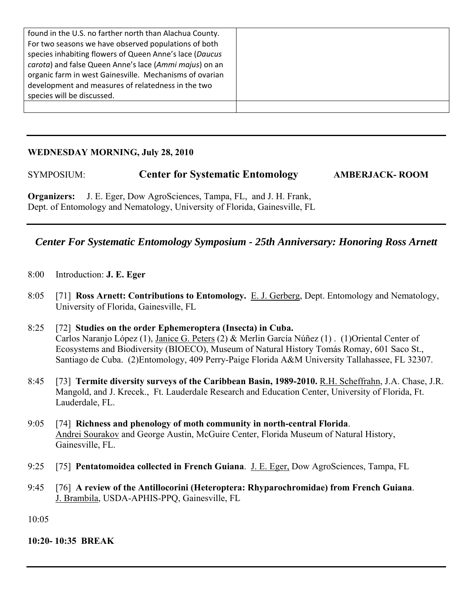| found in the U.S. no farther north than Alachua County.<br>For two seasons we have observed populations of both<br>species inhabiting flowers of Queen Anne's lace (Daucus<br>carota) and false Queen Anne's lace (Ammi majus) on an |  |
|--------------------------------------------------------------------------------------------------------------------------------------------------------------------------------------------------------------------------------------|--|
| organic farm in west Gainesville. Mechanisms of ovarian<br>development and measures of relatedness in the two<br>species will be discussed.                                                                                          |  |
|                                                                                                                                                                                                                                      |  |

#### **WEDNESDAY MORNING, July 28, 2010**

## SYMPOSIUM: **Center for Systematic Entomology AMBERJACK- ROOM**

**Organizers:** J. E. Eger, Dow AgroSciences, Tampa, FL, and J. H. Frank, Dept. of Entomology and Nematology, University of Florida, Gainesville, FL

## *Center For Systematic Entomology Symposium - 25th Anniversary: Honoring Ross Arnett*

- 8:00 Introduction: **J. E. Eger**
- 8:05 [71] **Ross Arnett: Contributions to Entomology.** E. J. Gerberg, Dept. Entomology and Nematology, University of Florida, Gainesville, FL
- 8:25 [72] **Studies on the order Ephemeroptera (Insecta) in Cuba.**  Carlos Naranjo López (1), Janice G. Peters (2) & Merlin García Núñez (1) . (1)Oriental Center of Ecosystems and Biodiversity (BIOECO), Museum of Natural History Tomás Romay, 601 Saco St., Santiago de Cuba. (2)Entomology, 409 Perry-Paige Florida A&M University Tallahassee, FL 32307.
- 8:45 [73] **Termite diversity surveys of the Caribbean Basin, 1989-2010.** R.H. Scheffrahn, J.A. Chase, J.R. Mangold, and J. Krecek., Ft. Lauderdale Research and Education Center, University of Florida, Ft. Lauderdale, FL.
- 9:05 [74] **Richness and phenology of moth community in north-central Florida**. Andrei Sourakov and George Austin, McGuire Center, Florida Museum of Natural History, Gainesville, FL.
- 9:25 [75] **Pentatomoidea collected in French Guiana**. J. E. Eger, Dow AgroSciences, Tampa, FL
- 9:45 [76] **A review of the Antillocorini (Heteroptera: Rhyparochromidae) from French Guiana**. J. Brambila, USDA-APHIS-PPQ, Gainesville, FL

 $10:05$ 

**10:20- 10:35 BREAK**